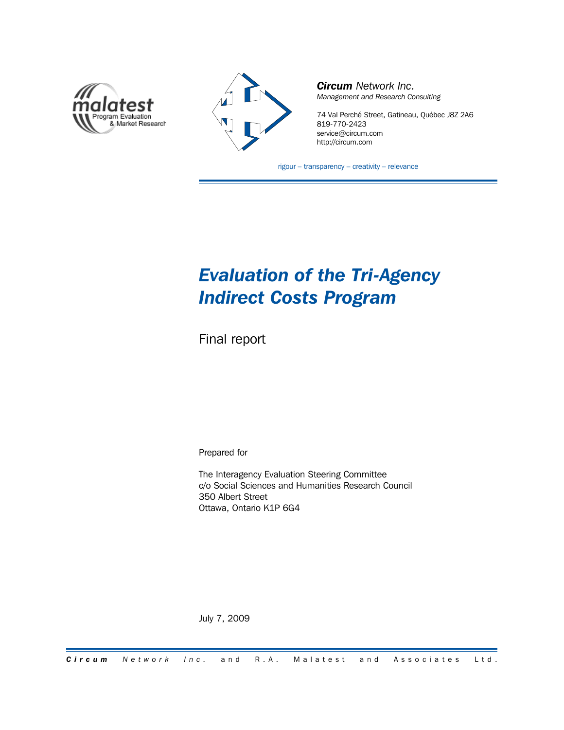



*Circum Network Inc. Management and Research Consulting*

74 Val Perché Street, Gatineau, Québec J8Z 2A6 819-770-2423 service@circum.com http://circum.com

rigour – transparency – creativity – relevance

### *Evaluation of the Tri-Agency Indirect Costs Program*

Final report

Prepared for

The Interagency Evaluation Steering Committee c/o Social Sciences and Humanities Research Council 350 Albert Street Ottawa, Ontario K1P 6G4

July 7, 2009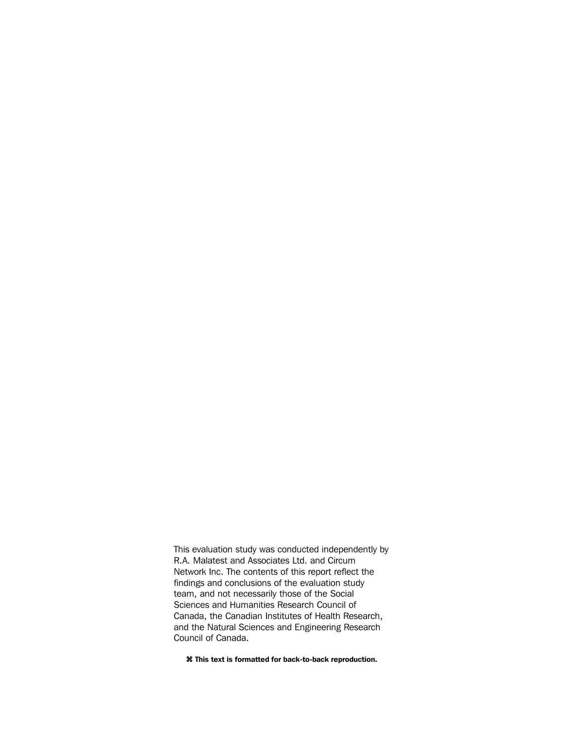This evaluation study was conducted independently by R.A. Malatest and Associates Ltd. and Circum Network Inc. The contents of this report reflect the findings and conclusions of the evaluation study team, and not necessarily those of the Social Sciences and Humanities Research Council of Canada, the Canadian Institutes of Health Research, and the Natural Sciences and Engineering Research Council of Canada.

**z This text is formatted for back-to-back reproduction.**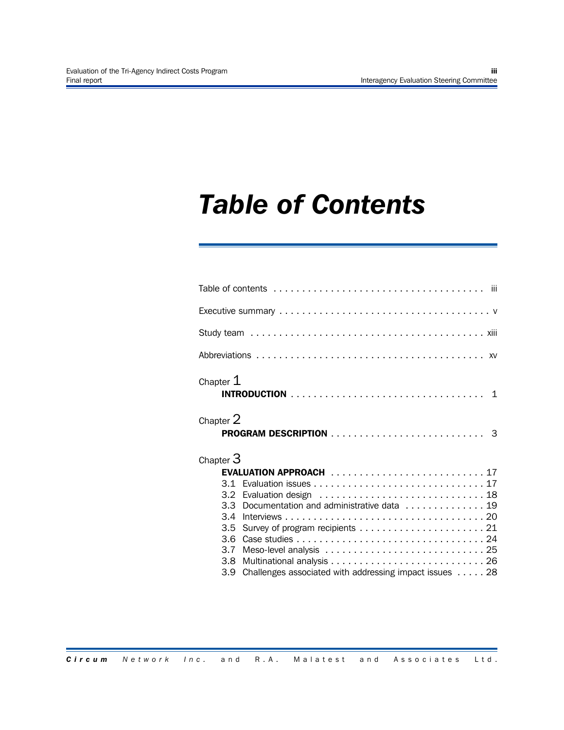### *Table of Contents*

| Chapter $1$               |                                                                                                                                      |  |
|---------------------------|--------------------------------------------------------------------------------------------------------------------------------------|--|
| Chapter 2                 |                                                                                                                                      |  |
| Chapter $3$<br>3.4<br>3.5 | EVALUATION APPROACH 17<br>3.3 Documentation and administrative data 19<br>3.9 Challenges associated with addressing impact issues 28 |  |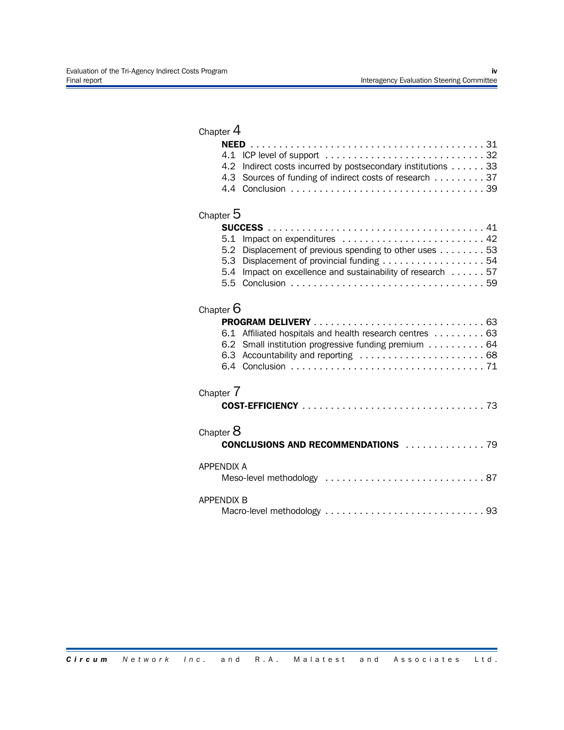| Chapter $4$                     |                                                                                                                                                       |
|---------------------------------|-------------------------------------------------------------------------------------------------------------------------------------------------------|
| 4.1<br>4.2<br>4.3               | Indirect costs incurred by postsecondary institutions 33<br>Sources of funding of indirect costs of research 37                                       |
| Chapter $5$                     |                                                                                                                                                       |
| 5.1<br>5.2<br>5.3<br>5.4<br>5.5 | Displacement of previous spending to other uses 53<br>Displacement of provincial funding 54<br>Impact on excellence and sustainability of research 57 |
| Chapter $6$                     |                                                                                                                                                       |
| 6.1                             | Affiliated hospitals and health research centres 63<br>6.2 Small institution progressive funding premium 64                                           |
| Chapter 7                       |                                                                                                                                                       |
| Chapter $8$                     | <b>CONCLUSIONS AND RECOMMENDATIONS 79</b>                                                                                                             |
| <b>APPENDIX A</b>               |                                                                                                                                                       |
| <b>APPENDIX B</b>               |                                                                                                                                                       |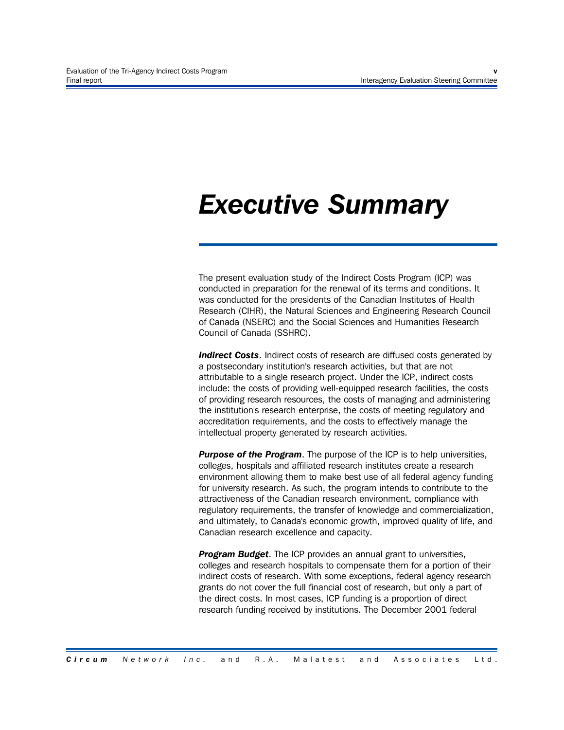### *Executive Summary*

The present evaluation study of the Indirect Costs Program (ICP) was conducted in preparation for the renewal of its terms and conditions. It was conducted for the presidents of the Canadian Institutes of Health Research (CIHR), the Natural Sciences and Engineering Research Council of Canada (NSERC) and the Social Sciences and Humanities Research Council of Canada (SSHRC).

**Indirect Costs.** Indirect costs of research are diffused costs generated by a postsecondary institution's research activities, but that are not attributable to a single research project. Under the ICP, indirect costs include: the costs of providing well-equipped research facilities, the costs of providing research resources, the costs of managing and administering the institution's research enterprise, the costs of meeting regulatory and accreditation requirements, and the costs to effectively manage the intellectual property generated by research activities.

*Purpose of the Program*. The purpose of the ICP is to help universities, colleges, hospitals and affiliated research institutes create a research environment allowing them to make best use of all federal agency funding for university research. As such, the program intends to contribute to the attractiveness of the Canadian research environment, compliance with regulatory requirements, the transfer of knowledge and commercialization, and ultimately, to Canada's economic growth, improved quality of life, and Canadian research excellence and capacity.

*Program Budget*. The ICP provides an annual grant to universities, colleges and research hospitals to compensate them for a portion of their indirect costs of research. With some exceptions, federal agency research grants do not cover the full financial cost of research, but only a part of the direct costs. In most cases, ICP funding is a proportion of direct research funding received by institutions. The December 2001 federal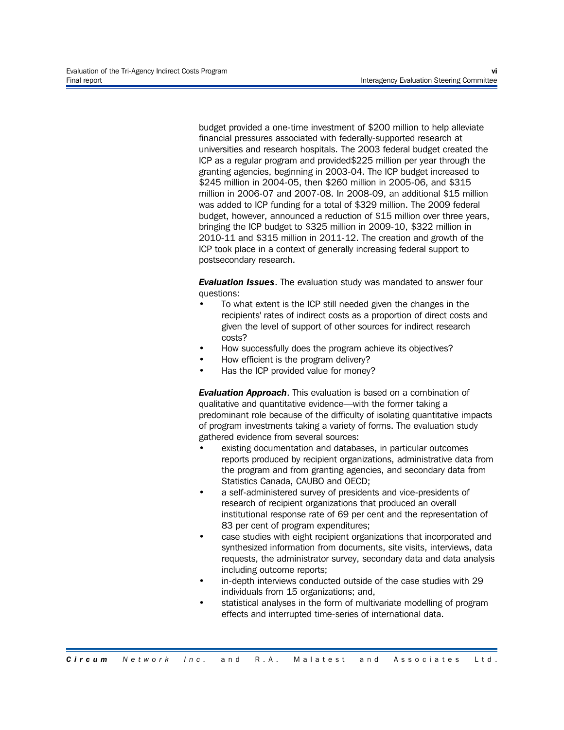budget provided a one-time investment of \$200 million to help alleviate financial pressures associated with federally-supported research at universities and research hospitals. The 2003 federal budget created the ICP as a regular program and provided\$225 million per year through the granting agencies, beginning in 2003-04. The ICP budget increased to \$245 million in 2004-05, then \$260 million in 2005-06, and \$315 million in 2006-07 and 2007-08. In 2008-09, an additional \$15 million was added to ICP funding for a total of \$329 million. The 2009 federal budget, however, announced a reduction of \$15 million over three years, bringing the ICP budget to \$325 million in 2009-10, \$322 million in 2010-11 and \$315 million in 2011-12. The creation and growth of the ICP took place in a context of generally increasing federal support to postsecondary research.

*Evaluation Issues*. The evaluation study was mandated to answer four questions:

- To what extent is the ICP still needed given the changes in the recipients' rates of indirect costs as a proportion of direct costs and given the level of support of other sources for indirect research costs?
- How successfully does the program achieve its objectives?
- How efficient is the program delivery?
- Has the ICP provided value for money?

*Evaluation Approach*. This evaluation is based on a combination of qualitative and quantitative evidence—with the former taking a predominant role because of the difficulty of isolating quantitative impacts of program investments taking a variety of forms. The evaluation study gathered evidence from several sources:

- existing documentation and databases, in particular outcomes reports produced by recipient organizations, administrative data from the program and from granting agencies, and secondary data from Statistics Canada, CAUBO and OECD;
- a self-administered survey of presidents and vice-presidents of research of recipient organizations that produced an overall institutional response rate of 69 per cent and the representation of 83 per cent of program expenditures;
- case studies with eight recipient organizations that incorporated and synthesized information from documents, site visits, interviews, data requests, the administrator survey, secondary data and data analysis including outcome reports;
- in-depth interviews conducted outside of the case studies with 29 individuals from 15 organizations; and,
- statistical analyses in the form of multivariate modelling of program effects and interrupted time-series of international data.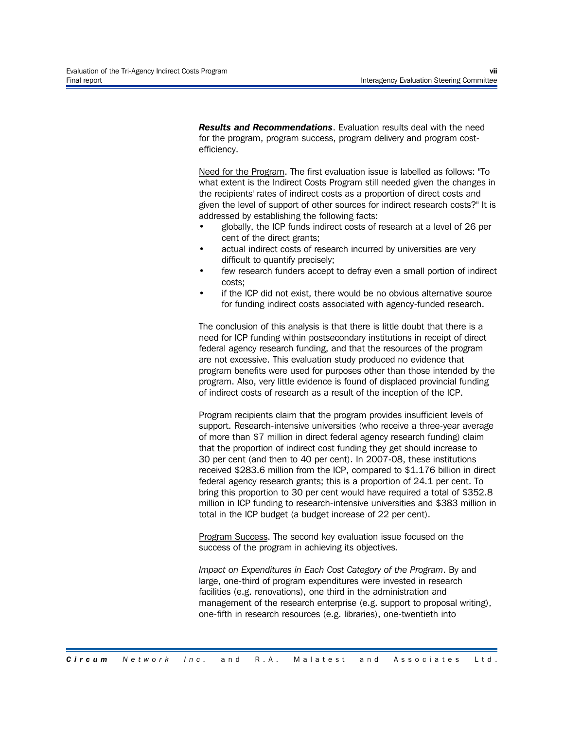*Results and Recommendations*. Evaluation results deal with the need for the program, program success, program delivery and program costefficiency.

Need for the Program. The first evaluation issue is labelled as follows: "To what extent is the Indirect Costs Program still needed given the changes in the recipients' rates of indirect costs as a proportion of direct costs and given the level of support of other sources for indirect research costs?" It is addressed by establishing the following facts:

- globally, the ICP funds indirect costs of research at a level of 26 per cent of the direct grants;
- actual indirect costs of research incurred by universities are very difficult to quantify precisely;
- few research funders accept to defray even a small portion of indirect costs;
- if the ICP did not exist, there would be no obvious alternative source for funding indirect costs associated with agency-funded research.

The conclusion of this analysis is that there is little doubt that there is a need for ICP funding within postsecondary institutions in receipt of direct federal agency research funding, and that the resources of the program are not excessive. This evaluation study produced no evidence that program benefits were used for purposes other than those intended by the program. Also, very little evidence is found of displaced provincial funding of indirect costs of research as a result of the inception of the ICP.

Program recipients claim that the program provides insufficient levels of support. Research-intensive universities (who receive a three-year average of more than \$7 million in direct federal agency research funding) claim that the proportion of indirect cost funding they get should increase to 30 per cent (and then to 40 per cent). In 2007-08, these institutions received \$283.6 million from the ICP, compared to \$1.176 billion in direct federal agency research grants; this is a proportion of 24.1 per cent. To bring this proportion to 30 per cent would have required a total of \$352.8 million in ICP funding to research-intensive universities and \$383 million in total in the ICP budget (a budget increase of 22 per cent).

Program Success. The second key evaluation issue focused on the success of the program in achieving its objectives.

*Impact on Expenditures in Each Cost Category of the Program*. By and large, one-third of program expenditures were invested in research facilities (e.g. renovations), one third in the administration and management of the research enterprise (e.g. support to proposal writing), one-fifth in research resources (e.g. libraries), one-twentieth into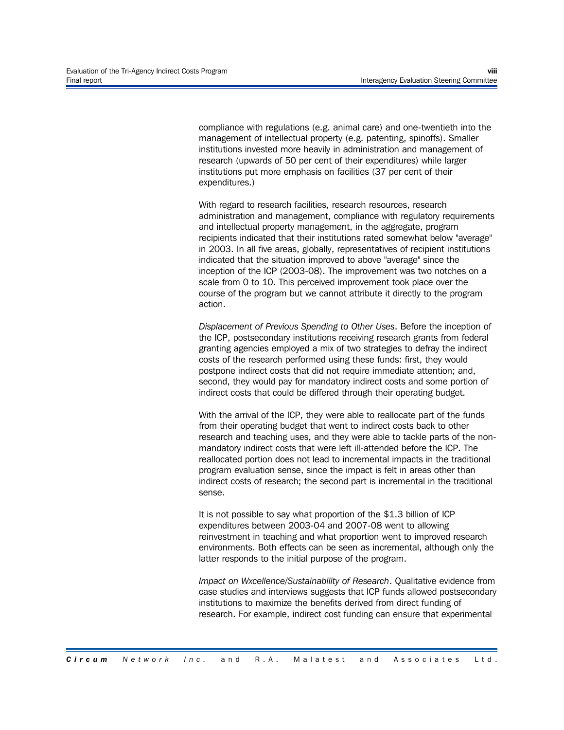compliance with regulations (e.g. animal care) and one-twentieth into the management of intellectual property (e.g. patenting, spinoffs). Smaller institutions invested more heavily in administration and management of research (upwards of 50 per cent of their expenditures) while larger institutions put more emphasis on facilities (37 per cent of their expenditures.)

With regard to research facilities, research resources, research administration and management, compliance with regulatory requirements and intellectual property management, in the aggregate, program recipients indicated that their institutions rated somewhat below "average" in 2003. In all five areas, globally, representatives of recipient institutions indicated that the situation improved to above "average" since the inception of the ICP (2003-08). The improvement was two notches on a scale from 0 to 10. This perceived improvement took place over the course of the program but we cannot attribute it directly to the program action.

*Displacement of Previous Spending to Other Uses*. Before the inception of the ICP, postsecondary institutions receiving research grants from federal granting agencies employed a mix of two strategies to defray the indirect costs of the research performed using these funds: first, they would postpone indirect costs that did not require immediate attention; and, second, they would pay for mandatory indirect costs and some portion of indirect costs that could be differed through their operating budget.

With the arrival of the ICP, they were able to reallocate part of the funds from their operating budget that went to indirect costs back to other research and teaching uses, and they were able to tackle parts of the nonmandatory indirect costs that were left ill-attended before the ICP. The reallocated portion does not lead to incremental impacts in the traditional program evaluation sense, since the impact is felt in areas other than indirect costs of research; the second part is incremental in the traditional sense.

It is not possible to say what proportion of the \$1.3 billion of ICP expenditures between 2003-04 and 2007-08 went to allowing reinvestment in teaching and what proportion went to improved research environments. Both effects can be seen as incremental, although only the latter responds to the initial purpose of the program.

*Impact on Wxcellence/Sustainability of Research*. Qualitative evidence from case studies and interviews suggests that ICP funds allowed postsecondary institutions to maximize the benefits derived from direct funding of research. For example, indirect cost funding can ensure that experimental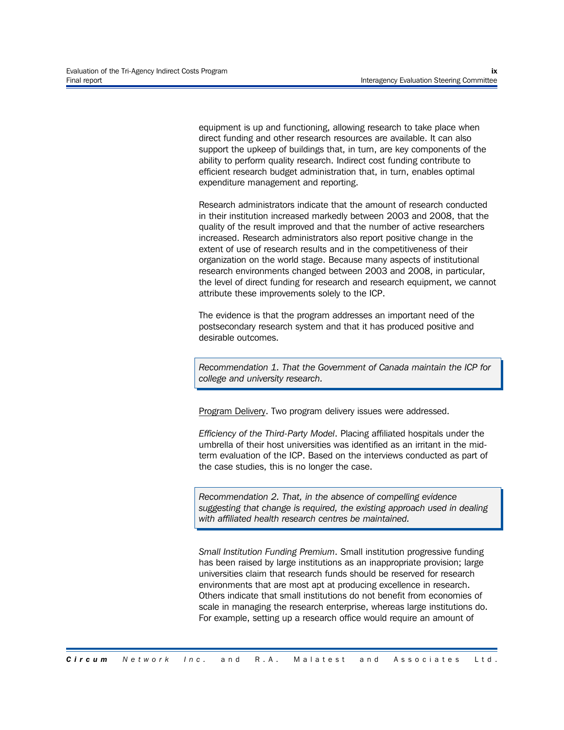equipment is up and functioning, allowing research to take place when direct funding and other research resources are available. It can also support the upkeep of buildings that, in turn, are key components of the ability to perform quality research. Indirect cost funding contribute to efficient research budget administration that, in turn, enables optimal expenditure management and reporting.

Research administrators indicate that the amount of research conducted in their institution increased markedly between 2003 and 2008, that the quality of the result improved and that the number of active researchers increased. Research administrators also report positive change in the extent of use of research results and in the competitiveness of their organization on the world stage. Because many aspects of institutional research environments changed between 2003 and 2008, in particular, the level of direct funding for research and research equipment, we cannot attribute these improvements solely to the ICP.

The evidence is that the program addresses an important need of the postsecondary research system and that it has produced positive and desirable outcomes.

*Recommendation 1. That the Government of Canada maintain the ICP for college and university research.*

Program Delivery. Two program delivery issues were addressed.

*Efficiency of the Third-Party Model*. Placing affiliated hospitals under the umbrella of their host universities was identified as an irritant in the midterm evaluation of the ICP. Based on the interviews conducted as part of the case studies, this is no longer the case.

*Recommendation 2. That, in the absence of compelling evidence suggesting that change is required, the existing approach used in dealing with affiliated health research centres be maintained.*

*Small Institution Funding Premium*. Small institution progressive funding has been raised by large institutions as an inappropriate provision; large universities claim that research funds should be reserved for research environments that are most apt at producing excellence in research. Others indicate that small institutions do not benefit from economies of scale in managing the research enterprise, whereas large institutions do. For example, setting up a research office would require an amount of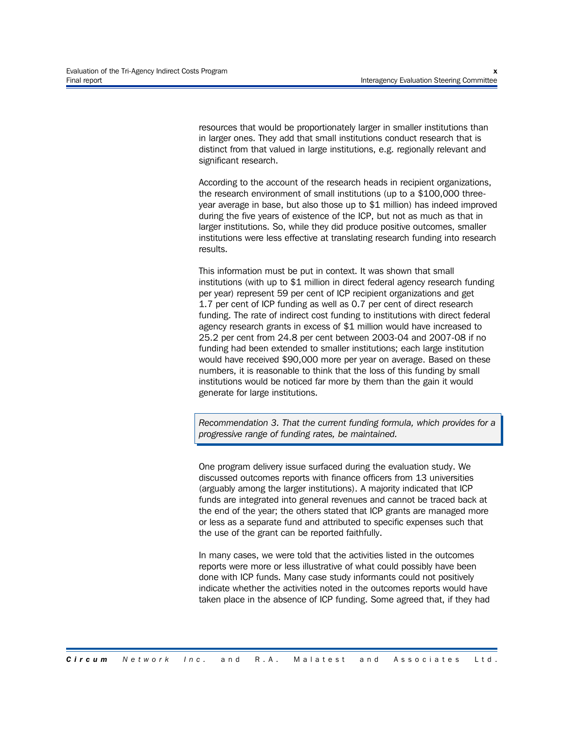resources that would be proportionately larger in smaller institutions than in larger ones. They add that small institutions conduct research that is distinct from that valued in large institutions, e.g. regionally relevant and significant research.

According to the account of the research heads in recipient organizations, the research environment of small institutions (up to a \$100,000 threeyear average in base, but also those up to \$1 million) has indeed improved during the five years of existence of the ICP, but not as much as that in larger institutions. So, while they did produce positive outcomes, smaller institutions were less effective at translating research funding into research results.

This information must be put in context. It was shown that small institutions (with up to \$1 million in direct federal agency research funding per year) represent 59 per cent of ICP recipient organizations and get 1.7 per cent of ICP funding as well as 0.7 per cent of direct research funding. The rate of indirect cost funding to institutions with direct federal agency research grants in excess of \$1 million would have increased to 25.2 per cent from 24.8 per cent between 2003-04 and 2007-08 if no funding had been extended to smaller institutions; each large institution would have received \$90,000 more per year on average. Based on these numbers, it is reasonable to think that the loss of this funding by small institutions would be noticed far more by them than the gain it would generate for large institutions.

*Recommendation 3. That the current funding formula, which provides for a progressive range of funding rates, be maintained.*

One program delivery issue surfaced during the evaluation study. We discussed outcomes reports with finance officers from 13 universities (arguably among the larger institutions). A majority indicated that ICP funds are integrated into general revenues and cannot be traced back at the end of the year; the others stated that ICP grants are managed more or less as a separate fund and attributed to specific expenses such that the use of the grant can be reported faithfully.

In many cases, we were told that the activities listed in the outcomes reports were more or less illustrative of what could possibly have been done with ICP funds. Many case study informants could not positively indicate whether the activities noted in the outcomes reports would have taken place in the absence of ICP funding. Some agreed that, if they had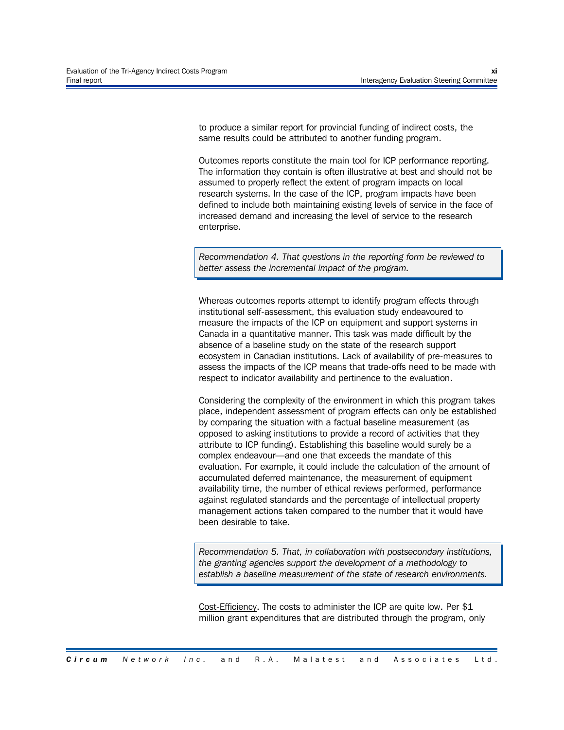to produce a similar report for provincial funding of indirect costs, the same results could be attributed to another funding program.

Outcomes reports constitute the main tool for ICP performance reporting. The information they contain is often illustrative at best and should not be assumed to properly reflect the extent of program impacts on local research systems. In the case of the ICP, program impacts have been defined to include both maintaining existing levels of service in the face of increased demand and increasing the level of service to the research enterprise.

*Recommendation 4. That questions in the reporting form be reviewed to better assess the incremental impact of the program.*

Whereas outcomes reports attempt to identify program effects through institutional self-assessment, this evaluation study endeavoured to measure the impacts of the ICP on equipment and support systems in Canada in a quantitative manner. This task was made difficult by the absence of a baseline study on the state of the research support ecosystem in Canadian institutions. Lack of availability of pre-measures to assess the impacts of the ICP means that trade-offs need to be made with respect to indicator availability and pertinence to the evaluation.

Considering the complexity of the environment in which this program takes place, independent assessment of program effects can only be established by comparing the situation with a factual baseline measurement (as opposed to asking institutions to provide a record of activities that they attribute to ICP funding). Establishing this baseline would surely be a complex endeavour—and one that exceeds the mandate of this evaluation. For example, it could include the calculation of the amount of accumulated deferred maintenance, the measurement of equipment availability time, the number of ethical reviews performed, performance against regulated standards and the percentage of intellectual property management actions taken compared to the number that it would have been desirable to take.

*Recommendation 5. That, in collaboration with postsecondary institutions, the granting agencies support the development of a methodology to establish a baseline measurement of the state of research environments.*

Cost-Efficiency. The costs to administer the ICP are quite low. Per \$1 million grant expenditures that are distributed through the program, only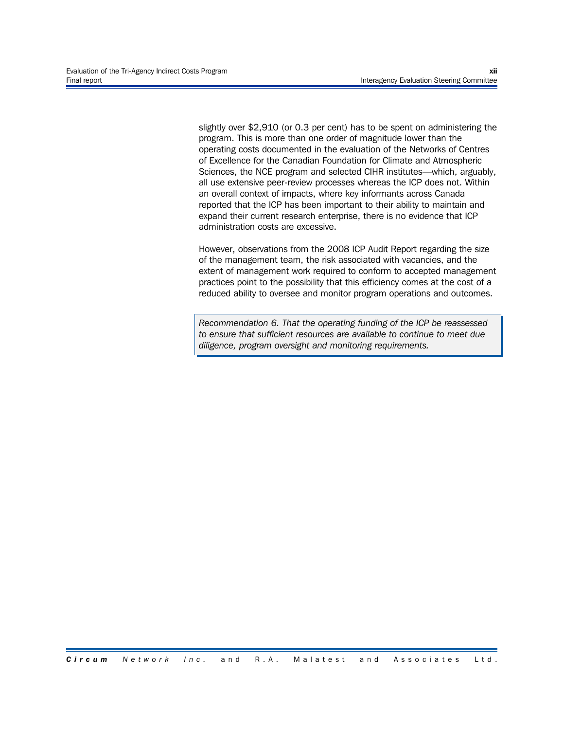slightly over \$2,910 (or 0.3 per cent) has to be spent on administering the program. This is more than one order of magnitude lower than the operating costs documented in the evaluation of the Networks of Centres of Excellence for the Canadian Foundation for Climate and Atmospheric Sciences, the NCE program and selected CIHR institutes—which, arguably, all use extensive peer-review processes whereas the ICP does not. Within an overall context of impacts, where key informants across Canada reported that the ICP has been important to their ability to maintain and expand their current research enterprise, there is no evidence that ICP administration costs are excessive.

However, observations from the 2008 ICP Audit Report regarding the size of the management team, the risk associated with vacancies, and the extent of management work required to conform to accepted management practices point to the possibility that this efficiency comes at the cost of a reduced ability to oversee and monitor program operations and outcomes.

*Recommendation 6. That the operating funding of the ICP be reassessed to ensure that sufficient resources are available to continue to meet due diligence, program oversight and monitoring requirements.*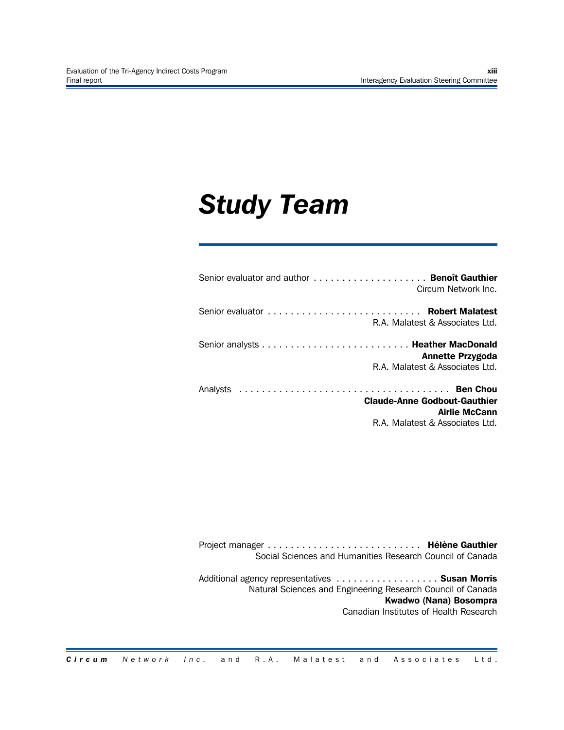## *Study Team*

| Circum Network Inc.                                                                            |
|------------------------------------------------------------------------------------------------|
| R.A. Malatest & Associates Ltd.                                                                |
| <b>Annette Przygoda</b><br>R.A. Malatest & Associates Ltd.                                     |
| <b>Claude-Anne Godbout-Gauthier</b><br><b>Airlie McCann</b><br>R.A. Malatest & Associates Ltd. |

Project manager ........................... **Hélène Gauthier** Social Sciences and Humanities Research Council of Canada

Additional agency representatives .................. **Susan Morris** Natural Sciences and Engineering Research Council of Canada **Kwadwo (Nana) Bosompra** Canadian Institutes of Health Research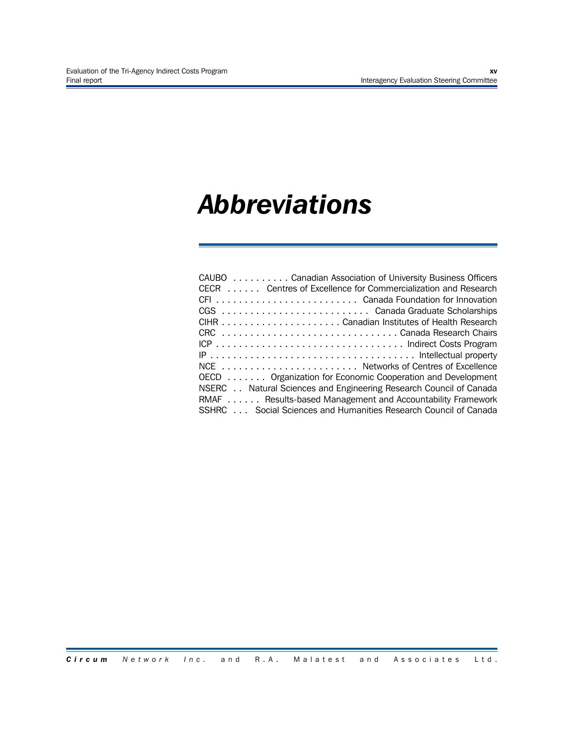### *Abbreviations*

| CAUBO Canadian Association of University Business Officers        |
|-------------------------------------------------------------------|
| CECR Centres of Excellence for Commercialization and Research     |
|                                                                   |
|                                                                   |
|                                                                   |
| CRC Canada Research Chairs                                        |
|                                                                   |
|                                                                   |
|                                                                   |
| OECD Organization for Economic Cooperation and Development        |
| NSERC Natural Sciences and Engineering Research Council of Canada |
| RMAF Results-based Management and Accountability Framework        |
| SSHRC Social Sciences and Humanities Research Council of Canada   |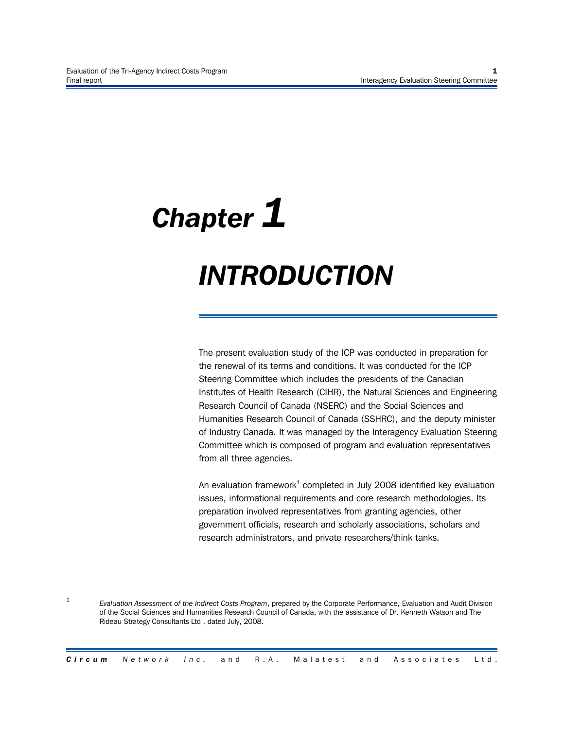# *Chapter 1 INTRODUCTION*

The present evaluation study of the ICP was conducted in preparation for the renewal of its terms and conditions. It was conducted for the ICP Steering Committee which includes the presidents of the Canadian Institutes of Health Research (CIHR), the Natural Sciences and Engineering Research Council of Canada (NSERC) and the Social Sciences and Humanities Research Council of Canada (SSHRC), and the deputy minister of Industry Canada. It was managed by the Interagency Evaluation Steering Committee which is composed of program and evaluation representatives from all three agencies.

An evaluation framework $^1$  completed in July 2008 identified key evaluation issues, informational requirements and core research methodologies. Its preparation involved representatives from granting agencies, other government officials, research and scholarly associations, scholars and research administrators, and private researchers/think tanks.

1 *Evaluation Assessment of the Indirect Costs Program*, prepared by the Corporate Performance, Evaluation and Audit Division of the Social Sciences and Humanities Research Council of Canada, with the assistance of Dr. Kenneth Watson and The Rideau Strategy Consultants Ltd , dated July, 2008.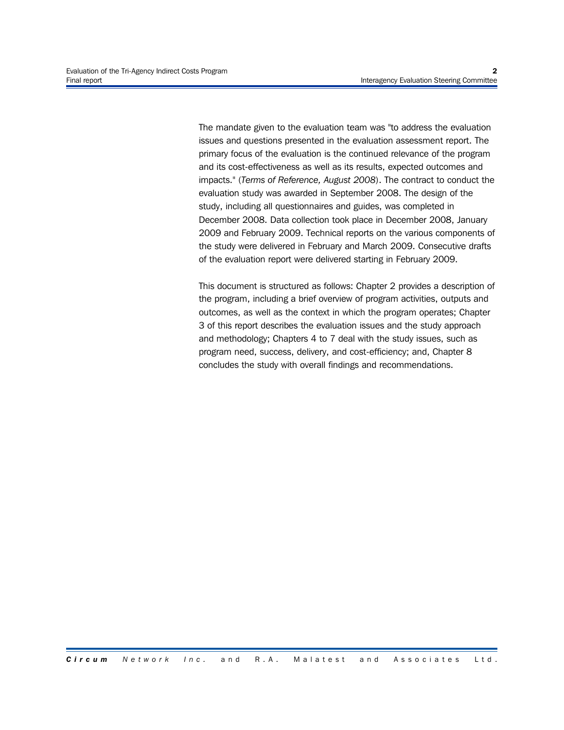The mandate given to the evaluation team was "to address the evaluation issues and questions presented in the evaluation assessment report. The primary focus of the evaluation is the continued relevance of the program and its cost-effectiveness as well as its results, expected outcomes and impacts." (*Terms of Reference, August 2008*). The contract to conduct the evaluation study was awarded in September 2008. The design of the study, including all questionnaires and guides, was completed in December 2008. Data collection took place in December 2008, January 2009 and February 2009. Technical reports on the various components of the study were delivered in February and March 2009. Consecutive drafts of the evaluation report were delivered starting in February 2009.

This document is structured as follows: Chapter 2 provides a description of the program, including a brief overview of program activities, outputs and outcomes, as well as the context in which the program operates; Chapter 3 of this report describes the evaluation issues and the study approach and methodology; Chapters 4 to 7 deal with the study issues, such as program need, success, delivery, and cost-efficiency; and, Chapter 8 concludes the study with overall findings and recommendations.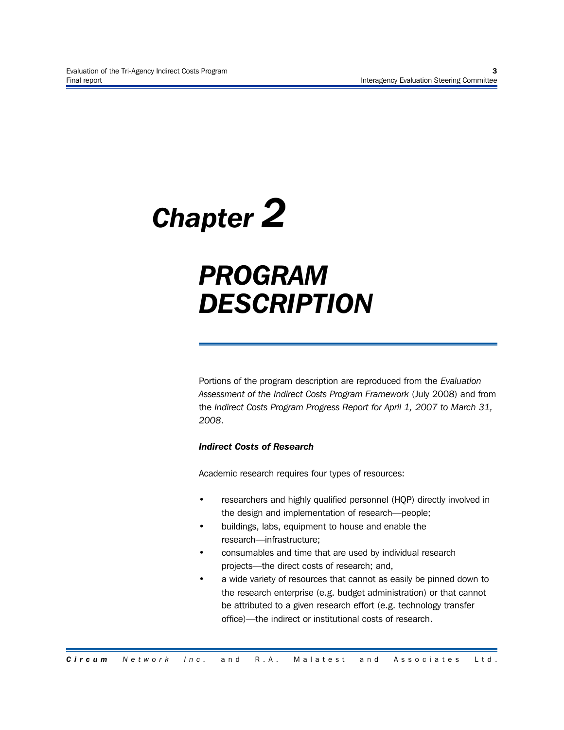## *Chapter 2*

### *PROGRAM DESCRIPTION*

Portions of the program description are reproduced from the *Evaluation Assessment of the Indirect Costs Program Framework* (July 2008) and from the *Indirect Costs Program Progress Report for April 1, 2007 to March 31, 2008*.

#### *Indirect Costs of Research*

Academic research requires four types of resources:

- researchers and highly qualified personnel (HQP) directly involved in the design and implementation of research—people;
- buildings, labs, equipment to house and enable the research—infrastructure;
- consumables and time that are used by individual research projects—the direct costs of research; and,
- a wide variety of resources that cannot as easily be pinned down to the research enterprise (e.g. budget administration) or that cannot be attributed to a given research effort (e.g. technology transfer office)—the indirect or institutional costs of research.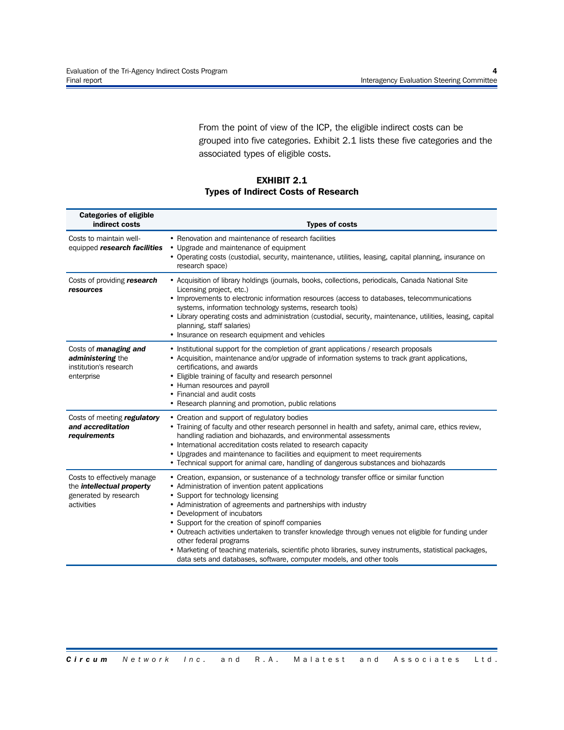From the point of view of the ICP, the eligible indirect costs can be grouped into five categories. Exhibit 2.1 lists these five categories and the associated types of eligible costs.

#### **EXHIBIT 2.1 Types of Indirect Costs of Research**

| <b>Categories of eligible</b><br>indirect costs                                                        | <b>Types of costs</b>                                                                                                                                                                                                                                                                                                                                                                                                                                                                                                                                                                                                                                       |
|--------------------------------------------------------------------------------------------------------|-------------------------------------------------------------------------------------------------------------------------------------------------------------------------------------------------------------------------------------------------------------------------------------------------------------------------------------------------------------------------------------------------------------------------------------------------------------------------------------------------------------------------------------------------------------------------------------------------------------------------------------------------------------|
| Costs to maintain well-<br>equipped research facilities                                                | • Renovation and maintenance of research facilities<br>• Upgrade and maintenance of equipment<br>• Operating costs (custodial, security, maintenance, utilities, leasing, capital planning, insurance on<br>research space)                                                                                                                                                                                                                                                                                                                                                                                                                                 |
| Costs of providing research<br>resources                                                               | • Acquisition of library holdings (journals, books, collections, periodicals, Canada National Site<br>Licensing project, etc.)<br>• Improvements to electronic information resources (access to databases, telecommunications<br>systems, information technology systems, research tools)<br>• Library operating costs and administration (custodial, security, maintenance, utilities, leasing, capital<br>planning, staff salaries)<br>• Insurance on research equipment and vehicles                                                                                                                                                                     |
| Costs of <i>managing and</i><br>administering the<br>institution's research<br>enterprise              | • Institutional support for the completion of grant applications / research proposals<br>• Acquisition, maintenance and/or upgrade of information systems to track grant applications,<br>certifications, and awards<br>• Eligible training of faculty and research personnel<br>• Human resources and payroll<br>• Financial and audit costs<br>• Research planning and promotion, public relations                                                                                                                                                                                                                                                        |
| Costs of meeting regulatory<br>and accreditation<br>requirements                                       | • Creation and support of regulatory bodies<br>• Training of faculty and other research personnel in health and safety, animal care, ethics review,<br>handling radiation and biohazards, and environmental assessments<br>• International accreditation costs related to research capacity<br>• Upgrades and maintenance to facilities and equipment to meet requirements<br>• Technical support for animal care, handling of dangerous substances and biohazards                                                                                                                                                                                          |
| Costs to effectively manage<br>the <i>intellectual property</i><br>generated by research<br>activities | • Creation, expansion, or sustenance of a technology transfer office or similar function<br>• Administration of invention patent applications<br>• Support for technology licensing<br>• Administration of agreements and partnerships with industry<br>• Development of incubators<br>• Support for the creation of spinoff companies<br>• Outreach activities undertaken to transfer knowledge through venues not eligible for funding under<br>other federal programs<br>• Marketing of teaching materials, scientific photo libraries, survey instruments, statistical packages,<br>data sets and databases, software, computer models, and other tools |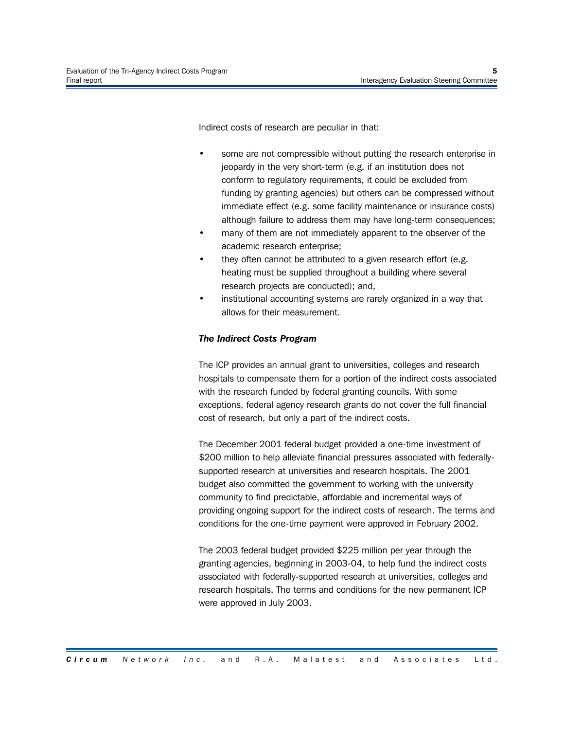Indirect costs of research are peculiar in that:

- some are not compressible without putting the research enterprise in jeopardy in the very short-term (e.g. if an institution does not conform to regulatory requirements, it could be excluded from funding by granting agencies) but others can be compressed without immediate effect (e.g. some facility maintenance or insurance costs) although failure to address them may have long-term consequences;
- many of them are not immediately apparent to the observer of the academic research enterprise;
- they often cannot be attributed to a given research effort (e.g. heating must be supplied throughout a building where several research projects are conducted); and,
- institutional accounting systems are rarely organized in a way that allows for their measurement.

#### *The Indirect Costs Program*

The ICP provides an annual grant to universities, colleges and research hospitals to compensate them for a portion of the indirect costs associated with the research funded by federal granting councils. With some exceptions, federal agency research grants do not cover the full financial cost of research, but only a part of the indirect costs.

The December 2001 federal budget provided a one-time investment of \$200 million to help alleviate financial pressures associated with federallysupported research at universities and research hospitals. The 2001 budget also committed the government to working with the university community to find predictable, affordable and incremental ways of providing ongoing support for the indirect costs of research. The terms and conditions for the one-time payment were approved in February 2002.

The 2003 federal budget provided \$225 million per year through the granting agencies, beginning in 2003-04, to help fund the indirect costs associated with federally-supported research at universities, colleges and research hospitals. The terms and conditions for the new permanent ICP were approved in July 2003.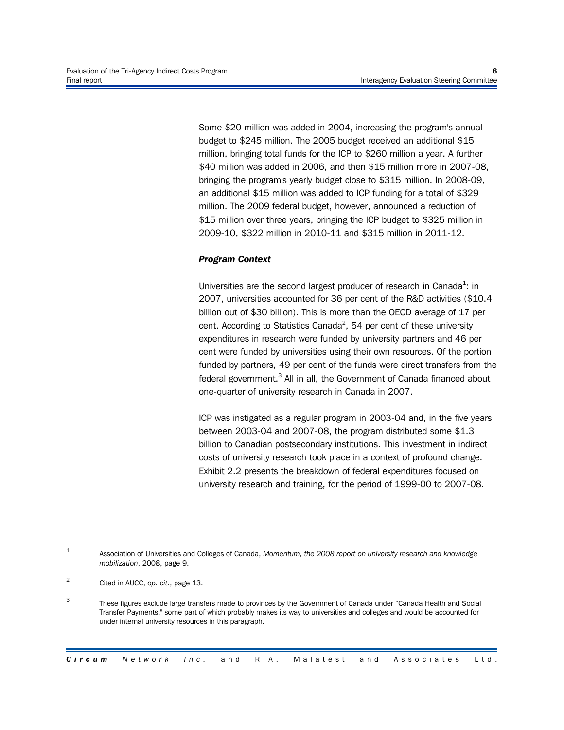Some \$20 million was added in 2004, increasing the program's annual budget to \$245 million. The 2005 budget received an additional \$15 million, bringing total funds for the ICP to \$260 million a year. A further \$40 million was added in 2006, and then \$15 million more in 2007-08, bringing the program's yearly budget close to \$315 million. In 2008-09, an additional \$15 million was added to ICP funding for a total of \$329 million. The 2009 federal budget, however, announced a reduction of \$15 million over three years, bringing the ICP budget to \$325 million in 2009-10, \$322 million in 2010-11 and \$315 million in 2011-12.

#### *Program Context*

Universities are the second largest producer of research in Canada<sup>1</sup>: in 2007, universities accounted for 36 per cent of the R&D activities (\$10.4 billion out of \$30 billion). This is more than the OECD average of 17 per cent. According to Statistics Canada<sup>2</sup>, 54 per cent of these university expenditures in research were funded by university partners and 46 per cent were funded by universities using their own resources. Of the portion funded by partners, 49 per cent of the funds were direct transfers from the federal government.<sup>3</sup> All in all, the Government of Canada financed about one-quarter of university research in Canada in 2007.

ICP was instigated as a regular program in 2003-04 and, in the five years between 2003-04 and 2007-08, the program distributed some \$1.3 billion to Canadian postsecondary institutions. This investment in indirect costs of university research took place in a context of profound change. Exhibit 2.2 presents the breakdown of federal expenditures focused on university research and training, for the period of 1999-00 to 2007-08.

3 These figures exclude large transfers made to provinces by the Government of Canada under "Canada Health and Social Transfer Payments," some part of which probably makes its way to universities and colleges and would be accounted for under internal university resources in this paragraph.

<sup>1</sup> Association of Universities and Colleges of Canada, *Momentum, the 2008 report on university research and knowledge mobilization*, 2008, page 9.

<sup>2</sup> Cited in AUCC, *op. cit.*, page 13.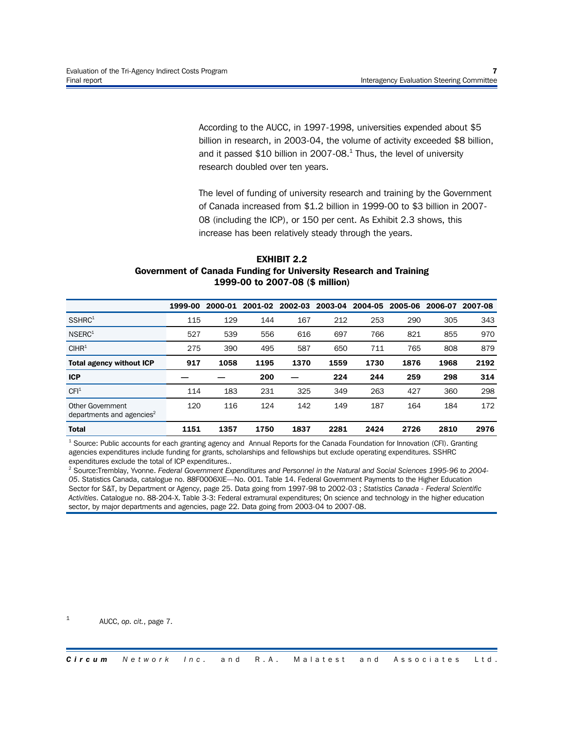According to the AUCC, in 1997-1998, universities expended about \$5 billion in research, in 2003-04, the volume of activity exceeded \$8 billion, and it passed \$10 billion in 2007-08. $^{1}$  Thus, the level of university research doubled over ten years.

The level of funding of university research and training by the Government of Canada increased from \$1.2 billion in 1999-00 to \$3 billion in 2007- 08 (including the ICP), or 150 per cent. As Exhibit 2.3 shows, this increase has been relatively steady through the years.

#### **EXHIBIT 2.2 Government of Canada Funding for University Research and Training 1999-00 to 2007-08 (\$ million)**

|                                                           | 1999-00 | 2000-01 | 2001-02 | 2002-03 | 2003-04 | 2004-05 | 2005-06 | 2006-07 | 2007-08 |
|-----------------------------------------------------------|---------|---------|---------|---------|---------|---------|---------|---------|---------|
| SSHRC <sup>1</sup>                                        | 115     | 129     | 144     | 167     | 212     | 253     | 290     | 305     | 343     |
| NSERC <sup>1</sup>                                        | 527     | 539     | 556     | 616     | 697     | 766     | 821     | 855     | 970     |
| CIHR <sup>1</sup>                                         | 275     | 390     | 495     | 587     | 650     | 711     | 765     | 808     | 879     |
| <b>Total agency without ICP</b>                           | 917     | 1058    | 1195    | 1370    | 1559    | 1730    | 1876    | 1968    | 2192    |
| <b>ICP</b>                                                |         |         | 200     |         | 224     | 244     | 259     | 298     | 314     |
| CFI <sup>1</sup>                                          | 114     | 183     | 231     | 325     | 349     | 263     | 427     | 360     | 298     |
| Other Government<br>departments and agencies <sup>2</sup> | 120     | 116     | 124     | 142     | 149     | 187     | 164     | 184     | 172     |
| <b>Total</b>                                              | 1151    | 1357    | 1750    | 1837    | 2281    | 2424    | 2726    | 2810    | 2976    |

<sup>1</sup> Source: Public accounts for each granting agency and Annual Reports for the Canada Foundation for Innovation (CFI). Granting agencies expenditures include funding for grants, scholarships and fellowships but exclude operating expenditures. SSHRC expenditures exclude the total of ICP expenditures..

<sup>2</sup> Source:Tremblay, Yvonne. *Federal Government Expenditures and Personnel in the Natural and Social Sciences 1995-96 to 2004- 05*. Statistics Canada, catalogue no. 88F0006XIE—No. 001. Table 14. Federal Government Payments to the Higher Education Sector for S&T, by Department or Agency, page 25. Data going from 1997-98 to 2002-03 ; *Statistics Canada - Federal Scientific Activities*. Catalogue no. 88-204-X. Table 3-3: Federal extramural expenditures; On science and technology in the higher education sector, by major departments and agencies, page 22. Data going from 2003-04 to 2007-08.

1 AUCC, *op. cit.*, page 7.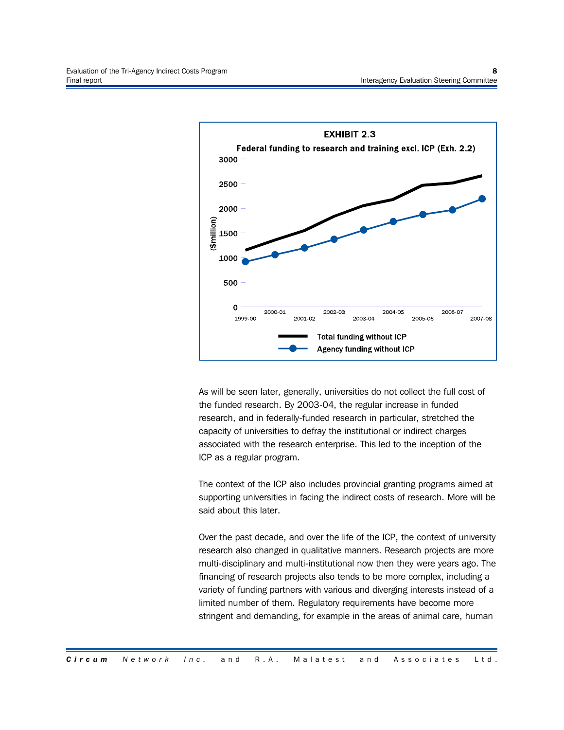

As will be seen later, generally, universities do not collect the full cost of the funded research. By 2003-04, the regular increase in funded research, and in federally-funded research in particular, stretched the capacity of universities to defray the institutional or indirect charges associated with the research enterprise. This led to the inception of the ICP as a regular program.

The context of the ICP also includes provincial granting programs aimed at supporting universities in facing the indirect costs of research. More will be said about this later.

Over the past decade, and over the life of the ICP, the context of university research also changed in qualitative manners. Research projects are more multi-disciplinary and multi-institutional now then they were years ago. The financing of research projects also tends to be more complex, including a variety of funding partners with various and diverging interests instead of a limited number of them. Regulatory requirements have become more stringent and demanding, for example in the areas of animal care, human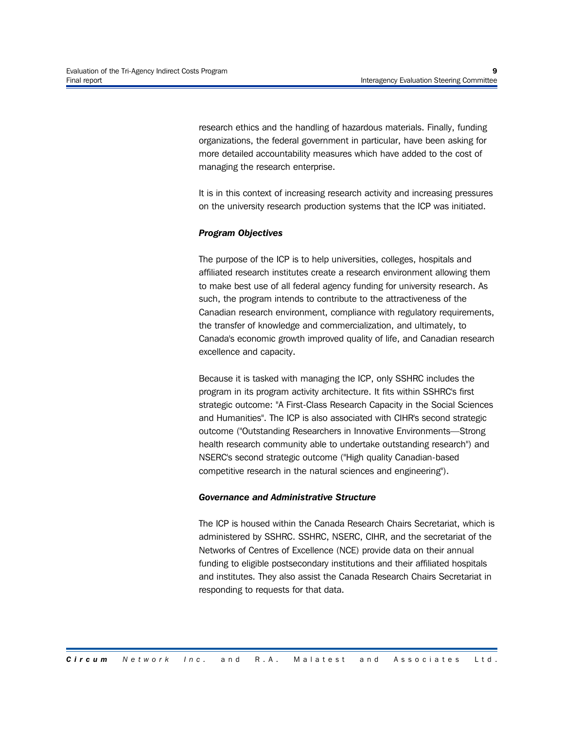research ethics and the handling of hazardous materials. Finally, funding organizations, the federal government in particular, have been asking for more detailed accountability measures which have added to the cost of managing the research enterprise.

It is in this context of increasing research activity and increasing pressures on the university research production systems that the ICP was initiated.

#### *Program Objectives*

The purpose of the ICP is to help universities, colleges, hospitals and affiliated research institutes create a research environment allowing them to make best use of all federal agency funding for university research. As such, the program intends to contribute to the attractiveness of the Canadian research environment, compliance with regulatory requirements, the transfer of knowledge and commercialization, and ultimately, to Canada's economic growth improved quality of life, and Canadian research excellence and capacity.

Because it is tasked with managing the ICP, only SSHRC includes the program in its program activity architecture. It fits within SSHRC's first strategic outcome: "A First-Class Research Capacity in the Social Sciences and Humanities". The ICP is also associated with CIHR's second strategic outcome ("Outstanding Researchers in Innovative Environments—Strong health research community able to undertake outstanding research") and NSERC's second strategic outcome ("High quality Canadian-based competitive research in the natural sciences and engineering").

#### *Governance and Administrative Structure*

The ICP is housed within the Canada Research Chairs Secretariat, which is administered by SSHRC. SSHRC, NSERC, CIHR, and the secretariat of the Networks of Centres of Excellence (NCE) provide data on their annual funding to eligible postsecondary institutions and their affiliated hospitals and institutes. They also assist the Canada Research Chairs Secretariat in responding to requests for that data.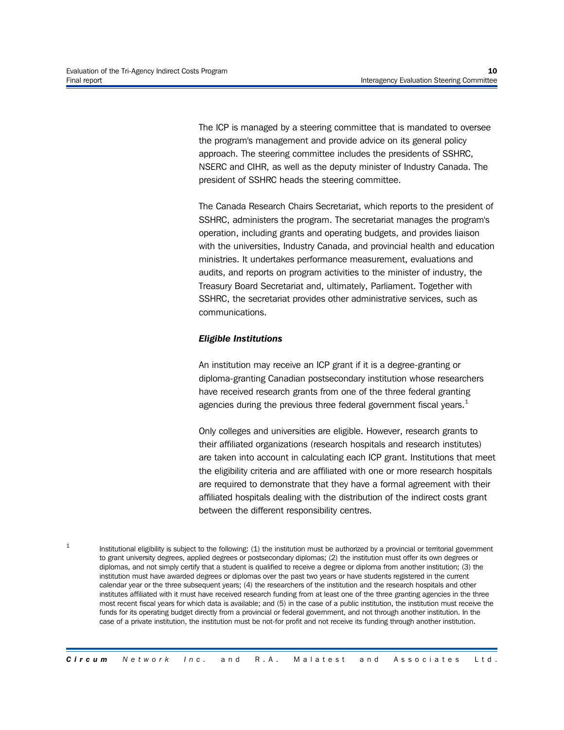1

The ICP is managed by a steering committee that is mandated to oversee the program's management and provide advice on its general policy approach. The steering committee includes the presidents of SSHRC, NSERC and CIHR, as well as the deputy minister of Industry Canada. The president of SSHRC heads the steering committee.

The Canada Research Chairs Secretariat, which reports to the president of SSHRC, administers the program. The secretariat manages the program's operation, including grants and operating budgets, and provides liaison with the universities, Industry Canada, and provincial health and education ministries. It undertakes performance measurement, evaluations and audits, and reports on program activities to the minister of industry, the Treasury Board Secretariat and, ultimately, Parliament. Together with SSHRC, the secretariat provides other administrative services, such as communications.

#### *Eligible Institutions*

An institution may receive an ICP grant if it is a degree-granting or diploma-granting Canadian postsecondary institution whose researchers have received research grants from one of the three federal granting agencies during the previous three federal government fiscal years. $<sup>1</sup>$ </sup>

Only colleges and universities are eligible. However, research grants to their affiliated organizations (research hospitals and research institutes) are taken into account in calculating each ICP grant. Institutions that meet the eligibility criteria and are affiliated with one or more research hospitals are required to demonstrate that they have a formal agreement with their affiliated hospitals dealing with the distribution of the indirect costs grant between the different responsibility centres.

Institutional eligibility is subject to the following: (1) the institution must be authorized by a provincial or territorial government to grant university degrees, applied degrees or postsecondary diplomas; (2) the institution must offer its own degrees or diplomas, and not simply certify that a student is qualified to receive a degree or diploma from another institution; (3) the institution must have awarded degrees or diplomas over the past two years or have students registered in the current calendar year or the three subsequent years; (4) the researchers of the institution and the research hospitals and other institutes affiliated with it must have received research funding from at least one of the three granting agencies in the three most recent fiscal years for which data is available; and (5) in the case of a public institution, the institution must receive the funds for its operating budget directly from a provincial or federal government, and not through another institution. In the case of a private institution, the institution must be not-for profit and not receive its funding through another institution.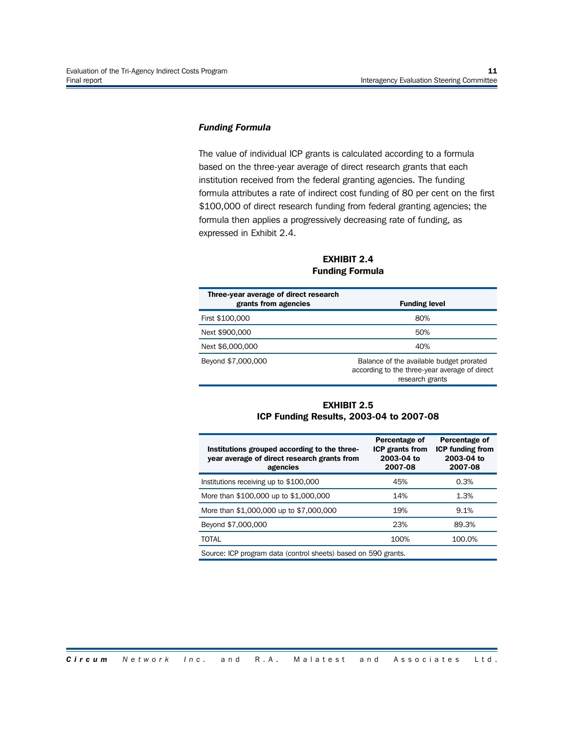#### *Funding Formula*

The value of individual ICP grants is calculated according to a formula based on the three-year average of direct research grants that each institution received from the federal granting agencies. The funding formula attributes a rate of indirect cost funding of 80 per cent on the first \$100,000 of direct research funding from federal granting agencies; the formula then applies a progressively decreasing rate of funding, as expressed in Exhibit 2.4.

**EXHIBIT 2.4 Funding Formula**

| Three-year average of direct research<br>grants from agencies | <b>Funding level</b>                                                                                         |
|---------------------------------------------------------------|--------------------------------------------------------------------------------------------------------------|
| First \$100,000                                               | 80%                                                                                                          |
| Next \$900,000                                                | 50%                                                                                                          |
| Next \$6,000,000                                              | 40%                                                                                                          |
| Beyond \$7,000,000                                            | Balance of the available budget prorated<br>according to the three-year average of direct<br>research grants |

#### **EXHIBIT 2.5 ICP Funding Results, 2003-04 to 2007-08**

| Institutions grouped according to the three-<br>year average of direct research grants from<br>agencies | Percentage of<br><b>ICP grants from</b><br>2003-04 to<br>2007-08 | Percentage of<br><b>ICP funding from</b><br>2003-04 to<br>2007-08 |  |  |  |
|---------------------------------------------------------------------------------------------------------|------------------------------------------------------------------|-------------------------------------------------------------------|--|--|--|
| Institutions receiving up to \$100,000                                                                  | 45%                                                              | 0.3%                                                              |  |  |  |
| More than \$100,000 up to \$1,000,000                                                                   | 14%                                                              | 1.3%                                                              |  |  |  |
| More than \$1,000,000 up to \$7,000,000                                                                 | 19%                                                              | 9.1%                                                              |  |  |  |
| Beyond \$7,000,000                                                                                      | 23%                                                              | 89.3%                                                             |  |  |  |
| <b>TOTAL</b>                                                                                            | 100%                                                             | 100.0%                                                            |  |  |  |
| Source: ICP program data (control sheets) based on 590 grants.                                          |                                                                  |                                                                   |  |  |  |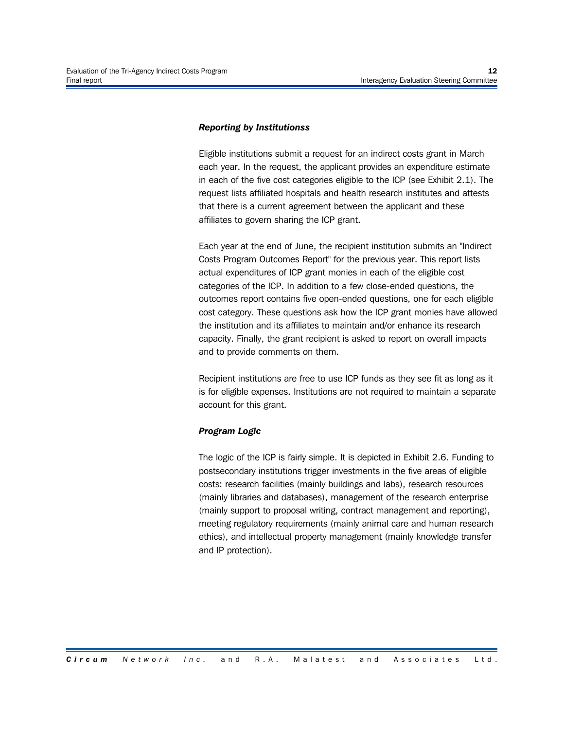#### *Reporting by Institutionss*

Eligible institutions submit a request for an indirect costs grant in March each year. In the request, the applicant provides an expenditure estimate in each of the five cost categories eligible to the ICP (see Exhibit 2.1). The request lists affiliated hospitals and health research institutes and attests that there is a current agreement between the applicant and these affiliates to govern sharing the ICP grant.

Each year at the end of June, the recipient institution submits an "Indirect Costs Program Outcomes Report" for the previous year. This report lists actual expenditures of ICP grant monies in each of the eligible cost categories of the ICP. In addition to a few close-ended questions, the outcomes report contains five open-ended questions, one for each eligible cost category. These questions ask how the ICP grant monies have allowed the institution and its affiliates to maintain and/or enhance its research capacity. Finally, the grant recipient is asked to report on overall impacts and to provide comments on them.

Recipient institutions are free to use ICP funds as they see fit as long as it is for eligible expenses. Institutions are not required to maintain a separate account for this grant.

#### *Program Logic*

The logic of the ICP is fairly simple. It is depicted in Exhibit 2.6. Funding to postsecondary institutions trigger investments in the five areas of eligible costs: research facilities (mainly buildings and labs), research resources (mainly libraries and databases), management of the research enterprise (mainly support to proposal writing, contract management and reporting), meeting regulatory requirements (mainly animal care and human research ethics), and intellectual property management (mainly knowledge transfer and IP protection).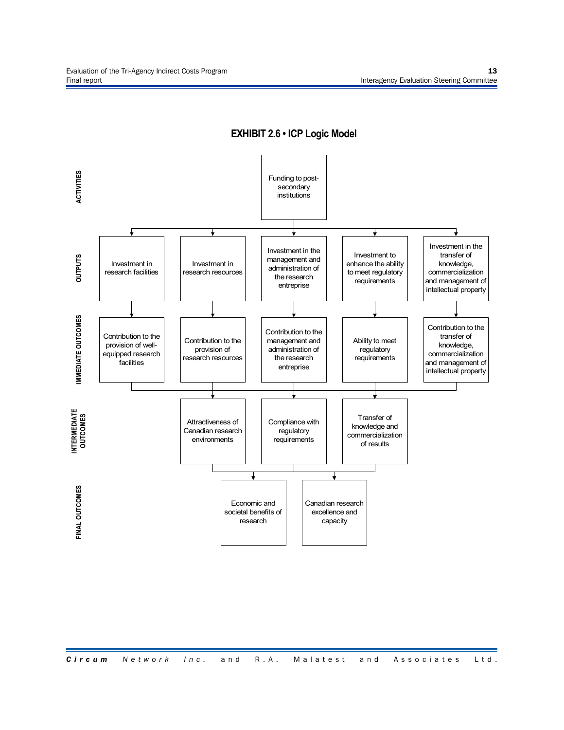

**EXHIBIT 2.6 • ICP Logic Model**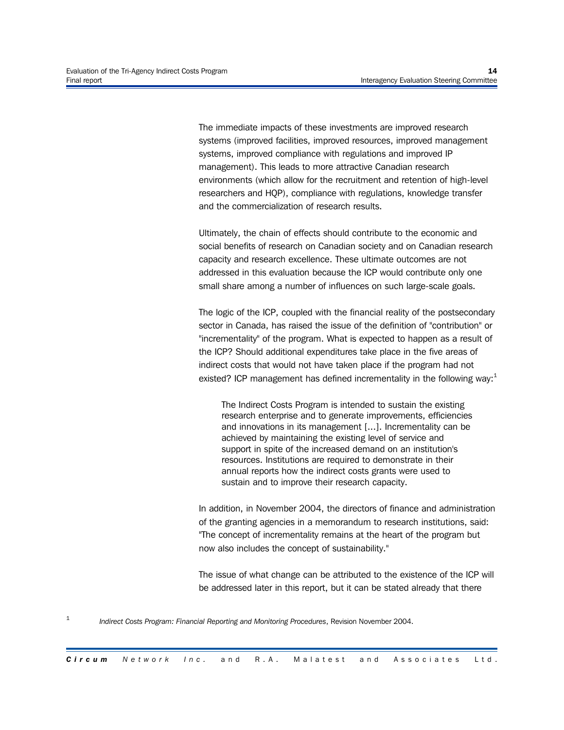The immediate impacts of these investments are improved research systems (improved facilities, improved resources, improved management systems, improved compliance with regulations and improved IP management). This leads to more attractive Canadian research environments (which allow for the recruitment and retention of high-level researchers and HQP), compliance with regulations, knowledge transfer and the commercialization of research results.

Ultimately, the chain of effects should contribute to the economic and social benefits of research on Canadian society and on Canadian research capacity and research excellence. These ultimate outcomes are not addressed in this evaluation because the ICP would contribute only one small share among a number of influences on such large-scale goals.

The logic of the ICP, coupled with the financial reality of the postsecondary sector in Canada, has raised the issue of the definition of "contribution" or "incrementality" of the program. What is expected to happen as a result of the ICP? Should additional expenditures take place in the five areas of indirect costs that would not have taken place if the program had not existed? ICP management has defined incrementality in the following way: $1$ 

The Indirect Costs Program is intended to sustain the existing research enterprise and to generate improvements, efficiencies and innovations in its management [...]. Incrementality can be achieved by maintaining the existing level of service and support in spite of the increased demand on an institution's resources. Institutions are required to demonstrate in their annual reports how the indirect costs grants were used to sustain and to improve their research capacity.

In addition, in November 2004, the directors of finance and administration of the granting agencies in a memorandum to research institutions, said: "The concept of incrementality remains at the heart of the program but now also includes the concept of sustainability."

The issue of what change can be attributed to the existence of the ICP will be addressed later in this report, but it can be stated already that there

<sup>1</sup> *Indirect Costs Program: Financial Reporting and Monitoring Procedures*, Revision November 2004.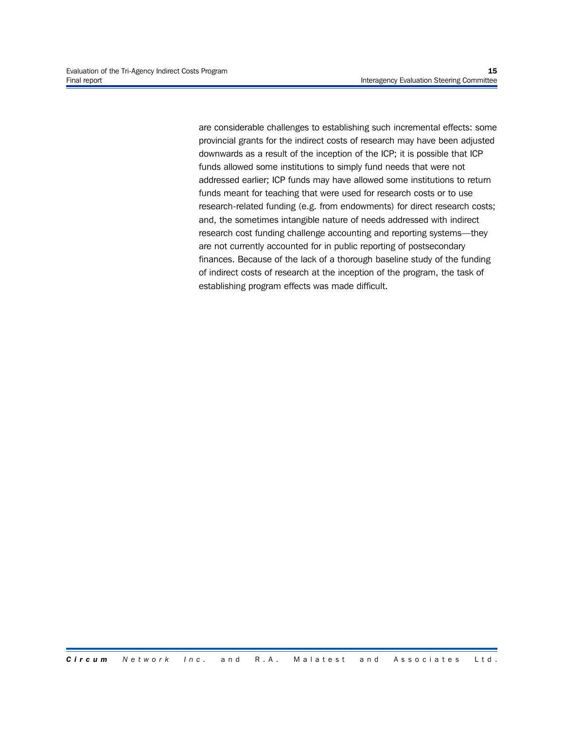are considerable challenges to establishing such incremental effects: some provincial grants for the indirect costs of research may have been adjusted downwards as a result of the inception of the ICP; it is possible that ICP funds allowed some institutions to simply fund needs that were not addressed earlier; ICP funds may have allowed some institutions to return funds meant for teaching that were used for research costs or to use research-related funding (e.g. from endowments) for direct research costs; and, the sometimes intangible nature of needs addressed with indirect research cost funding challenge accounting and reporting systems—they are not currently accounted for in public reporting of postsecondary finances. Because of the lack of a thorough baseline study of the funding of indirect costs of research at the inception of the program, the task of establishing program effects was made difficult.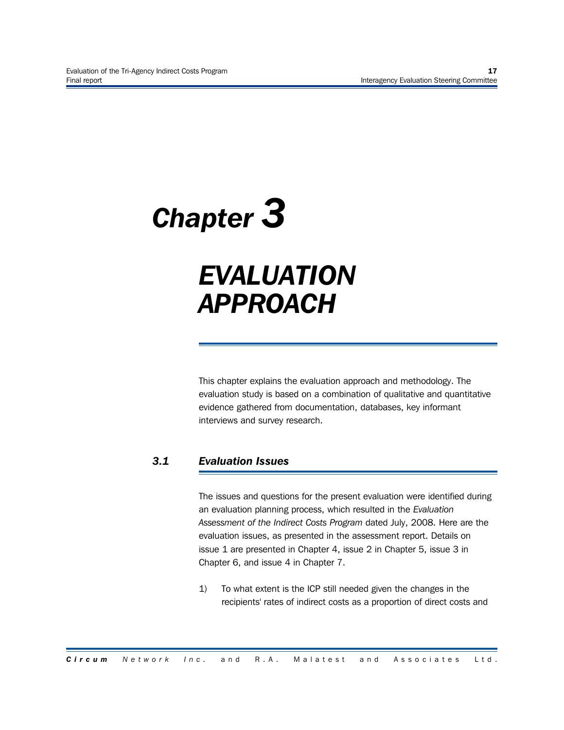## *Chapter 3*

### *EVALUATION APPROACH*

This chapter explains the evaluation approach and methodology. The evaluation study is based on a combination of qualitative and quantitative evidence gathered from documentation, databases, key informant interviews and survey research.

#### *3.1 Evaluation Issues*

The issues and questions for the present evaluation were identified during an evaluation planning process, which resulted in the *Evaluation Assessment of the Indirect Costs Program* dated July, 2008. Here are the evaluation issues, as presented in the assessment report. Details on issue 1 are presented in Chapter 4, issue 2 in Chapter 5, issue 3 in Chapter 6, and issue 4 in Chapter 7.

1) To what extent is the ICP still needed given the changes in the recipients' rates of indirect costs as a proportion of direct costs and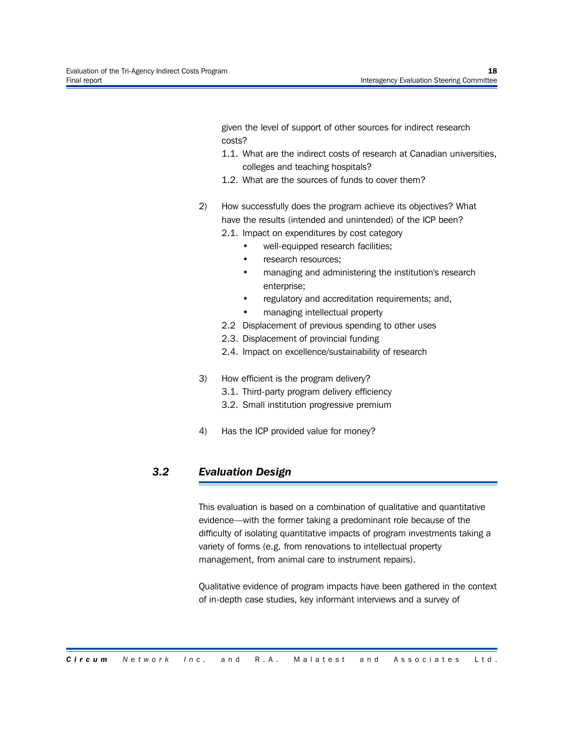given the level of support of other sources for indirect research costs?

- 1.1. What are the indirect costs of research at Canadian universities, colleges and teaching hospitals?
- 1.2. What are the sources of funds to cover them?
- 2) How successfully does the program achieve its objectives? What have the results (intended and unintended) of the ICP been?
	- 2.1. Impact on expenditures by cost category
		- well-equipped research facilities;
		- research resources;
		- managing and administering the institution's research enterprise;
		- regulatory and accreditation requirements; and,
		- managing intellectual property
	- 2.2 Displacement of previous spending to other uses
	- 2.3. Displacement of provincial funding
	- 2.4. Impact on excellence/sustainability of research
- 3) How efficient is the program delivery?
	- 3.1. Third-party program delivery efficiency
	- 3.2. Small institution progressive premium
- 4) Has the ICP provided value for money?

#### *3.2 Evaluation Design*

This evaluation is based on a combination of qualitative and quantitative evidence—with the former taking a predominant role because of the difficulty of isolating quantitative impacts of program investments taking a variety of forms (e.g. from renovations to intellectual property management, from animal care to instrument repairs).

Qualitative evidence of program impacts have been gathered in the context of in-depth case studies, key informant interviews and a survey of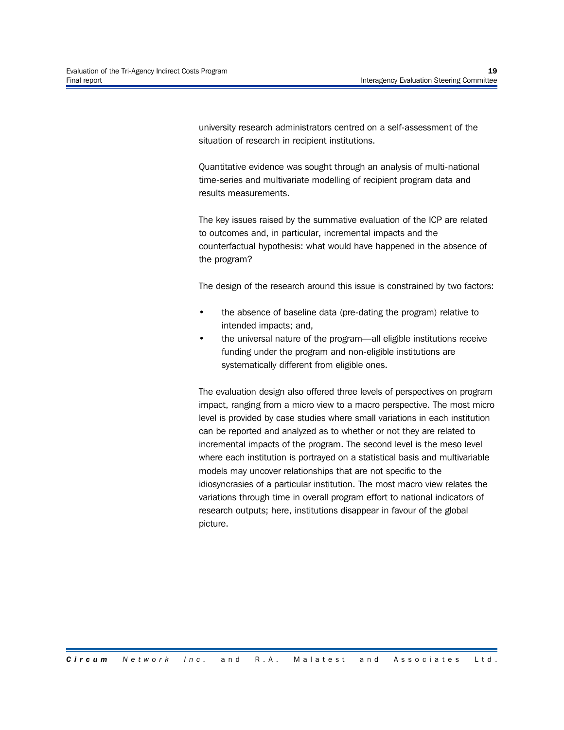university research administrators centred on a self-assessment of the situation of research in recipient institutions.

Quantitative evidence was sought through an analysis of multi-national time-series and multivariate modelling of recipient program data and results measurements.

The key issues raised by the summative evaluation of the ICP are related to outcomes and, in particular, incremental impacts and the counterfactual hypothesis: what would have happened in the absence of the program?

The design of the research around this issue is constrained by two factors:

- the absence of baseline data (pre-dating the program) relative to intended impacts; and,
- the universal nature of the program—all eligible institutions receive funding under the program and non-eligible institutions are systematically different from eligible ones.

The evaluation design also offered three levels of perspectives on program impact, ranging from a micro view to a macro perspective. The most micro level is provided by case studies where small variations in each institution can be reported and analyzed as to whether or not they are related to incremental impacts of the program. The second level is the meso level where each institution is portrayed on a statistical basis and multivariable models may uncover relationships that are not specific to the idiosyncrasies of a particular institution. The most macro view relates the variations through time in overall program effort to national indicators of research outputs; here, institutions disappear in favour of the global picture.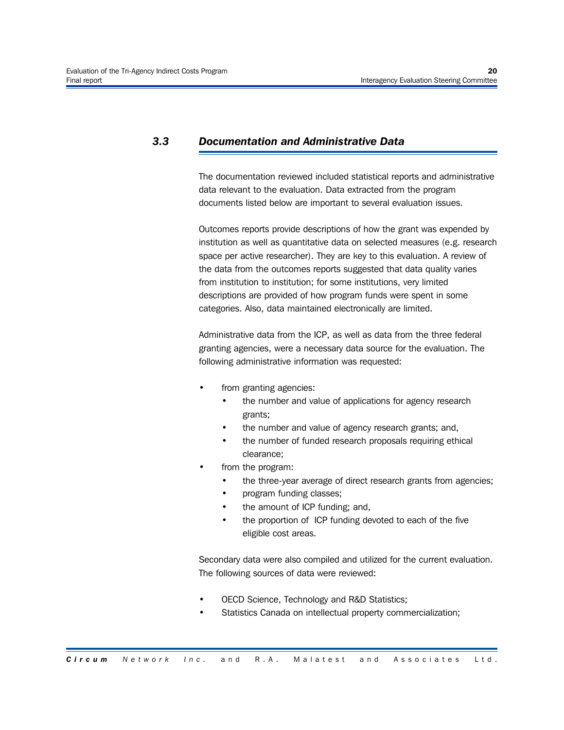#### *3.3 Documentation and Administrative Data*

The documentation reviewed included statistical reports and administrative data relevant to the evaluation. Data extracted from the program documents listed below are important to several evaluation issues.

Outcomes reports provide descriptions of how the grant was expended by institution as well as quantitative data on selected measures (e.g. research space per active researcher). They are key to this evaluation. A review of the data from the outcomes reports suggested that data quality varies from institution to institution; for some institutions, very limited descriptions are provided of how program funds were spent in some categories. Also, data maintained electronically are limited.

Administrative data from the ICP, as well as data from the three federal granting agencies, were a necessary data source for the evaluation. The following administrative information was requested:

- from granting agencies:
	- the number and value of applications for agency research grants;
	- the number and value of agency research grants; and,
	- the number of funded research proposals requiring ethical clearance;
- from the program:
	- the three-year average of direct research grants from agencies;
	- program funding classes;
	- the amount of ICP funding; and,
	- the proportion of ICP funding devoted to each of the five eligible cost areas.

Secondary data were also compiled and utilized for the current evaluation. The following sources of data were reviewed:

- OECD Science, Technology and R&D Statistics;
- Statistics Canada on intellectual property commercialization;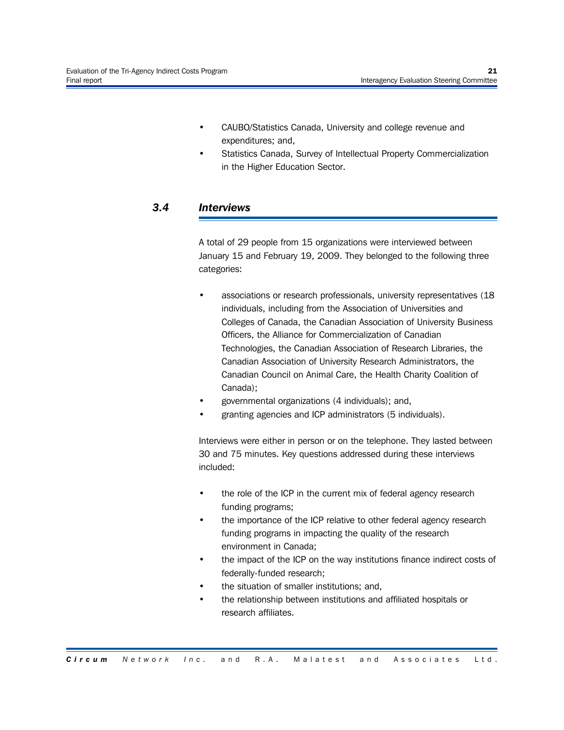- CAUBO/Statistics Canada, University and college revenue and expenditures; and,
- Statistics Canada, Survey of Intellectual Property Commercialization in the Higher Education Sector.

# *3.4 Interviews*

A total of 29 people from 15 organizations were interviewed between January 15 and February 19, 2009. They belonged to the following three categories:

- associations or research professionals, university representatives (18 individuals, including from the Association of Universities and Colleges of Canada, the Canadian Association of University Business Officers, the Alliance for Commercialization of Canadian Technologies, the Canadian Association of Research Libraries, the Canadian Association of University Research Administrators, the Canadian Council on Animal Care, the Health Charity Coalition of Canada);
- governmental organizations (4 individuals); and,
- granting agencies and ICP administrators (5 individuals).

Interviews were either in person or on the telephone. They lasted between 30 and 75 minutes. Key questions addressed during these interviews included:

- the role of the ICP in the current mix of federal agency research funding programs;
- the importance of the ICP relative to other federal agency research funding programs in impacting the quality of the research environment in Canada;
- the impact of the ICP on the way institutions finance indirect costs of federally-funded research;
- the situation of smaller institutions; and,
- the relationship between institutions and affiliated hospitals or research affiliates.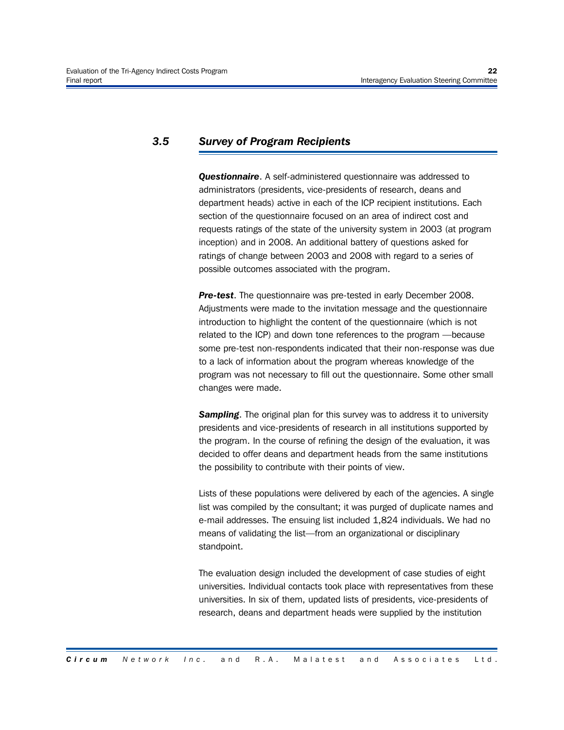# *3.5 Survey of Program Recipients*

*Questionnaire*. A self-administered questionnaire was addressed to administrators (presidents, vice-presidents of research, deans and department heads) active in each of the ICP recipient institutions. Each section of the questionnaire focused on an area of indirect cost and requests ratings of the state of the university system in 2003 (at program inception) and in 2008. An additional battery of questions asked for ratings of change between 2003 and 2008 with regard to a series of possible outcomes associated with the program.

*Pre-test*. The questionnaire was pre-tested in early December 2008. Adjustments were made to the invitation message and the questionnaire introduction to highlight the content of the questionnaire (which is not related to the ICP) and down tone references to the program —because some pre-test non-respondents indicated that their non-response was due to a lack of information about the program whereas knowledge of the program was not necessary to fill out the questionnaire. Some other small changes were made.

**Sampling**. The original plan for this survey was to address it to university presidents and vice-presidents of research in all institutions supported by the program. In the course of refining the design of the evaluation, it was decided to offer deans and department heads from the same institutions the possibility to contribute with their points of view.

Lists of these populations were delivered by each of the agencies. A single list was compiled by the consultant; it was purged of duplicate names and e-mail addresses. The ensuing list included 1,824 individuals. We had no means of validating the list—from an organizational or disciplinary standpoint.

The evaluation design included the development of case studies of eight universities. Individual contacts took place with representatives from these universities. In six of them, updated lists of presidents, vice-presidents of research, deans and department heads were supplied by the institution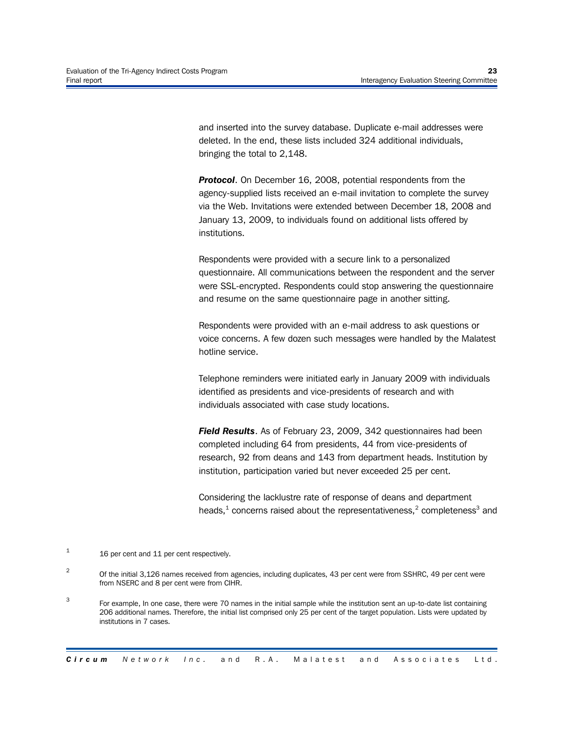and inserted into the survey database. Duplicate e-mail addresses were deleted. In the end, these lists included 324 additional individuals, bringing the total to 2,148.

**Protocol.** On December 16, 2008, potential respondents from the agency-supplied lists received an e-mail invitation to complete the survey via the Web. Invitations were extended between December 18, 2008 and January 13, 2009, to individuals found on additional lists offered by institutions.

Respondents were provided with a secure link to a personalized questionnaire. All communications between the respondent and the server were SSL-encrypted. Respondents could stop answering the questionnaire and resume on the same questionnaire page in another sitting.

Respondents were provided with an e-mail address to ask questions or voice concerns. A few dozen such messages were handled by the Malatest hotline service.

Telephone reminders were initiated early in January 2009 with individuals identified as presidents and vice-presidents of research and with individuals associated with case study locations.

*Field Results*. As of February 23, 2009, 342 questionnaires had been completed including 64 from presidents, 44 from vice-presidents of research, 92 from deans and 143 from department heads. Institution by institution, participation varied but never exceeded 25 per cent.

Considering the lacklustre rate of response of deans and department heads,<sup>1</sup> concerns raised about the representativeness,<sup>2</sup> completeness<sup>3</sup> and

<sup>1</sup> 16 per cent and 11 per cent respectively.

 $\mathfrak{p}$ Of the initial 3,126 names received from agencies, including duplicates, 43 per cent were from SSHRC, 49 per cent were from NSERC and 8 per cent were from CIHR.

<sup>3</sup> For example, In one case, there were 70 names in the initial sample while the institution sent an up-to-date list containing 206 additional names. Therefore, the initial list comprised only 25 per cent of the target population. Lists were updated by institutions in 7 cases.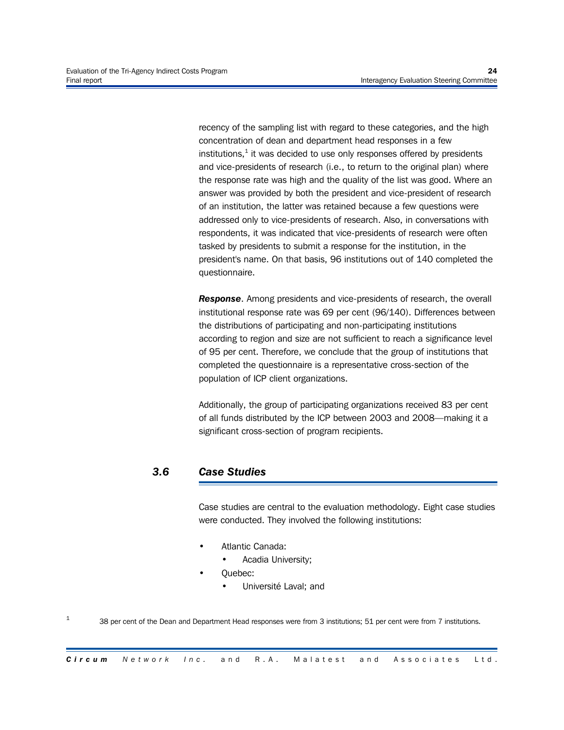recency of the sampling list with regard to these categories, and the high concentration of dean and department head responses in a few institutions, $^{\rm 1}$  it was decided to use only responses offered by presidents and vice-presidents of research (i.e., to return to the original plan) where the response rate was high and the quality of the list was good. Where an answer was provided by both the president and vice-president of research of an institution, the latter was retained because a few questions were addressed only to vice-presidents of research. Also, in conversations with respondents, it was indicated that vice-presidents of research were often tasked by presidents to submit a response for the institution, in the president's name. On that basis, 96 institutions out of 140 completed the questionnaire.

*Response*. Among presidents and vice-presidents of research, the overall institutional response rate was 69 per cent (96/140). Differences between the distributions of participating and non-participating institutions according to region and size are not sufficient to reach a significance level of 95 per cent. Therefore, we conclude that the group of institutions that completed the questionnaire is a representative cross-section of the population of ICP client organizations.

Additionally, the group of participating organizations received 83 per cent of all funds distributed by the ICP between 2003 and 2008—making it a significant cross-section of program recipients.

# *3.6 Case Studies*

Case studies are central to the evaluation methodology. Eight case studies were conducted. They involved the following institutions:

- Atlantic Canada:
	- Acadia University;
- Quebec:

1

• Université Laval; and

38 per cent of the Dean and Department Head responses were from 3 institutions; 51 per cent were from 7 institutions.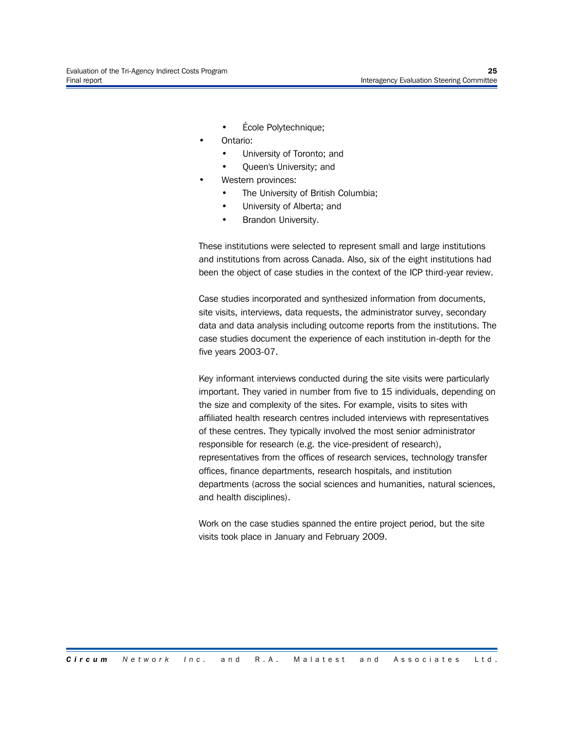- École Polytechnique;
- Ontario:
	- University of Toronto; and
	- Queen's University; and
	- Western provinces:
		- The University of British Columbia;
		- University of Alberta; and
		- Brandon University.

These institutions were selected to represent small and large institutions and institutions from across Canada. Also, six of the eight institutions had been the object of case studies in the context of the ICP third-year review.

Case studies incorporated and synthesized information from documents, site visits, interviews, data requests, the administrator survey, secondary data and data analysis including outcome reports from the institutions. The case studies document the experience of each institution in-depth for the five years 2003-07.

Key informant interviews conducted during the site visits were particularly important. They varied in number from five to 15 individuals, depending on the size and complexity of the sites. For example, visits to sites with affiliated health research centres included interviews with representatives of these centres. They typically involved the most senior administrator responsible for research (e.g. the vice-president of research), representatives from the offices of research services, technology transfer offices, finance departments, research hospitals, and institution departments (across the social sciences and humanities, natural sciences, and health disciplines).

Work on the case studies spanned the entire project period, but the site visits took place in January and February 2009.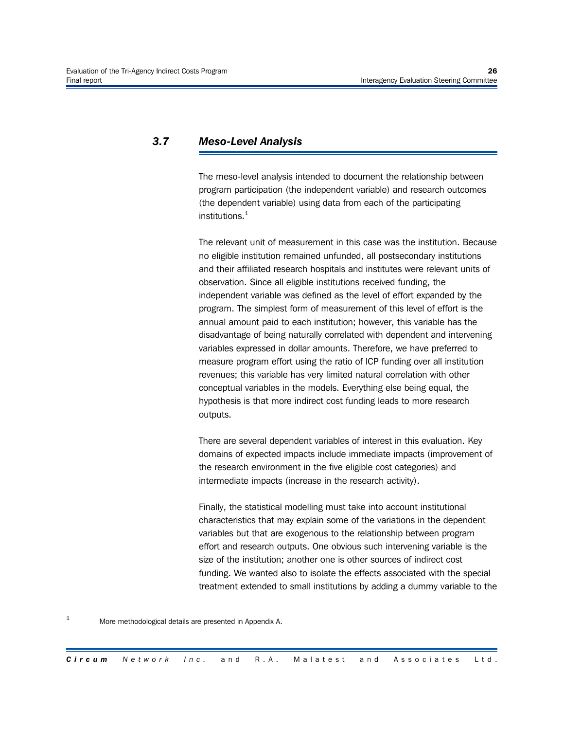# *3.7 Meso-Level Analysis*

The meso-level analysis intended to document the relationship between program participation (the independent variable) and research outcomes (the dependent variable) using data from each of the participating institutions. $1$ 

The relevant unit of measurement in this case was the institution. Because no eligible institution remained unfunded, all postsecondary institutions and their affiliated research hospitals and institutes were relevant units of observation. Since all eligible institutions received funding, the independent variable was defined as the level of effort expanded by the program. The simplest form of measurement of this level of effort is the annual amount paid to each institution; however, this variable has the disadvantage of being naturally correlated with dependent and intervening variables expressed in dollar amounts. Therefore, we have preferred to measure program effort using the ratio of ICP funding over all institution revenues; this variable has very limited natural correlation with other conceptual variables in the models. Everything else being equal, the hypothesis is that more indirect cost funding leads to more research outputs.

There are several dependent variables of interest in this evaluation. Key domains of expected impacts include immediate impacts (improvement of the research environment in the five eligible cost categories) and intermediate impacts (increase in the research activity).

Finally, the statistical modelling must take into account institutional characteristics that may explain some of the variations in the dependent variables but that are exogenous to the relationship between program effort and research outputs. One obvious such intervening variable is the size of the institution; another one is other sources of indirect cost funding. We wanted also to isolate the effects associated with the special treatment extended to small institutions by adding a dummy variable to the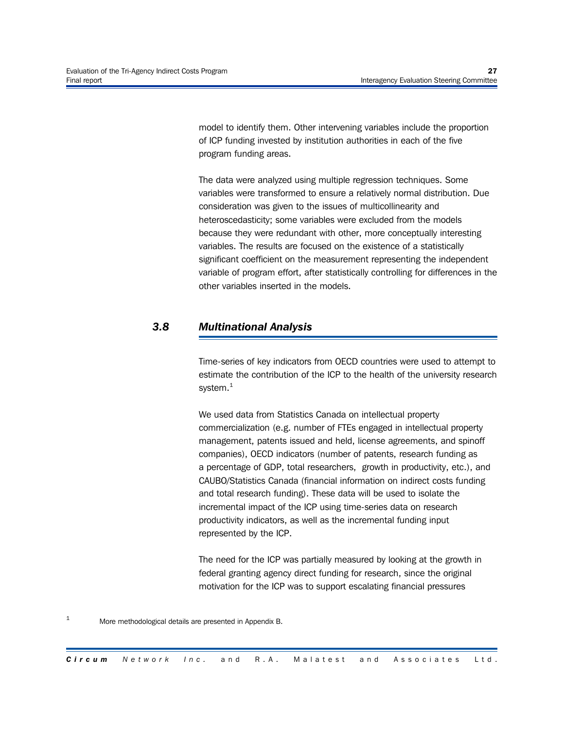model to identify them. Other intervening variables include the proportion of ICP funding invested by institution authorities in each of the five program funding areas.

The data were analyzed using multiple regression techniques. Some variables were transformed to ensure a relatively normal distribution. Due consideration was given to the issues of multicollinearity and heteroscedasticity; some variables were excluded from the models because they were redundant with other, more conceptually interesting variables. The results are focused on the existence of a statistically significant coefficient on the measurement representing the independent variable of program effort, after statistically controlling for differences in the other variables inserted in the models.

# *3.8 Multinational Analysis*

Time-series of key indicators from OECD countries were used to attempt to estimate the contribution of the ICP to the health of the university research system. $<sup>1</sup>$ </sup>

We used data from Statistics Canada on intellectual property commercialization (e.g. number of FTEs engaged in intellectual property management, patents issued and held, license agreements, and spinoff companies), OECD indicators (number of patents, research funding as a percentage of GDP, total researchers, growth in productivity, etc.), and CAUBO/Statistics Canada (financial information on indirect costs funding and total research funding). These data will be used to isolate the incremental impact of the ICP using time-series data on research productivity indicators, as well as the incremental funding input represented by the ICP.

The need for the ICP was partially measured by looking at the growth in federal granting agency direct funding for research, since the original motivation for the ICP was to support escalating financial pressures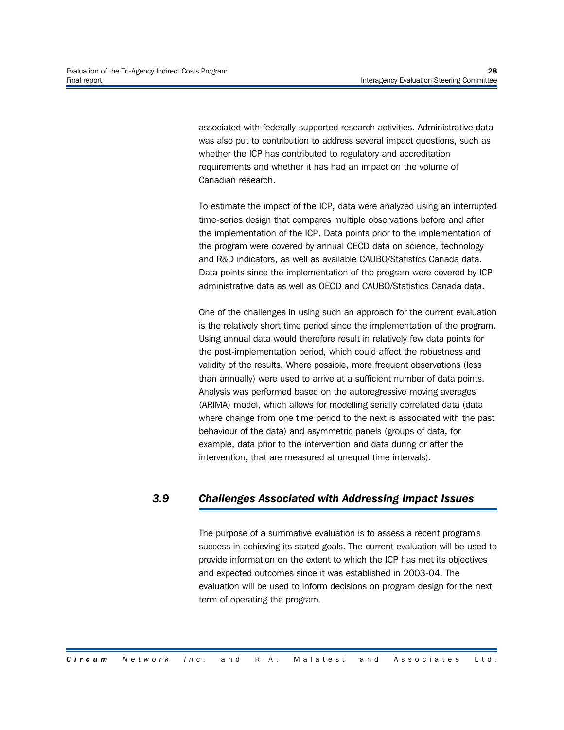associated with federally-supported research activities. Administrative data was also put to contribution to address several impact questions, such as whether the ICP has contributed to regulatory and accreditation requirements and whether it has had an impact on the volume of Canadian research.

To estimate the impact of the ICP, data were analyzed using an interrupted time-series design that compares multiple observations before and after the implementation of the ICP. Data points prior to the implementation of the program were covered by annual OECD data on science, technology and R&D indicators, as well as available CAUBO/Statistics Canada data. Data points since the implementation of the program were covered by ICP administrative data as well as OECD and CAUBO/Statistics Canada data.

One of the challenges in using such an approach for the current evaluation is the relatively short time period since the implementation of the program. Using annual data would therefore result in relatively few data points for the post-implementation period, which could affect the robustness and validity of the results. Where possible, more frequent observations (less than annually) were used to arrive at a sufficient number of data points. Analysis was performed based on the autoregressive moving averages (ARIMA) model, which allows for modelling serially correlated data (data where change from one time period to the next is associated with the past behaviour of the data) and asymmetric panels (groups of data, for example, data prior to the intervention and data during or after the intervention, that are measured at unequal time intervals).

# *3.9 Challenges Associated with Addressing Impact Issues*

The purpose of a summative evaluation is to assess a recent program's success in achieving its stated goals. The current evaluation will be used to provide information on the extent to which the ICP has met its objectives and expected outcomes since it was established in 2003-04. The evaluation will be used to inform decisions on program design for the next term of operating the program.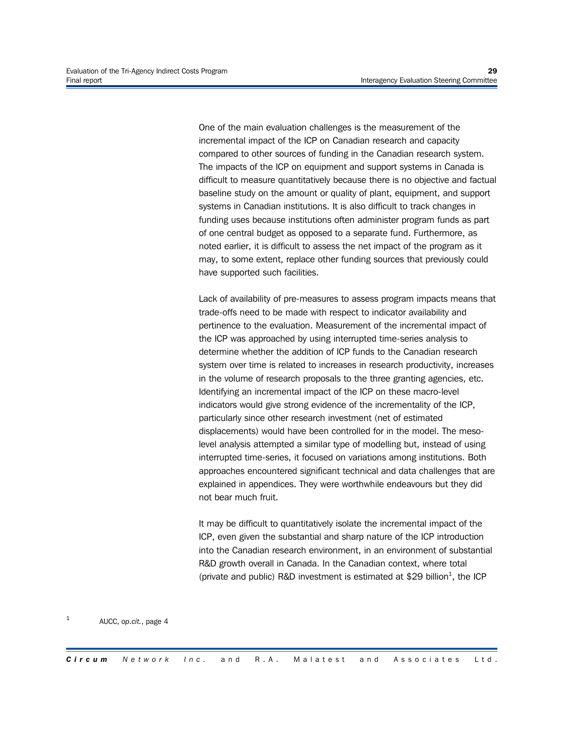One of the main evaluation challenges is the measurement of the incremental impact of the ICP on Canadian research and capacity compared to other sources of funding in the Canadian research system. The impacts of the ICP on equipment and support systems in Canada is difficult to measure quantitatively because there is no objective and factual baseline study on the amount or quality of plant, equipment, and support systems in Canadian institutions. It is also difficult to track changes in funding uses because institutions often administer program funds as part of one central budget as opposed to a separate fund. Furthermore, as noted earlier, it is difficult to assess the net impact of the program as it may, to some extent, replace other funding sources that previously could have supported such facilities.

Lack of availability of pre-measures to assess program impacts means that trade-offs need to be made with respect to indicator availability and pertinence to the evaluation. Measurement of the incremental impact of the ICP was approached by using interrupted time-series analysis to determine whether the addition of ICP funds to the Canadian research system over time is related to increases in research productivity, increases in the volume of research proposals to the three granting agencies, etc. Identifying an incremental impact of the ICP on these macro-level indicators would give strong evidence of the incrementality of the ICP, particularly since other research investment (net of estimated displacements) would have been controlled for in the model. The mesolevel analysis attempted a similar type of modelling but, instead of using interrupted time-series, it focused on variations among institutions. Both approaches encountered significant technical and data challenges that are explained in appendices. They were worthwhile endeavours but they did not bear much fruit.

It may be difficult to quantitatively isolate the incremental impact of the ICP, even given the substantial and sharp nature of the ICP introduction into the Canadian research environment, in an environment of substantial R&D growth overall in Canada. In the Canadian context, where total (private and public) R&D investment is estimated at \$29 billion<sup>1</sup>, the ICP

#### 1 AUCC, *op.cit.*, page 4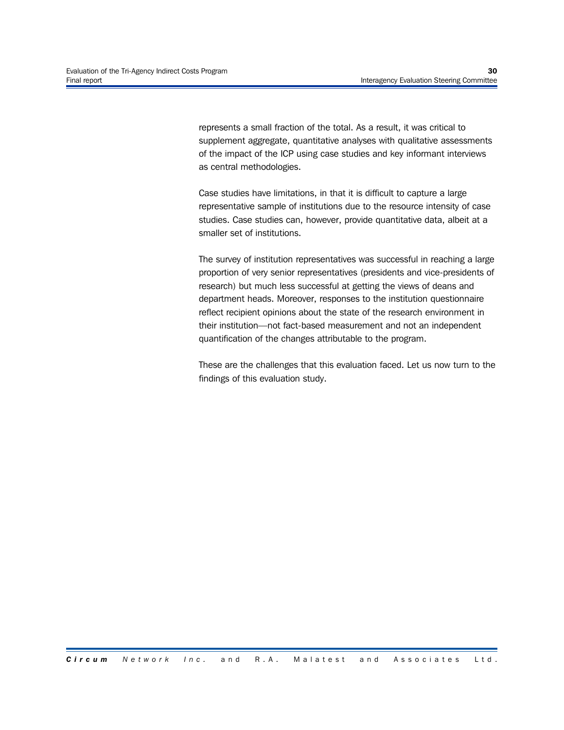represents a small fraction of the total. As a result, it was critical to supplement aggregate, quantitative analyses with qualitative assessments of the impact of the ICP using case studies and key informant interviews as central methodologies.

Case studies have limitations, in that it is difficult to capture a large representative sample of institutions due to the resource intensity of case studies. Case studies can, however, provide quantitative data, albeit at a smaller set of institutions.

The survey of institution representatives was successful in reaching a large proportion of very senior representatives (presidents and vice-presidents of research) but much less successful at getting the views of deans and department heads. Moreover, responses to the institution questionnaire reflect recipient opinions about the state of the research environment in their institution—not fact-based measurement and not an independent quantification of the changes attributable to the program.

These are the challenges that this evaluation faced. Let us now turn to the findings of this evaluation study.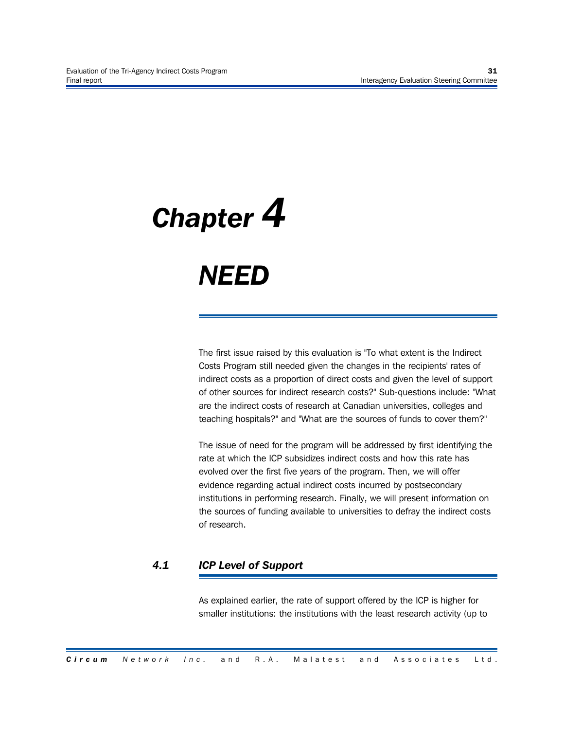# *Chapter 4*

# *NEED*

The first issue raised by this evaluation is "To what extent is the Indirect Costs Program still needed given the changes in the recipients' rates of indirect costs as a proportion of direct costs and given the level of support of other sources for indirect research costs?" Sub-questions include: "What are the indirect costs of research at Canadian universities, colleges and teaching hospitals?" and "What are the sources of funds to cover them?"

The issue of need for the program will be addressed by first identifying the rate at which the ICP subsidizes indirect costs and how this rate has evolved over the first five years of the program. Then, we will offer evidence regarding actual indirect costs incurred by postsecondary institutions in performing research. Finally, we will present information on the sources of funding available to universities to defray the indirect costs of research.

# *4.1 ICP Level of Support*

As explained earlier, the rate of support offered by the ICP is higher for smaller institutions: the institutions with the least research activity (up to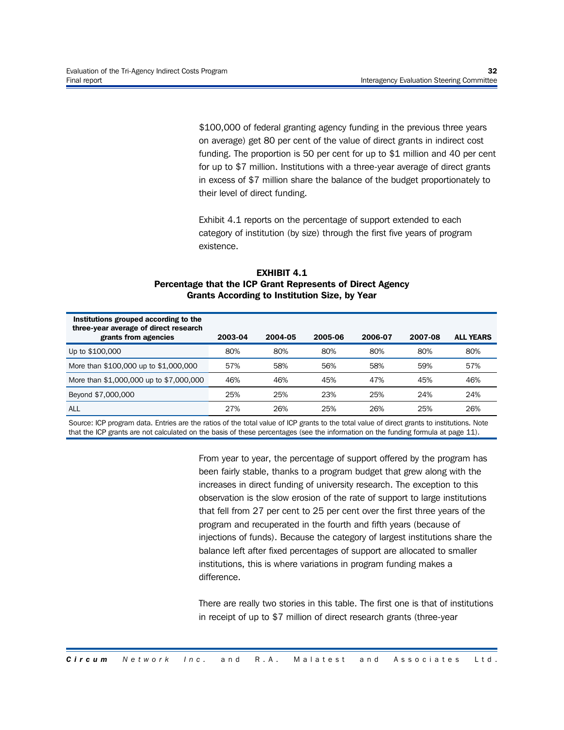\$100,000 of federal granting agency funding in the previous three years on average) get 80 per cent of the value of direct grants in indirect cost funding. The proportion is 50 per cent for up to \$1 million and 40 per cent for up to \$7 million. Institutions with a three-year average of direct grants in excess of \$7 million share the balance of the budget proportionately to their level of direct funding.

Exhibit 4.1 reports on the percentage of support extended to each category of institution (by size) through the first five years of program existence.

### **EXHIBIT 4.1 Percentage that the ICP Grant Represents of Direct Agency Grants According to Institution Size, by Year**

| Institutions grouped according to the<br>three-year average of direct research<br>grants from agencies | 2003-04 | 2004-05 | 2005-06 | 2006-07 | 2007-08 | <b>ALL YEARS</b> |
|--------------------------------------------------------------------------------------------------------|---------|---------|---------|---------|---------|------------------|
| Up to \$100,000                                                                                        | 80%     | 80%     | 80%     | 80%     | 80%     | 80%              |
| More than \$100,000 up to \$1,000,000                                                                  | 57%     | 58%     | 56%     | 58%     | 59%     | 57%              |
| More than \$1,000,000 up to \$7,000,000                                                                | 46%     | 46%     | 45%     | 47%     | 45%     | 46%              |
| Beyond \$7,000,000                                                                                     | 25%     | 25%     | 23%     | 25%     | 24%     | 24%              |
| <b>ALL</b>                                                                                             | 27%     | 26%     | 25%     | 26%     | 25%     | 26%              |

Source: ICP program data. Entries are the ratios of the total value of ICP grants to the total value of direct grants to institutions. Note that the ICP grants are not calculated on the basis of these percentages (see the information on the funding formula at page 11).

> From year to year, the percentage of support offered by the program has been fairly stable, thanks to a program budget that grew along with the increases in direct funding of university research. The exception to this observation is the slow erosion of the rate of support to large institutions that fell from 27 per cent to 25 per cent over the first three years of the program and recuperated in the fourth and fifth years (because of injections of funds). Because the category of largest institutions share the balance left after fixed percentages of support are allocated to smaller institutions, this is where variations in program funding makes a difference.

> There are really two stories in this table. The first one is that of institutions in receipt of up to \$7 million of direct research grants (three-year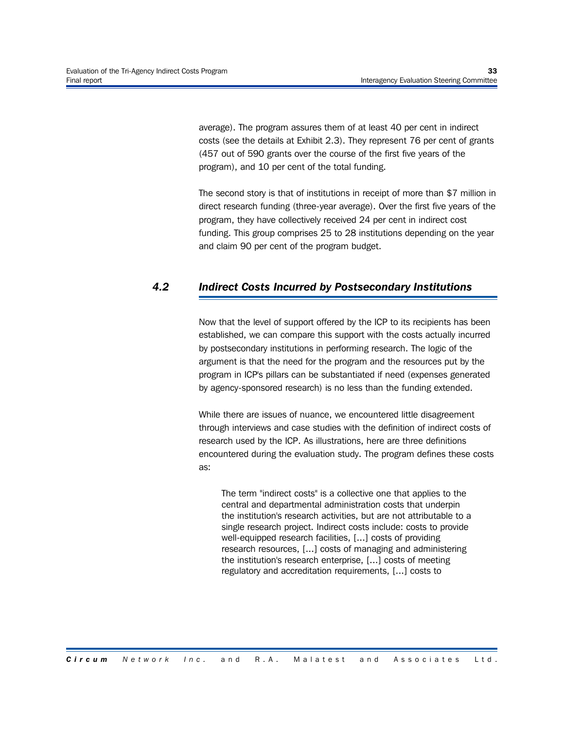average). The program assures them of at least 40 per cent in indirect costs (see the details at Exhibit 2.3). They represent 76 per cent of grants (457 out of 590 grants over the course of the first five years of the program), and 10 per cent of the total funding.

The second story is that of institutions in receipt of more than \$7 million in direct research funding (three-year average). Over the first five years of the program, they have collectively received 24 per cent in indirect cost funding. This group comprises 25 to 28 institutions depending on the year and claim 90 per cent of the program budget.

# *4.2 Indirect Costs Incurred by Postsecondary Institutions*

Now that the level of support offered by the ICP to its recipients has been established, we can compare this support with the costs actually incurred by postsecondary institutions in performing research. The logic of the argument is that the need for the program and the resources put by the program in ICP's pillars can be substantiated if need (expenses generated by agency-sponsored research) is no less than the funding extended.

While there are issues of nuance, we encountered little disagreement through interviews and case studies with the definition of indirect costs of research used by the ICP. As illustrations, here are three definitions encountered during the evaluation study. The program defines these costs as:

The term "indirect costs" is a collective one that applies to the central and departmental administration costs that underpin the institution's research activities, but are not attributable to a single research project. Indirect costs include: costs to provide well-equipped research facilities, [...] costs of providing research resources, [...] costs of managing and administering the institution's research enterprise, [...] costs of meeting regulatory and accreditation requirements, [...] costs to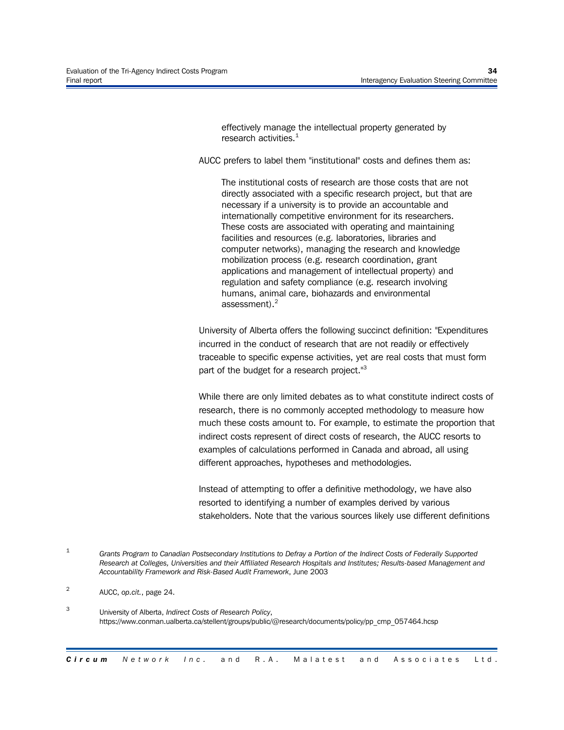effectively manage the intellectual property generated by research activities. $<sup>1</sup>$ </sup>

AUCC prefers to label them "institutional" costs and defines them as:

The institutional costs of research are those costs that are not directly associated with a specific research project, but that are necessary if a university is to provide an accountable and internationally competitive environment for its researchers. These costs are associated with operating and maintaining facilities and resources (e.g. laboratories, libraries and computer networks), managing the research and knowledge mobilization process (e.g. research coordination, grant applications and management of intellectual property) and regulation and safety compliance (e.g. research involving humans, animal care, biohazards and environmental assessment).<sup>2</sup>

University of Alberta offers the following succinct definition: "Expenditures incurred in the conduct of research that are not readily or effectively traceable to specific expense activities, yet are real costs that must form part of the budget for a research project."3

While there are only limited debates as to what constitute indirect costs of research, there is no commonly accepted methodology to measure how much these costs amount to. For example, to estimate the proportion that indirect costs represent of direct costs of research, the AUCC resorts to examples of calculations performed in Canada and abroad, all using different approaches, hypotheses and methodologies.

Instead of attempting to offer a definitive methodology, we have also resorted to identifying a number of examples derived by various stakeholders. Note that the various sources likely use different definitions

<sup>1</sup> *Grants Program to Canadian Postsecondary Institutions to Defray a Portion of the Indirect Costs of Federally Supported Research at Colleges, Universities and their Affiliated Research Hospitals and Institutes; Results-based Management and Accountability Framework and Risk-Based Audit Framework*, June 2003

<sup>2</sup> AUCC, *op.cit.*, page 24.

<sup>3</sup> University of Alberta, *Indirect Costs of Research Policy*, https://www.conman.ualberta.ca/stellent/groups/public/@research/documents/policy/pp\_cmp\_057464.hcsp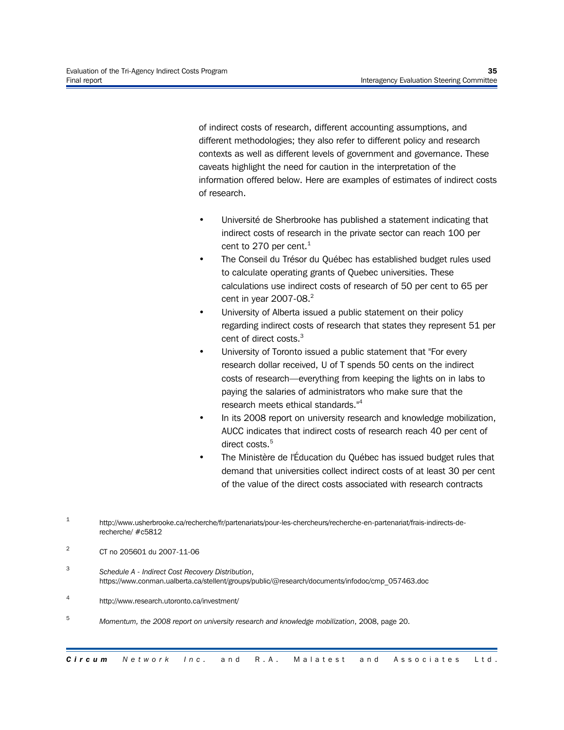of indirect costs of research, different accounting assumptions, and different methodologies; they also refer to different policy and research contexts as well as different levels of government and governance. These caveats highlight the need for caution in the interpretation of the information offered below. Here are examples of estimates of indirect costs of research.

- Université de Sherbrooke has published a statement indicating that indirect costs of research in the private sector can reach 100 per cent to 270 per cent. $1$
- The Conseil du Trésor du Québec has established budget rules used to calculate operating grants of Quebec universities. These calculations use indirect costs of research of 50 per cent to 65 per cent in year 2007-08.<sup>2</sup>
- University of Alberta issued a public statement on their policy regarding indirect costs of research that states they represent 51 per cent of direct costs.<sup>3</sup>
- University of Toronto issued a public statement that "For every research dollar received, U of T spends 50 cents on the indirect costs of research—everything from keeping the lights on in labs to paying the salaries of administrators who make sure that the research meets ethical standards."<sup>4</sup>
- In its 2008 report on university research and knowledge mobilization, AUCC indicates that indirect costs of research reach 40 per cent of direct costs.<sup>5</sup>
- The Ministère de l'Éducation du Québec has issued budget rules that demand that universities collect indirect costs of at least 30 per cent of the value of the direct costs associated with research contracts

- 3 *Schedule A - Indirect Cost Recovery Distribution*, https://www.conman.ualberta.ca/stellent/groups/public/@research/documents/infodoc/cmp\_057463.doc
- 4 http://www.research.utoronto.ca/investment/
- <sup>5</sup> *Momentum, the 2008 report on university research and knowledge mobilization*, 2008, page 20.

<sup>1</sup> http://www.usherbrooke.ca/recherche/fr/partenariats/pour-les-chercheurs/recherche-en-partenariat/frais-indirects-derecherche/ #c5812

 $\overline{2}$ CT no 205601 du 2007-11-06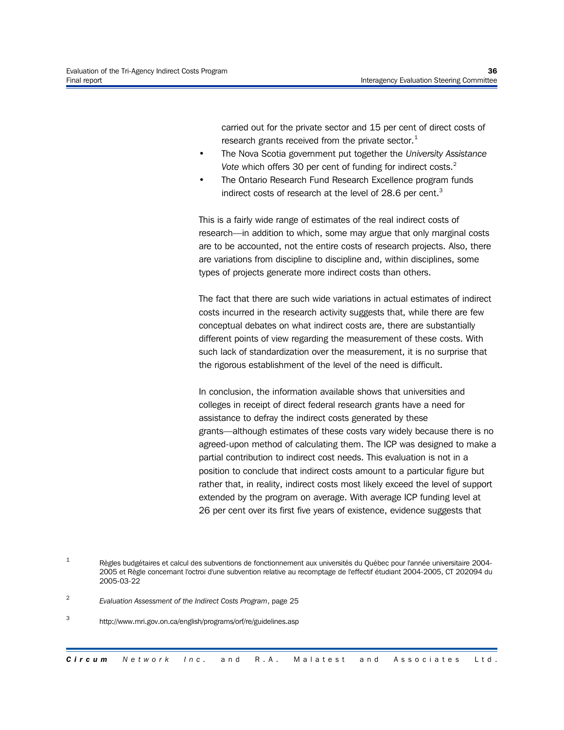carried out for the private sector and 15 per cent of direct costs of research grants received from the private sector. $<sup>1</sup>$ </sup>

- The Nova Scotia government put together the *University Assistance Vote* which offers 30 per cent of funding for indirect costs.<sup>2</sup>
- The Ontario Research Fund Research Excellence program funds indirect costs of research at the level of  $28.6$  per cent.<sup>3</sup>

This is a fairly wide range of estimates of the real indirect costs of research—in addition to which, some may argue that only marginal costs are to be accounted, not the entire costs of research projects. Also, there are variations from discipline to discipline and, within disciplines, some types of projects generate more indirect costs than others.

The fact that there are such wide variations in actual estimates of indirect costs incurred in the research activity suggests that, while there are few conceptual debates on what indirect costs are, there are substantially different points of view regarding the measurement of these costs. With such lack of standardization over the measurement, it is no surprise that the rigorous establishment of the level of the need is difficult.

In conclusion, the information available shows that universities and colleges in receipt of direct federal research grants have a need for assistance to defray the indirect costs generated by these grants—although estimates of these costs vary widely because there is no agreed-upon method of calculating them. The ICP was designed to make a partial contribution to indirect cost needs. This evaluation is not in a position to conclude that indirect costs amount to a particular figure but rather that, in reality, indirect costs most likely exceed the level of support extended by the program on average. With average ICP funding level at 26 per cent over its first five years of existence, evidence suggests that

<sup>1</sup> Règles budgétaires et calcul des subventions de fonctionnement aux universités du Québec pour l'année universitaire 2004- 2005 et Règle concernant l'octroi d'une subvention relative au recomptage de l'effectif étudiant 2004-2005, CT 202094 du 2005-03-22

<sup>2</sup> *Evaluation Assessment of the Indirect Costs Program*, page 25

<sup>3</sup> http://www.mri.gov.on.ca/english/programs/orf/re/guidelines.asp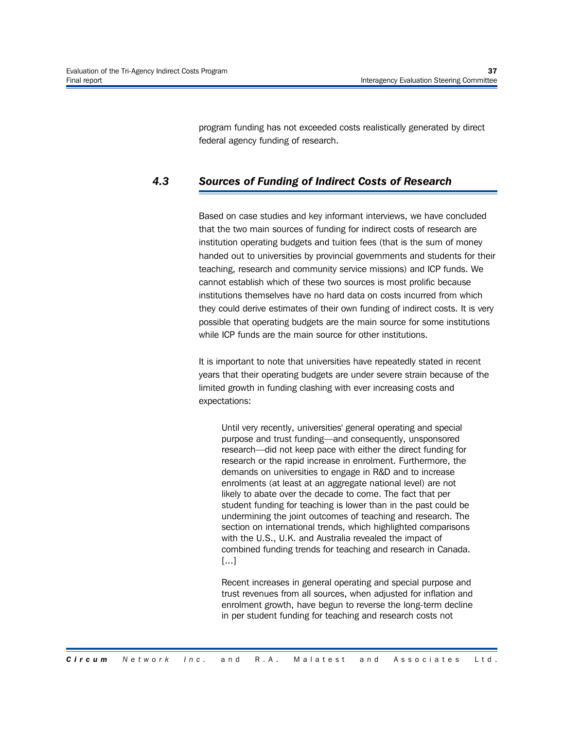program funding has not exceeded costs realistically generated by direct federal agency funding of research.

# *4.3 Sources of Funding of Indirect Costs of Research*

Based on case studies and key informant interviews, we have concluded that the two main sources of funding for indirect costs of research are institution operating budgets and tuition fees (that is the sum of money handed out to universities by provincial governments and students for their teaching, research and community service missions) and ICP funds. We cannot establish which of these two sources is most prolific because institutions themselves have no hard data on costs incurred from which they could derive estimates of their own funding of indirect costs. It is very possible that operating budgets are the main source for some institutions while ICP funds are the main source for other institutions.

It is important to note that universities have repeatedly stated in recent years that their operating budgets are under severe strain because of the limited growth in funding clashing with ever increasing costs and expectations:

Until very recently, universities' general operating and special purpose and trust funding—and consequently, unsponsored research—did not keep pace with either the direct funding for research or the rapid increase in enrolment. Furthermore, the demands on universities to engage in R&D and to increase enrolments (at least at an aggregate national level) are not likely to abate over the decade to come. The fact that per student funding for teaching is lower than in the past could be undermining the joint outcomes of teaching and research. The section on international trends, which highlighted comparisons with the U.S., U.K. and Australia revealed the impact of combined funding trends for teaching and research in Canada. [...]

Recent increases in general operating and special purpose and trust revenues from all sources, when adjusted for inflation and enrolment growth, have begun to reverse the long-term decline in per student funding for teaching and research costs not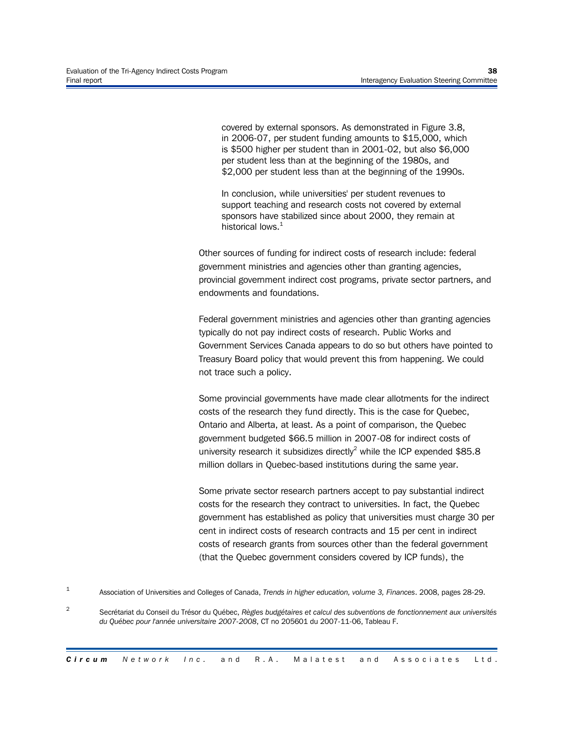covered by external sponsors. As demonstrated in Figure 3.8, in 2006-07, per student funding amounts to \$15,000, which is \$500 higher per student than in 2001-02, but also \$6,000 per student less than at the beginning of the 1980s, and \$2,000 per student less than at the beginning of the 1990s.

In conclusion, while universities' per student revenues to support teaching and research costs not covered by external sponsors have stabilized since about 2000, they remain at historical lows.<sup>1</sup>

Other sources of funding for indirect costs of research include: federal government ministries and agencies other than granting agencies, provincial government indirect cost programs, private sector partners, and endowments and foundations.

Federal government ministries and agencies other than granting agencies typically do not pay indirect costs of research. Public Works and Government Services Canada appears to do so but others have pointed to Treasury Board policy that would prevent this from happening. We could not trace such a policy.

Some provincial governments have made clear allotments for the indirect costs of the research they fund directly. This is the case for Quebec, Ontario and Alberta, at least. As a point of comparison, the Quebec government budgeted \$66.5 million in 2007-08 for indirect costs of university research it subsidizes directly<sup>2</sup> while the ICP expended \$85.8 million dollars in Quebec-based institutions during the same year.

Some private sector research partners accept to pay substantial indirect costs for the research they contract to universities. In fact, the Quebec government has established as policy that universities must charge 30 per cent in indirect costs of research contracts and 15 per cent in indirect costs of research grants from sources other than the federal government (that the Quebec government considers covered by ICP funds), the

1 Association of Universities and Colleges of Canada, *Trends in higher education, volume 3, Finances*. 2008, pages 28-29.

2 Secrétariat du Conseil du Trésor du Québec, *Règles budgétaires et calcul des subventions de fonctionnement aux universités du Québec pour l'année universitaire 2007-2008*, CT no 205601 du 2007-11-06, Tableau F.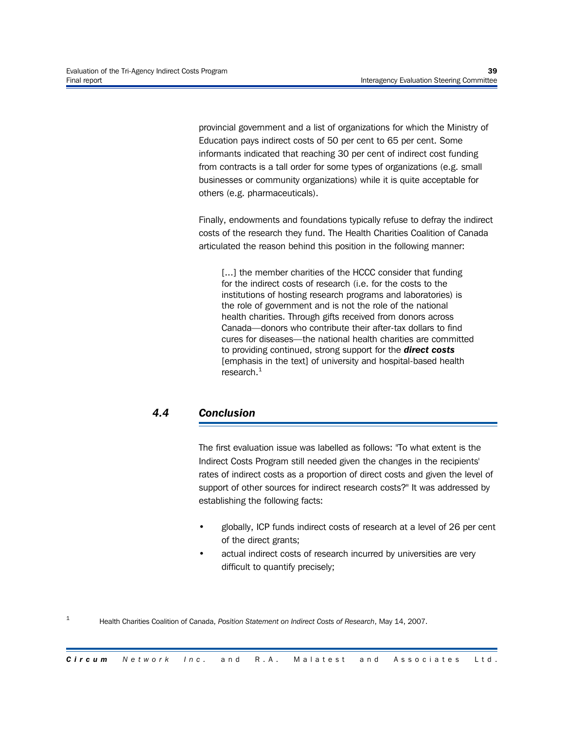provincial government and a list of organizations for which the Ministry of Education pays indirect costs of 50 per cent to 65 per cent. Some informants indicated that reaching 30 per cent of indirect cost funding from contracts is a tall order for some types of organizations (e.g. small businesses or community organizations) while it is quite acceptable for others (e.g. pharmaceuticals).

Finally, endowments and foundations typically refuse to defray the indirect costs of the research they fund. The Health Charities Coalition of Canada articulated the reason behind this position in the following manner:

[...] the member charities of the HCCC consider that funding for the indirect costs of research (i.e. for the costs to the institutions of hosting research programs and laboratories) is the role of government and is not the role of the national health charities. Through gifts received from donors across Canada—donors who contribute their after-tax dollars to find cures for diseases—the national health charities are committed to providing continued, strong support for the *direct costs* [emphasis in the text] of university and hospital-based health research. $<sup>1</sup>$ </sup>

# *4.4 Conclusion*

1

The first evaluation issue was labelled as follows: "To what extent is the Indirect Costs Program still needed given the changes in the recipients' rates of indirect costs as a proportion of direct costs and given the level of support of other sources for indirect research costs?" It was addressed by establishing the following facts:

- globally, ICP funds indirect costs of research at a level of 26 per cent of the direct grants;
- actual indirect costs of research incurred by universities are very difficult to quantify precisely;

Health Charities Coalition of Canada, *Position Statement on Indirect Costs of Research*, May 14, 2007.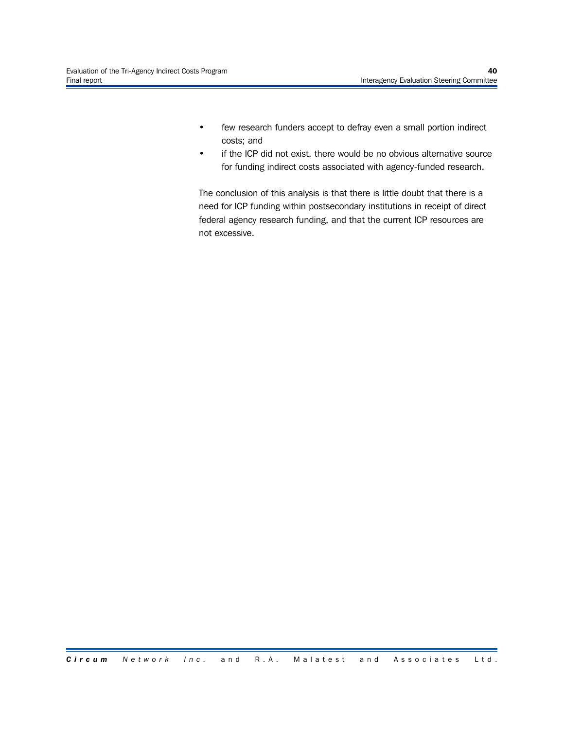- few research funders accept to defray even a small portion indirect costs; and
- if the ICP did not exist, there would be no obvious alternative source for funding indirect costs associated with agency-funded research.

The conclusion of this analysis is that there is little doubt that there is a need for ICP funding within postsecondary institutions in receipt of direct federal agency research funding, and that the current ICP resources are not excessive.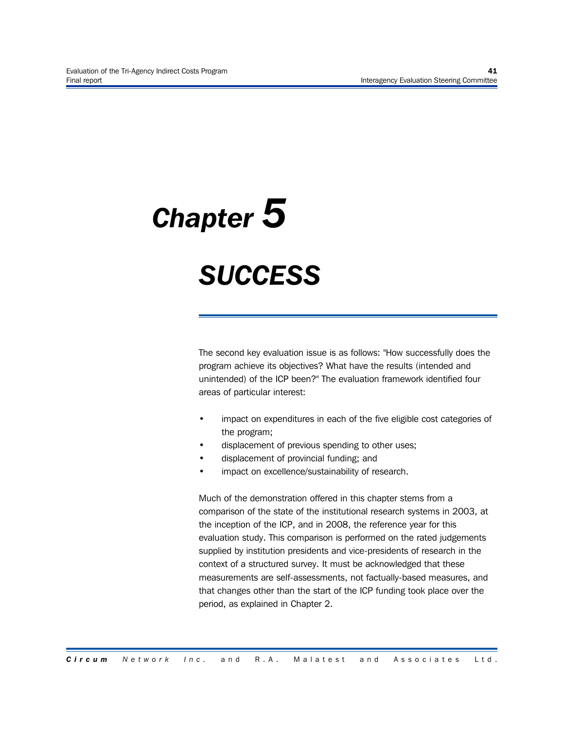# *Chapter 5*

# *SUCCESS*

The second key evaluation issue is as follows: "How successfully does the program achieve its objectives? What have the results (intended and unintended) of the ICP been?" The evaluation framework identified four areas of particular interest:

- impact on expenditures in each of the five eligible cost categories of the program;
- displacement of previous spending to other uses;
- displacement of provincial funding; and
- impact on excellence/sustainability of research.

Much of the demonstration offered in this chapter stems from a comparison of the state of the institutional research systems in 2003, at the inception of the ICP, and in 2008, the reference year for this evaluation study. This comparison is performed on the rated judgements supplied by institution presidents and vice-presidents of research in the context of a structured survey. It must be acknowledged that these measurements are self-assessments, not factually-based measures, and that changes other than the start of the ICP funding took place over the period, as explained in Chapter 2.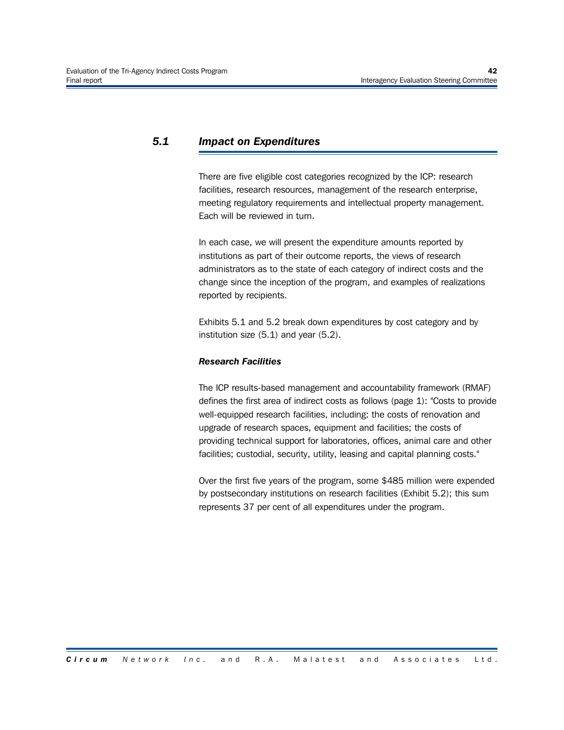# *5.1 Impact on Expenditures*

There are five eligible cost categories recognized by the ICP: research facilities, research resources, management of the research enterprise, meeting regulatory requirements and intellectual property management. Each will be reviewed in turn.

In each case, we will present the expenditure amounts reported by institutions as part of their outcome reports, the views of research administrators as to the state of each category of indirect costs and the change since the inception of the program, and examples of realizations reported by recipients.

Exhibits 5.1 and 5.2 break down expenditures by cost category and by institution size (5.1) and year (5.2).

#### *Research Facilities*

The ICP results-based management and accountability framework (RMAF) defines the first area of indirect costs as follows (page 1): "Costs to provide well-equipped research facilities, including: the costs of renovation and upgrade of research spaces, equipment and facilities; the costs of providing technical support for laboratories, offices, animal care and other facilities; custodial, security, utility, leasing and capital planning costs."

Over the first five years of the program, some \$485 million were expended by postsecondary institutions on research facilities (Exhibit 5.2); this sum represents 37 per cent of all expenditures under the program.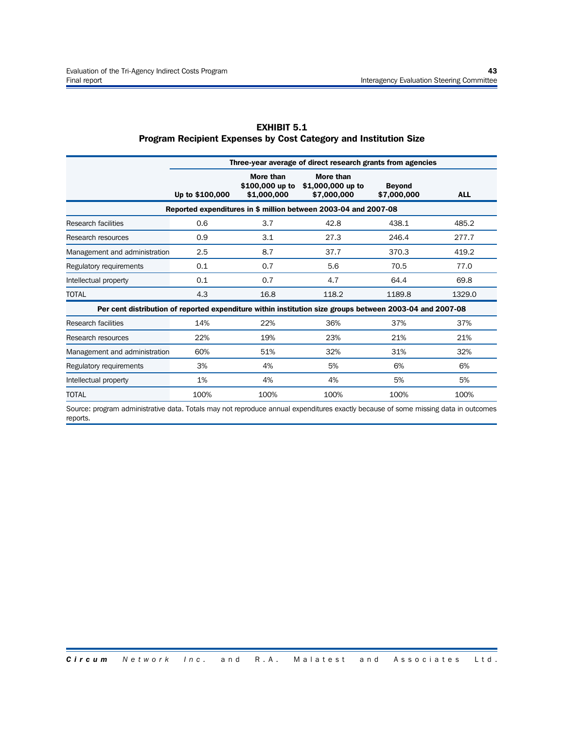|                                                                                                          | Three-year average of direct research grants from agencies |                                             |                                               |                              |            |  |  |  |
|----------------------------------------------------------------------------------------------------------|------------------------------------------------------------|---------------------------------------------|-----------------------------------------------|------------------------------|------------|--|--|--|
|                                                                                                          | Up to \$100,000                                            | More than<br>\$100,000 up to<br>\$1,000,000 | More than<br>\$1,000,000 up to<br>\$7,000,000 | <b>Beyond</b><br>\$7,000,000 | <b>ALL</b> |  |  |  |
| Reported expenditures in \$ million between 2003-04 and 2007-08                                          |                                                            |                                             |                                               |                              |            |  |  |  |
| Research facilities                                                                                      | 0.6                                                        | 3.7                                         | 42.8                                          | 438.1                        | 485.2      |  |  |  |
| Research resources                                                                                       | 0.9                                                        | 3.1                                         | 27.3                                          | 246.4                        | 277.7      |  |  |  |
| Management and administration                                                                            | 2.5                                                        | 8.7                                         | 37.7                                          | 370.3                        | 419.2      |  |  |  |
| Regulatory requirements                                                                                  | 0.1                                                        | 0.7                                         | 5.6                                           | 70.5                         | 77.0       |  |  |  |
| Intellectual property                                                                                    | 0.1                                                        | 0.7                                         | 4.7                                           | 64.4                         | 69.8       |  |  |  |
| <b>TOTAL</b>                                                                                             | 4.3                                                        | 16.8                                        | 118.2                                         | 1189.8                       | 1329.0     |  |  |  |
| Per cent distribution of reported expenditure within institution size groups between 2003-04 and 2007-08 |                                                            |                                             |                                               |                              |            |  |  |  |
| Research facilities                                                                                      | 14%                                                        | 22%                                         | 36%                                           | 37%                          | 37%        |  |  |  |
| Research resources                                                                                       | 22%                                                        | 19%                                         | 23%                                           | 21%                          | 21%        |  |  |  |
| Management and administration                                                                            | 60%                                                        | 51%                                         | 32%                                           | 31%                          | 32%        |  |  |  |
| Regulatory requirements                                                                                  | 3%                                                         | 4%                                          | 5%                                            | 6%                           | 6%         |  |  |  |
| Intellectual property                                                                                    | 1%                                                         | 4%                                          | 4%                                            | 5%                           | 5%         |  |  |  |
| TOTAL                                                                                                    | 100%                                                       | 100%                                        | 100%                                          | 100%                         | 100%       |  |  |  |

#### **EXHIBIT 5.1 Program Recipient Expenses by Cost Category and Institution Size**

Source: program administrative data. Totals may not reproduce annual expenditures exactly because of some missing data in outcomes reports.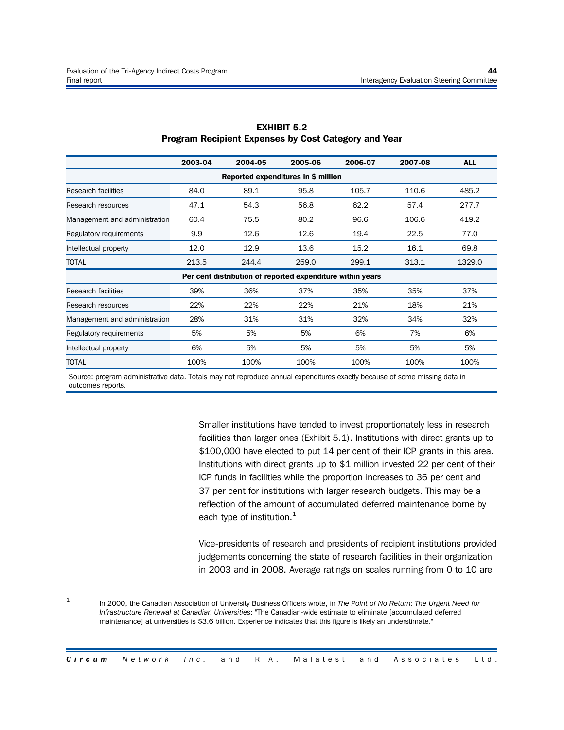|                                                            | 2003-04 | 2004-05 | 2005-06 | 2006-07 | 2007-08 | <b>ALL</b> |
|------------------------------------------------------------|---------|---------|---------|---------|---------|------------|
| Reported expenditures in \$ million                        |         |         |         |         |         |            |
| Research facilities                                        | 84.0    | 89.1    | 95.8    | 105.7   | 110.6   | 485.2      |
| Research resources                                         | 47.1    | 54.3    | 56.8    | 62.2    | 57.4    | 277.7      |
| Management and administration                              | 60.4    | 75.5    | 80.2    | 96.6    | 106.6   | 419.2      |
| Regulatory requirements                                    | 9.9     | 12.6    | 12.6    | 19.4    | 22.5    | 77.0       |
| Intellectual property                                      | 12.0    | 12.9    | 13.6    | 15.2    | 16.1    | 69.8       |
| <b>TOTAL</b>                                               | 213.5   | 244.4   | 259.0   | 299.1   | 313.1   | 1329.0     |
| Per cent distribution of reported expenditure within years |         |         |         |         |         |            |
| <b>Research facilities</b>                                 | 39%     | 36%     | 37%     | 35%     | 35%     | 37%        |
| Research resources                                         | 22%     | 22%     | 22%     | 21%     | 18%     | 21%        |
| Management and administration                              | 28%     | 31%     | 31%     | 32%     | 34%     | 32%        |
| Regulatory requirements                                    | 5%      | 5%      | 5%      | 6%      | 7%      | 6%         |
| Intellectual property                                      | 6%      | 5%      | 5%      | 5%      | 5%      | 5%         |
| <b>TOTAL</b>                                               | 100%    | 100%    | 100%    | 100%    | 100%    | 100%       |

#### **EXHIBIT 5.2 Program Recipient Expenses by Cost Category and Year**

Source: program administrative data. Totals may not reproduce annual expenditures exactly because of some missing data in outcomes reports.

> Smaller institutions have tended to invest proportionately less in research facilities than larger ones (Exhibit 5.1). Institutions with direct grants up to \$100,000 have elected to put 14 per cent of their ICP grants in this area. Institutions with direct grants up to \$1 million invested 22 per cent of their ICP funds in facilities while the proportion increases to 36 per cent and 37 per cent for institutions with larger research budgets. This may be a reflection of the amount of accumulated deferred maintenance borne by each type of institution.<sup>1</sup>

> Vice-presidents of research and presidents of recipient institutions provided judgements concerning the state of research facilities in their organization in 2003 and in 2008. Average ratings on scales running from 0 to 10 are

1 In 2000, the Canadian Association of University Business Officers wrote, in *The Point of No Return: The Urgent Need for Infrastructure Renewal at Canadian Universities*: "The Canadian-wide estimate to eliminate [accumulated deferred maintenance] at universities is \$3.6 billion. Experience indicates that this figure is likely an understimate."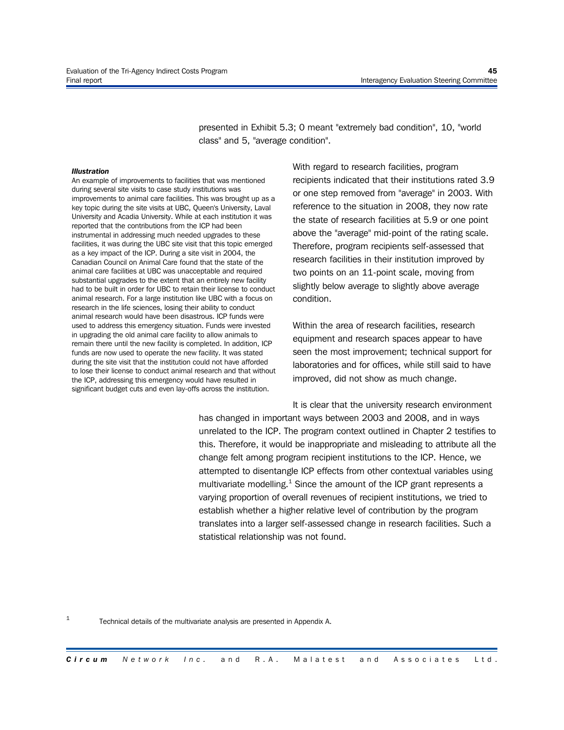presented in Exhibit 5.3; 0 meant "extremely bad condition", 10, "world class" and 5, "average condition".

#### *Illustration*

An example of improvements to facilities that was mentioned during several site visits to case study institutions was improvements to animal care facilities. This was brought up as a key topic during the site visits at UBC, Queen's University, Laval University and Acadia University. While at each institution it was reported that the contributions from the ICP had been instrumental in addressing much needed upgrades to these facilities, it was during the UBC site visit that this topic emerged as a key impact of the ICP. During a site visit in 2004, the Canadian Council on Animal Care found that the state of the animal care facilities at UBC was unacceptable and required substantial upgrades to the extent that an entirely new facility had to be built in order for UBC to retain their license to conduct animal research. For a large institution like UBC with a focus on research in the life sciences, losing their ability to conduct animal research would have been disastrous. ICP funds were used to address this emergency situation. Funds were invested in upgrading the old animal care facility to allow animals to remain there until the new facility is completed. In addition, ICP funds are now used to operate the new facility. It was stated during the site visit that the institution could not have afforded to lose their license to conduct animal research and that without the ICP, addressing this emergency would have resulted in significant budget cuts and even lay-offs across the institution.

With regard to research facilities, program recipients indicated that their institutions rated 3.9 or one step removed from "average" in 2003. With reference to the situation in 2008, they now rate the state of research facilities at 5.9 or one point above the "average" mid-point of the rating scale. Therefore, program recipients self-assessed that research facilities in their institution improved by two points on an 11-point scale, moving from slightly below average to slightly above average condition.

Within the area of research facilities, research equipment and research spaces appear to have seen the most improvement; technical support for laboratories and for offices, while still said to have improved, did not show as much change.

It is clear that the university research environment has changed in important ways between 2003 and 2008, and in ways unrelated to the ICP. The program context outlined in Chapter 2 testifies to this. Therefore, it would be inappropriate and misleading to attribute all the change felt among program recipient institutions to the ICP. Hence, we attempted to disentangle ICP effects from other contextual variables using multivariate modelling. $1$  Since the amount of the ICP grant represents a varying proportion of overall revenues of recipient institutions, we tried to establish whether a higher relative level of contribution by the program translates into a larger self-assessed change in research facilities. Such a statistical relationship was not found.

1 Technical details of the multivariate analysis are presented in Appendix A.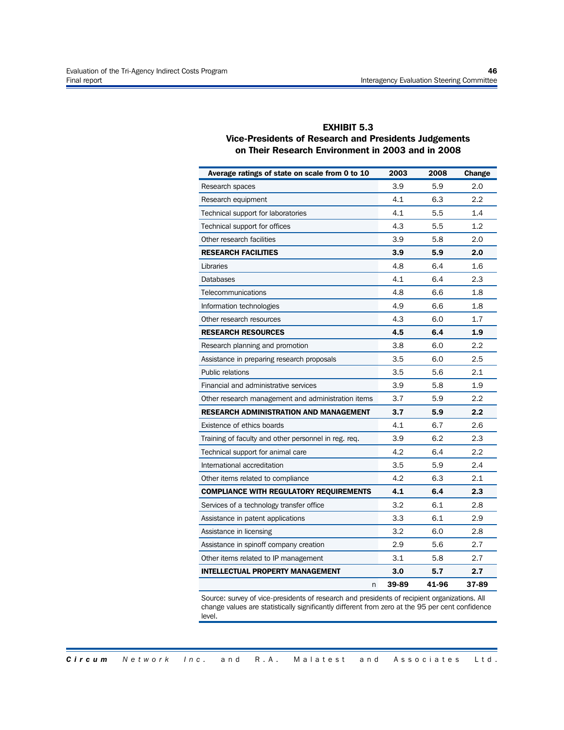#### **EXHIBIT 5.3 Vice-Presidents of Research and Presidents Judgements on Their Research Environment in 2003 and in 2008**

| Average ratings of state on scale from 0 to 10       | 2003  | 2008  | Change |
|------------------------------------------------------|-------|-------|--------|
| Research spaces                                      | 3.9   | 5.9   | 2.0    |
| Research equipment                                   | 4.1   | 6.3   | 2.2    |
| Technical support for laboratories                   | 4.1   | 5.5   | 1.4    |
| Technical support for offices                        | 4.3   | 5.5   | 1.2    |
| Other research facilities                            | 3.9   | 5.8   | 2.0    |
| <b>RESEARCH FACILITIES</b>                           | 3.9   | 5.9   | 2.0    |
| Libraries                                            | 4.8   | 6.4   | 1.6    |
| <b>Databases</b>                                     | 4.1   | 6.4   | 2.3    |
| Telecommunications                                   | 4.8   | 6.6   | 1.8    |
| Information technologies                             | 4.9   | 6.6   | 1.8    |
| Other research resources                             | 4.3   | 6.0   | 1.7    |
| <b>RESEARCH RESOURCES</b>                            | 4.5   | 6.4   | 1.9    |
| Research planning and promotion                      | 3.8   | 6.0   | 2.2    |
| Assistance in preparing research proposals           | 3.5   | 6.0   | 2.5    |
| Public relations                                     | 3.5   | 5.6   | 2.1    |
| Financial and administrative services                | 3.9   | 5.8   | 1.9    |
| Other research management and administration items   | 3.7   | 5.9   | 2.2    |
| <b>RESEARCH ADMINISTRATION AND MANAGEMENT</b>        | 3.7   | 5.9   | 2.2    |
| Existence of ethics boards                           | 4.1   | 6.7   | 2.6    |
| Training of faculty and other personnel in reg. req. | 3.9   | 6.2   | 2.3    |
| Technical support for animal care                    | 4.2   | 6.4   | 2.2    |
| International accreditation                          | 3.5   | 5.9   | 2.4    |
| Other items related to compliance                    | 4.2   | 6.3   | 2.1    |
| <b>COMPLIANCE WITH REGULATORY REQUIREMENTS</b>       | 4.1   | 6.4   | 2.3    |
| Services of a technology transfer office             | 3.2   | 6.1   | 2.8    |
| Assistance in patent applications                    | 3.3   | 6.1   | 2.9    |
| Assistance in licensing                              | 3.2   | 6.0   | 2.8    |
| Assistance in spinoff company creation               | 2.9   | 5.6   | 2.7    |
| Other items related to IP management                 | 3.1   | 5.8   | 2.7    |
| <b>INTELLECTUAL PROPERTY MANAGEMENT</b>              | 3.0   | 5.7   | 2.7    |
| n                                                    | 39-89 | 41-96 | 37-89  |

Source: survey of vice-presidents of research and presidents of recipient organizations. All change values are statistically significantly different from zero at the 95 per cent confidence level.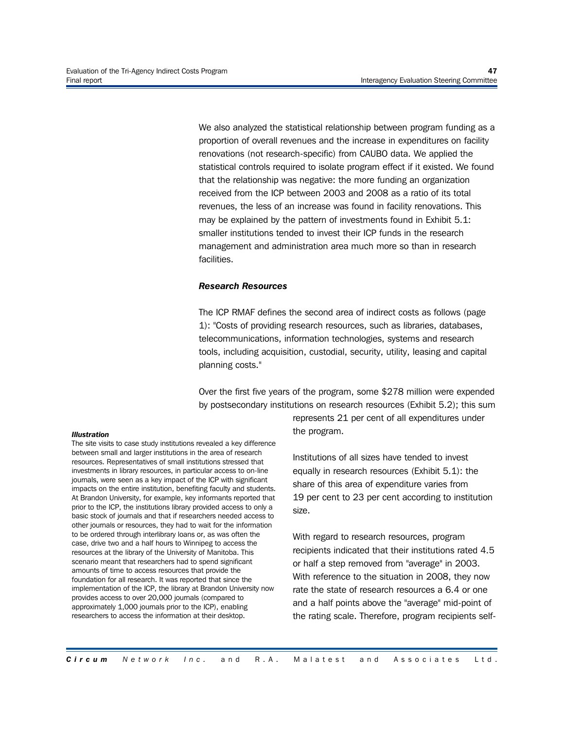We also analyzed the statistical relationship between program funding as a proportion of overall revenues and the increase in expenditures on facility renovations (not research-specific) from CAUBO data. We applied the statistical controls required to isolate program effect if it existed. We found that the relationship was negative: the more funding an organization received from the ICP between 2003 and 2008 as a ratio of its total revenues, the less of an increase was found in facility renovations. This may be explained by the pattern of investments found in Exhibit 5.1: smaller institutions tended to invest their ICP funds in the research management and administration area much more so than in research facilities.

#### *Research Resources*

The ICP RMAF defines the second area of indirect costs as follows (page 1): "Costs of providing research resources, such as libraries, databases, telecommunications, information technologies, systems and research tools, including acquisition, custodial, security, utility, leasing and capital planning costs."

Over the first five years of the program, some \$278 million were expended by postsecondary institutions on research resources (Exhibit 5.2); this sum

#### *Illustration*

The site visits to case study institutions revealed a key difference between small and larger institutions in the area of research resources. Representatives of small institutions stressed that investments in library resources, in particular access to on-line journals, were seen as a key impact of the ICP with significant impacts on the entire institution, benefiting faculty and students. At Brandon University, for example, key informants reported that prior to the ICP, the institutions library provided access to only a basic stock of journals and that if researchers needed access to other journals or resources, they had to wait for the information to be ordered through interlibrary loans or, as was often the case, drive two and a half hours to Winnipeg to access the resources at the library of the University of Manitoba. This scenario meant that researchers had to spend significant amounts of time to access resources that provide the foundation for all research. It was reported that since the implementation of the ICP, the library at Brandon University now provides access to over 20,000 journals (compared to approximately 1,000 journals prior to the ICP), enabling researchers to access the information at their desktop.

represents 21 per cent of all expenditures under the program.

Institutions of all sizes have tended to invest equally in research resources (Exhibit 5.1): the share of this area of expenditure varies from 19 per cent to 23 per cent according to institution size.

With regard to research resources, program recipients indicated that their institutions rated 4.5 or half a step removed from "average" in 2003. With reference to the situation in 2008, they now rate the state of research resources a 6.4 or one and a half points above the "average" mid-point of the rating scale. Therefore, program recipients self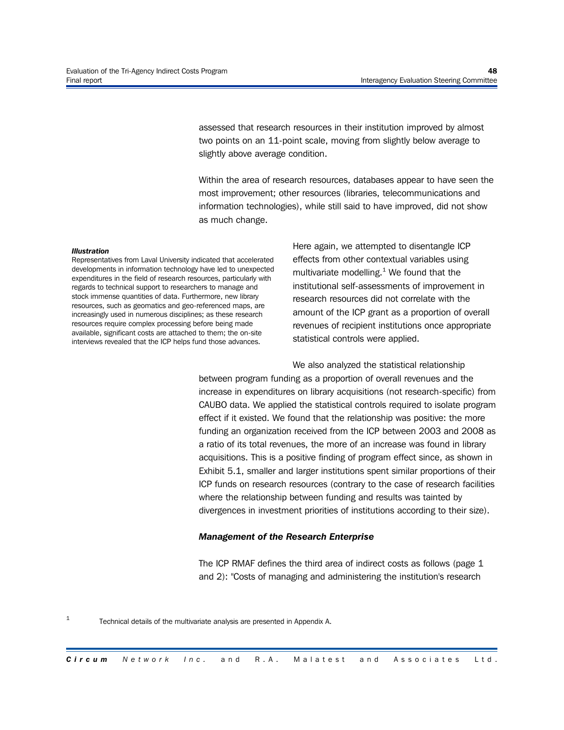assessed that research resources in their institution improved by almost two points on an 11-point scale, moving from slightly below average to slightly above average condition.

Within the area of research resources, databases appear to have seen the most improvement; other resources (libraries, telecommunications and information technologies), while still said to have improved, did not show as much change.

#### *Illustration*

Representatives from Laval University indicated that accelerated developments in information technology have led to unexpected expenditures in the field of research resources, particularly with regards to technical support to researchers to manage and stock immense quantities of data. Furthermore, new library resources, such as geomatics and geo-referenced maps, are increasingly used in numerous disciplines; as these research resources require complex processing before being made available, significant costs are attached to them; the on-site interviews revealed that the ICP helps fund those advances.

Here again, we attempted to disentangle ICP effects from other contextual variables using multivariate modelling. $1$  We found that the institutional self-assessments of improvement in research resources did not correlate with the amount of the ICP grant as a proportion of overall revenues of recipient institutions once appropriate statistical controls were applied.

We also analyzed the statistical relationship

between program funding as a proportion of overall revenues and the increase in expenditures on library acquisitions (not research-specific) from CAUBO data. We applied the statistical controls required to isolate program effect if it existed. We found that the relationship was positive: the more funding an organization received from the ICP between 2003 and 2008 as a ratio of its total revenues, the more of an increase was found in library acquisitions. This is a positive finding of program effect since, as shown in Exhibit 5.1, smaller and larger institutions spent similar proportions of their ICP funds on research resources (contrary to the case of research facilities where the relationship between funding and results was tainted by divergences in investment priorities of institutions according to their size).

#### *Management of the Research Enterprise*

The ICP RMAF defines the third area of indirect costs as follows (page 1 and 2): "Costs of managing and administering the institution's research

1

Technical details of the multivariate analysis are presented in Appendix A.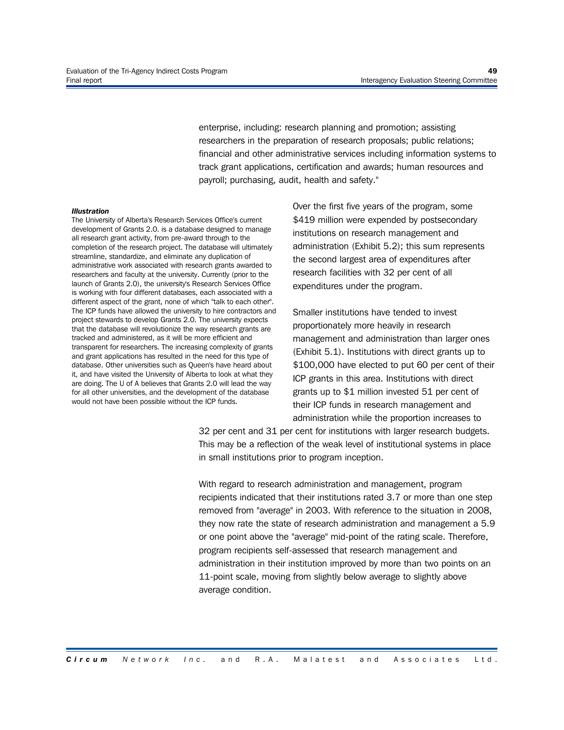enterprise, including: research planning and promotion; assisting researchers in the preparation of research proposals; public relations; financial and other administrative services including information systems to track grant applications, certification and awards; human resources and payroll; purchasing, audit, health and safety."

#### *Illustration*

The University of Alberta's Research Services Office's current development of Grants 2.0. is a database designed to manage all research grant activity, from pre-award through to the completion of the research project. The database will ultimately streamline, standardize, and eliminate any duplication of administrative work associated with research grants awarded to researchers and faculty at the university. Currently (prior to the launch of Grants 2.0), the university's Research Services Office is working with four different databases, each associated with a different aspect of the grant, none of which "talk to each other". The ICP funds have allowed the university to hire contractors and project stewards to develop Grants 2.0. The university expects that the database will revolutionize the way research grants are tracked and administered, as it will be more efficient and transparent for researchers. The increasing complexity of grants and grant applications has resulted in the need for this type of database. Other universities such as Queen's have heard about it, and have visited the University of Alberta to look at what they are doing. The U of A believes that Grants 2.0 will lead the way for all other universities, and the development of the database would not have been possible without the ICP funds.

Over the first five years of the program, some \$419 million were expended by postsecondary institutions on research management and administration (Exhibit 5.2); this sum represents the second largest area of expenditures after research facilities with 32 per cent of all expenditures under the program.

Smaller institutions have tended to invest proportionately more heavily in research management and administration than larger ones (Exhibit 5.1). Institutions with direct grants up to \$100,000 have elected to put 60 per cent of their ICP grants in this area. Institutions with direct grants up to \$1 million invested 51 per cent of their ICP funds in research management and administration while the proportion increases to

32 per cent and 31 per cent for institutions with larger research budgets. This may be a reflection of the weak level of institutional systems in place in small institutions prior to program inception.

With regard to research administration and management, program recipients indicated that their institutions rated 3.7 or more than one step removed from "average" in 2003. With reference to the situation in 2008, they now rate the state of research administration and management a 5.9 or one point above the "average" mid-point of the rating scale. Therefore, program recipients self-assessed that research management and administration in their institution improved by more than two points on an 11-point scale, moving from slightly below average to slightly above average condition.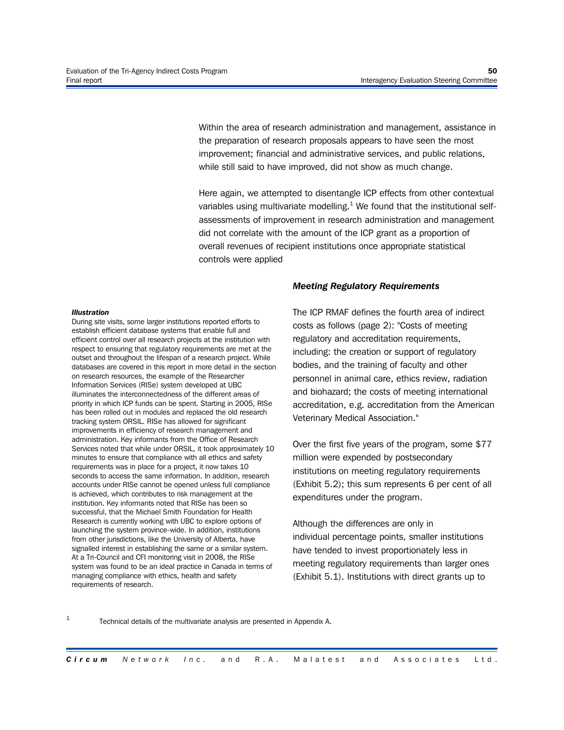Within the area of research administration and management, assistance in the preparation of research proposals appears to have seen the most improvement; financial and administrative services, and public relations, while still said to have improved, did not show as much change.

Here again, we attempted to disentangle ICP effects from other contextual variables using multivariate modelling.<sup>1</sup> We found that the institutional selfassessments of improvement in research administration and management did not correlate with the amount of the ICP grant as a proportion of overall revenues of recipient institutions once appropriate statistical controls were applied

#### *Illustration*

During site visits, some larger institutions reported efforts to establish efficient database systems that enable full and efficient control over all research projects at the institution with respect to ensuring that regulatory requirements are met at the outset and throughout the lifespan of a research project. While databases are covered in this report in more detail in the section on research resources, the example of the Researcher Information Services (RISe) system developed at UBC illuminates the interconnectedness of the different areas of priority in which ICP funds can be spent. Starting in 2005, RISe has been rolled out in modules and replaced the old research tracking system ORSIL. RISe has allowed for significant improvements in efficiency of research management and administration. Key informants from the Office of Research Services noted that while under ORSIL, it took approximately 10 minutes to ensure that compliance with all ethics and safety requirements was in place for a project, it now takes 10 seconds to access the same information. In addition, research accounts under RISe cannot be opened unless full compliance is achieved, which contributes to risk management at the institution. Key informants noted that RISe has been so successful, that the Michael Smith Foundation for Health Research is currently working with UBC to explore options of launching the system province-wide. In addition, institutions from other jurisdictions, like the University of Alberta, have signalled interest in establishing the same or a similar system. At a Tri-Council and CFI monitoring visit in 2008, the RISe system was found to be an ideal practice in Canada in terms of managing compliance with ethics, health and safety requirements of research.

#### *Meeting Regulatory Requirements*

The ICP RMAF defines the fourth area of indirect costs as follows (page 2): "Costs of meeting regulatory and accreditation requirements, including: the creation or support of regulatory bodies, and the training of faculty and other personnel in animal care, ethics review, radiation and biohazard; the costs of meeting international accreditation, e.g. accreditation from the American Veterinary Medical Association."

Over the first five years of the program, some \$77 million were expended by postsecondary institutions on meeting regulatory requirements (Exhibit 5.2); this sum represents 6 per cent of all expenditures under the program.

Although the differences are only in individual percentage points, smaller institutions have tended to invest proportionately less in meeting regulatory requirements than larger ones (Exhibit 5.1). Institutions with direct grants up to

#### 1

Technical details of the multivariate analysis are presented in Appendix A.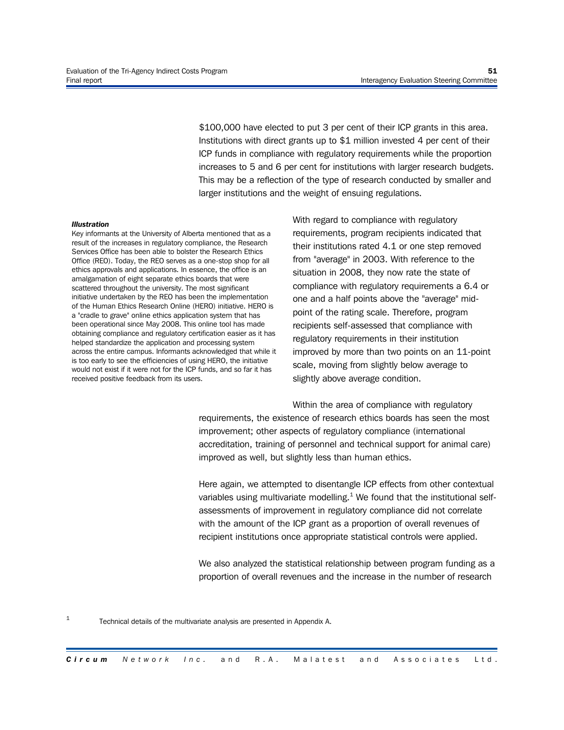\$100,000 have elected to put 3 per cent of their ICP grants in this area. Institutions with direct grants up to \$1 million invested 4 per cent of their ICP funds in compliance with regulatory requirements while the proportion increases to 5 and 6 per cent for institutions with larger research budgets. This may be a reflection of the type of research conducted by smaller and larger institutions and the weight of ensuing regulations.

#### *Illustration*

1

Key informants at the University of Alberta mentioned that as a result of the increases in regulatory compliance, the Research Services Office has been able to bolster the Research Ethics Office (REO). Today, the REO serves as a one-stop shop for all ethics approvals and applications. In essence, the office is an amalgamation of eight separate ethics boards that were scattered throughout the university. The most significant initiative undertaken by the REO has been the implementation of the Human Ethics Research Online (HERO) initiative. HERO is a "cradle to grave" online ethics application system that has been operational since May 2008. This online tool has made obtaining compliance and regulatory certification easier as it has helped standardize the application and processing system across the entire campus. Informants acknowledged that while it is too early to see the efficiencies of using HERO, the initiative would not exist if it were not for the ICP funds, and so far it has received positive feedback from its users.

With regard to compliance with regulatory requirements, program recipients indicated that their institutions rated 4.1 or one step removed from "average" in 2003. With reference to the situation in 2008, they now rate the state of compliance with regulatory requirements a 6.4 or one and a half points above the "average" midpoint of the rating scale. Therefore, program recipients self-assessed that compliance with regulatory requirements in their institution improved by more than two points on an 11-point scale, moving from slightly below average to slightly above average condition.

Within the area of compliance with regulatory requirements, the existence of research ethics boards has seen the most improvement; other aspects of regulatory compliance (international accreditation, training of personnel and technical support for animal care) improved as well, but slightly less than human ethics.

Here again, we attempted to disentangle ICP effects from other contextual variables using multivariate modelling.<sup>1</sup> We found that the institutional selfassessments of improvement in regulatory compliance did not correlate with the amount of the ICP grant as a proportion of overall revenues of recipient institutions once appropriate statistical controls were applied.

We also analyzed the statistical relationship between program funding as a proportion of overall revenues and the increase in the number of research

Technical details of the multivariate analysis are presented in Appendix A.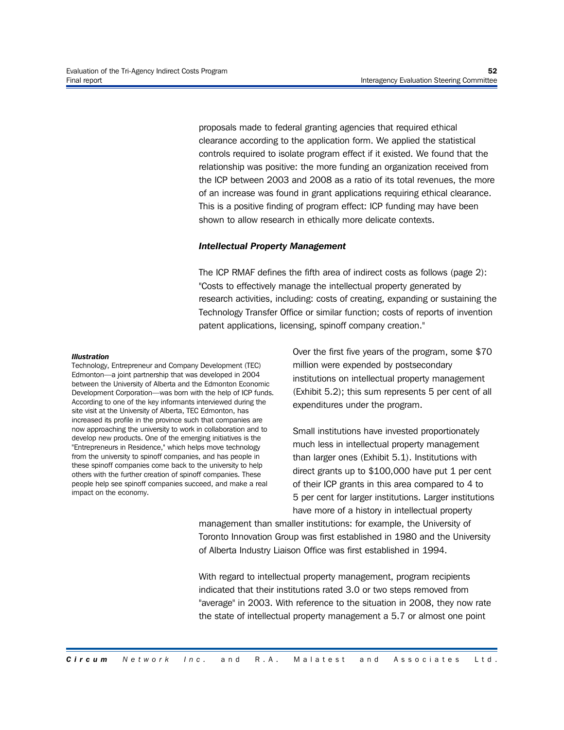proposals made to federal granting agencies that required ethical clearance according to the application form. We applied the statistical controls required to isolate program effect if it existed. We found that the relationship was positive: the more funding an organization received from the ICP between 2003 and 2008 as a ratio of its total revenues, the more of an increase was found in grant applications requiring ethical clearance. This is a positive finding of program effect: ICP funding may have been shown to allow research in ethically more delicate contexts.

#### *Intellectual Property Management*

The ICP RMAF defines the fifth area of indirect costs as follows (page 2): "Costs to effectively manage the intellectual property generated by research activities, including: costs of creating, expanding or sustaining the Technology Transfer Office or similar function; costs of reports of invention patent applications, licensing, spinoff company creation."

#### *Illustration*

Technology, Entrepreneur and Company Development (TEC) Edmonton—a joint partnership that was developed in 2004 between the University of Alberta and the Edmonton Economic Development Corporation—was born with the help of ICP funds. According to one of the key informants interviewed during the site visit at the University of Alberta, TEC Edmonton, has increased its profile in the province such that companies are now approaching the university to work in collaboration and to develop new products. One of the emerging initiatives is the "Entrepreneurs in Residence," which helps move technology from the university to spinoff companies, and has people in these spinoff companies come back to the university to help others with the further creation of spinoff companies. These people help see spinoff companies succeed, and make a real impact on the economy.

Over the first five years of the program, some \$70 million were expended by postsecondary institutions on intellectual property management (Exhibit 5.2); this sum represents 5 per cent of all expenditures under the program.

Small institutions have invested proportionately much less in intellectual property management than larger ones (Exhibit 5.1). Institutions with direct grants up to \$100,000 have put 1 per cent of their ICP grants in this area compared to 4 to 5 per cent for larger institutions. Larger institutions have more of a history in intellectual property

management than smaller institutions: for example, the University of Toronto Innovation Group was first established in 1980 and the University of Alberta Industry Liaison Office was first established in 1994.

With regard to intellectual property management, program recipients indicated that their institutions rated 3.0 or two steps removed from "average" in 2003. With reference to the situation in 2008, they now rate the state of intellectual property management a 5.7 or almost one point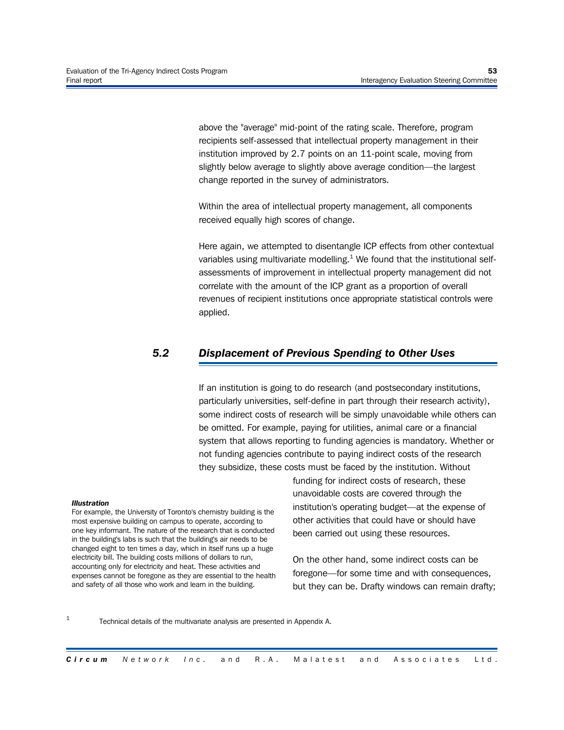above the "average" mid-point of the rating scale. Therefore, program recipients self-assessed that intellectual property management in their institution improved by 2.7 points on an 11-point scale, moving from slightly below average to slightly above average condition—the largest change reported in the survey of administrators.

Within the area of intellectual property management, all components received equally high scores of change.

Here again, we attempted to disentangle ICP effects from other contextual variables using multivariate modelling.<sup>1</sup> We found that the institutional selfassessments of improvement in intellectual property management did not correlate with the amount of the ICP grant as a proportion of overall revenues of recipient institutions once appropriate statistical controls were applied.

# *5.2 Displacement of Previous Spending to Other Uses*

If an institution is going to do research (and postsecondary institutions, particularly universities, self-define in part through their research activity), some indirect costs of research will be simply unavoidable while others can be omitted. For example, paying for utilities, animal care or a financial system that allows reporting to funding agencies is mandatory. Whether or not funding agencies contribute to paying indirect costs of the research they subsidize, these costs must be faced by the institution. Without

#### *Illustration*

1

For example, the University of Toronto's chemistry building is the most expensive building on campus to operate, according to one key informant. The nature of the research that is conducted in the building's labs is such that the building's air needs to be changed eight to ten times a day, which in itself runs up a huge electricity bill. The building costs millions of dollars to run, accounting only for electricity and heat. These activities and expenses cannot be foregone as they are essential to the health and safety of all those who work and learn in the building.

funding for indirect costs of research, these unavoidable costs are covered through the institution's operating budget—at the expense of other activities that could have or should have been carried out using these resources.

On the other hand, some indirect costs can be foregone—for some time and with consequences, but they can be. Drafty windows can remain drafty;

Technical details of the multivariate analysis are presented in Appendix A.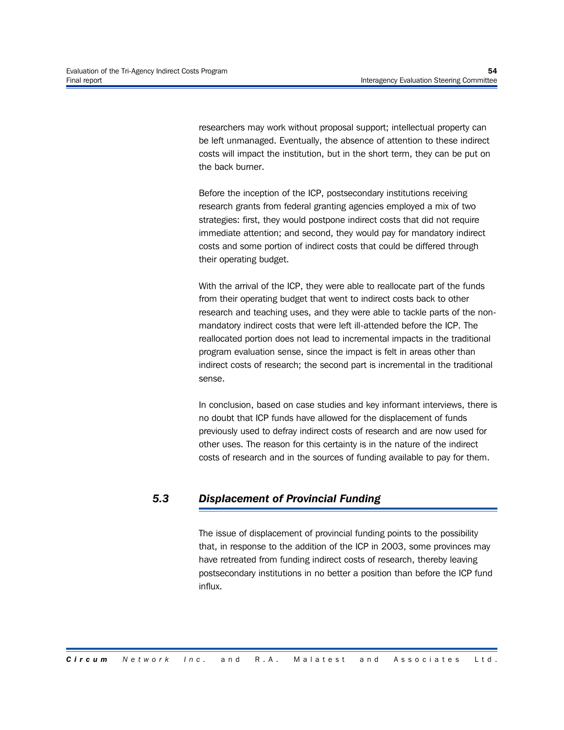researchers may work without proposal support; intellectual property can be left unmanaged. Eventually, the absence of attention to these indirect costs will impact the institution, but in the short term, they can be put on the back burner.

Before the inception of the ICP, postsecondary institutions receiving research grants from federal granting agencies employed a mix of two strategies: first, they would postpone indirect costs that did not require immediate attention; and second, they would pay for mandatory indirect costs and some portion of indirect costs that could be differed through their operating budget.

With the arrival of the ICP, they were able to reallocate part of the funds from their operating budget that went to indirect costs back to other research and teaching uses, and they were able to tackle parts of the nonmandatory indirect costs that were left ill-attended before the ICP. The reallocated portion does not lead to incremental impacts in the traditional program evaluation sense, since the impact is felt in areas other than indirect costs of research; the second part is incremental in the traditional sense.

In conclusion, based on case studies and key informant interviews, there is no doubt that ICP funds have allowed for the displacement of funds previously used to defray indirect costs of research and are now used for other uses. The reason for this certainty is in the nature of the indirect costs of research and in the sources of funding available to pay for them.

# *5.3 Displacement of Provincial Funding*

The issue of displacement of provincial funding points to the possibility that, in response to the addition of the ICP in 2003, some provinces may have retreated from funding indirect costs of research, thereby leaving postsecondary institutions in no better a position than before the ICP fund influx.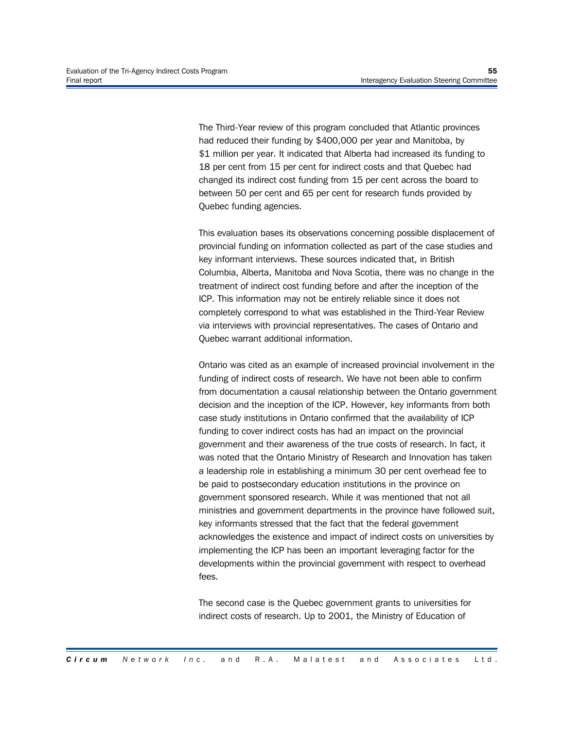The Third-Year review of this program concluded that Atlantic provinces had reduced their funding by \$400,000 per year and Manitoba, by \$1 million per year. It indicated that Alberta had increased its funding to 18 per cent from 15 per cent for indirect costs and that Quebec had changed its indirect cost funding from 15 per cent across the board to between 50 per cent and 65 per cent for research funds provided by Quebec funding agencies.

This evaluation bases its observations concerning possible displacement of provincial funding on information collected as part of the case studies and key informant interviews. These sources indicated that, in British Columbia, Alberta, Manitoba and Nova Scotia, there was no change in the treatment of indirect cost funding before and after the inception of the ICP. This information may not be entirely reliable since it does not completely correspond to what was established in the Third-Year Review via interviews with provincial representatives. The cases of Ontario and Quebec warrant additional information.

Ontario was cited as an example of increased provincial involvement in the funding of indirect costs of research. We have not been able to confirm from documentation a causal relationship between the Ontario government decision and the inception of the ICP. However, key informants from both case study institutions in Ontario confirmed that the availability of ICP funding to cover indirect costs has had an impact on the provincial government and their awareness of the true costs of research. In fact, it was noted that the Ontario Ministry of Research and Innovation has taken a leadership role in establishing a minimum 30 per cent overhead fee to be paid to postsecondary education institutions in the province on government sponsored research. While it was mentioned that not all ministries and government departments in the province have followed suit, key informants stressed that the fact that the federal government acknowledges the existence and impact of indirect costs on universities by implementing the ICP has been an important leveraging factor for the developments within the provincial government with respect to overhead fees.

The second case is the Quebec government grants to universities for indirect costs of research. Up to 2001, the Ministry of Education of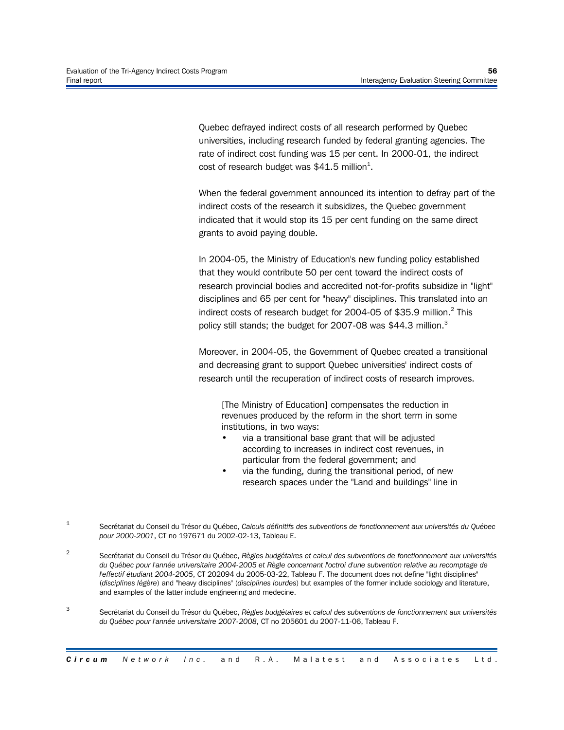Quebec defrayed indirect costs of all research performed by Quebec universities, including research funded by federal granting agencies. The rate of indirect cost funding was 15 per cent. In 2000-01, the indirect cost of research budget was \$41.5 million<sup>1</sup>.

When the federal government announced its intention to defray part of the indirect costs of the research it subsidizes, the Quebec government indicated that it would stop its 15 per cent funding on the same direct grants to avoid paying double.

In 2004-05, the Ministry of Education's new funding policy established that they would contribute 50 per cent toward the indirect costs of research provincial bodies and accredited not-for-profits subsidize in "light" disciplines and 65 per cent for "heavy" disciplines. This translated into an indirect costs of research budget for 2004-05 of \$35.9 million.<sup>2</sup> This policy still stands; the budget for 2007-08 was \$44.3 million.<sup>3</sup>

Moreover, in 2004-05, the Government of Quebec created a transitional and decreasing grant to support Quebec universities' indirect costs of research until the recuperation of indirect costs of research improves.

[The Ministry of Education] compensates the reduction in revenues produced by the reform in the short term in some institutions, in two ways:

- via a transitional base grant that will be adjusted according to increases in indirect cost revenues, in particular from the federal government; and
- via the funding, during the transitional period, of new research spaces under the "Land and buildings" line in
- 1 Secrétariat du Conseil du Trésor du Québec, *Calculs définitifs des subventions de fonctionnement aux universités du Québec pour 2000-2001*, CT no 197671 du 2002-02-13, Tableau E.

2 Secrétariat du Conseil du Trésor du Québec, *Règles budgétaires et calcul des subventions de fonctionnement aux universités du Québec pour l'année universitaire 2004-2005 et Règle concernant l'octroi d'une subvention relative au recomptage de l'effectif étudiant 2004-2005*, CT 202094 du 2005-03-22, Tableau F. The document does not define "light disciplines" (*disciplines légère*) and "heavy disciplines" (*disciplines lourdes*) but examples of the former include sociology and literature, and examples of the latter include engineering and medecine.

3 Secrétariat du Conseil du Trésor du Québec, *Règles budgétaires et calcul des subventions de fonctionnement aux universités du Québec pour l'année universitaire 2007-2008*, CT no 205601 du 2007-11-06, Tableau F.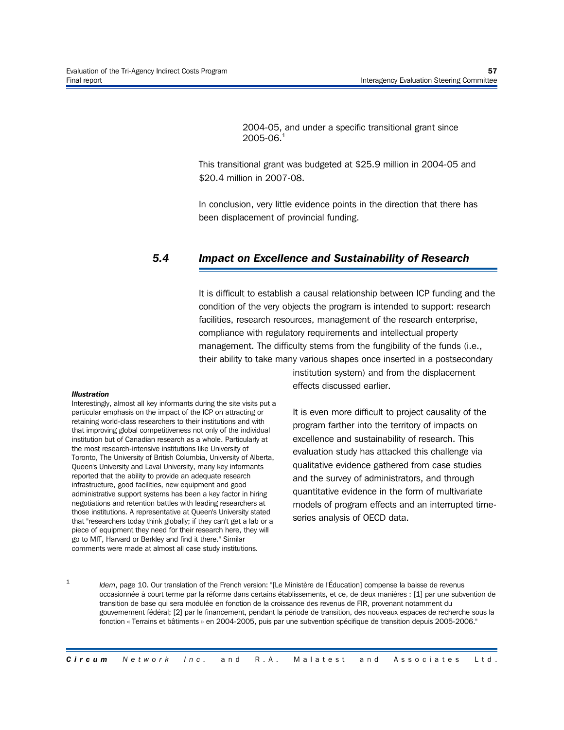2004-05, and under a specific transitional grant since  $2005 - 06.<sup>1</sup>$ 

This transitional grant was budgeted at \$25.9 million in 2004-05 and \$20.4 million in 2007-08.

In conclusion, very little evidence points in the direction that there has been displacement of provincial funding.

#### *5.4 Impact on Excellence and Sustainability of Research*

It is difficult to establish a causal relationship between ICP funding and the condition of the very objects the program is intended to support: research facilities, research resources, management of the research enterprise, compliance with regulatory requirements and intellectual property management. The difficulty stems from the fungibility of the funds (i.e., their ability to take many various shapes once inserted in a postsecondary

#### *Illustration*

Interestingly, almost all key informants during the site visits put a particular emphasis on the impact of the ICP on attracting or retaining world-class researchers to their institutions and with that improving global competitiveness not only of the individual institution but of Canadian research as a whole. Particularly at the most research-intensive institutions like University of Toronto, The University of British Columbia, University of Alberta, Queen's University and Laval University, many key informants reported that the ability to provide an adequate research infrastructure, good facilities, new equipment and good administrative support systems has been a key factor in hiring negotiations and retention battles with leading researchers at those institutions. A representative at Queen's University stated that "researchers today think globally; if they can't get a lab or a piece of equipment they need for their research here, they will go to MIT, Harvard or Berkley and find it there." Similar comments were made at almost all case study institutions.

institution system) and from the displacement effects discussed earlier.

It is even more difficult to project causality of the program farther into the territory of impacts on excellence and sustainability of research. This evaluation study has attacked this challenge via qualitative evidence gathered from case studies and the survey of administrators, and through quantitative evidence in the form of multivariate models of program effects and an interrupted timeseries analysis of OECD data.

1

*Idem*, page 10. Our translation of the French version: "[Le Ministère de l'Éducation] compense la baisse de revenus occasionnée à court terme par la réforme dans certains établissements, et ce, de deux manières : [1] par une subvention de transition de base qui sera modulée en fonction de la croissance des revenus de FIR, provenant notamment du gouvernement fédéral; [2] par le financement, pendant la période de transition, des nouveaux espaces de recherche sous la fonction « Terrains et bâtiments » en 2004-2005, puis par une subvention spécifique de transition depuis 2005-2006."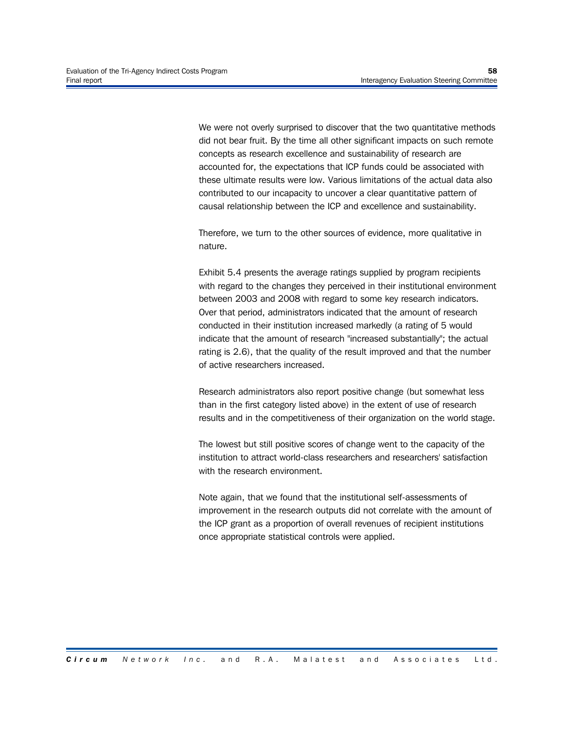We were not overly surprised to discover that the two quantitative methods did not bear fruit. By the time all other significant impacts on such remote concepts as research excellence and sustainability of research are accounted for, the expectations that ICP funds could be associated with these ultimate results were low. Various limitations of the actual data also contributed to our incapacity to uncover a clear quantitative pattern of causal relationship between the ICP and excellence and sustainability.

Therefore, we turn to the other sources of evidence, more qualitative in nature.

Exhibit 5.4 presents the average ratings supplied by program recipients with regard to the changes they perceived in their institutional environment between 2003 and 2008 with regard to some key research indicators. Over that period, administrators indicated that the amount of research conducted in their institution increased markedly (a rating of 5 would indicate that the amount of research "increased substantially"; the actual rating is 2.6), that the quality of the result improved and that the number of active researchers increased.

Research administrators also report positive change (but somewhat less than in the first category listed above) in the extent of use of research results and in the competitiveness of their organization on the world stage.

The lowest but still positive scores of change went to the capacity of the institution to attract world-class researchers and researchers' satisfaction with the research environment.

Note again, that we found that the institutional self-assessments of improvement in the research outputs did not correlate with the amount of the ICP grant as a proportion of overall revenues of recipient institutions once appropriate statistical controls were applied.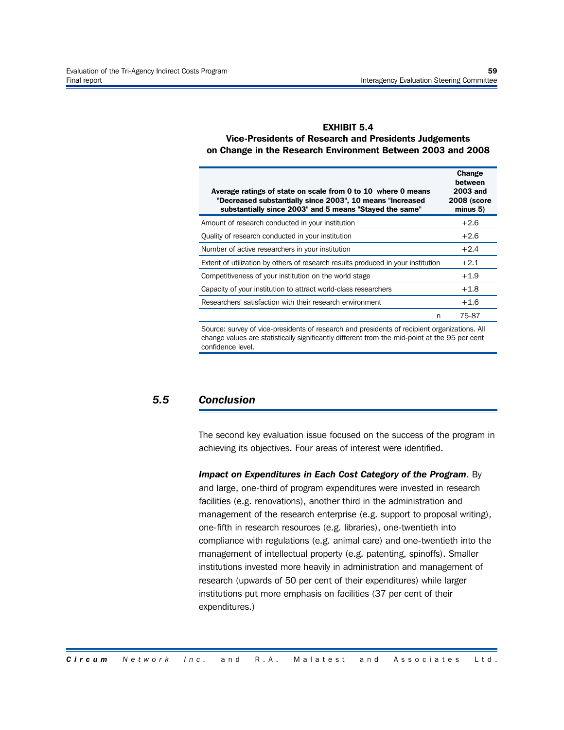#### **EXHIBIT 5.4 Vice-Presidents of Research and Presidents Judgements on Change in the Research Environment Between 2003 and 2008**

| Average ratings of state on scale from 0 to 10 where 0 means<br>"Decreased substantially since 2003", 10 means "Increased<br>substantially since 2003" and 5 means "Stayed the same" | Change<br>between<br><b>2003 and</b><br><b>2008 (score</b><br>minus 5) |
|--------------------------------------------------------------------------------------------------------------------------------------------------------------------------------------|------------------------------------------------------------------------|
| Amount of research conducted in your institution                                                                                                                                     | $+2.6$                                                                 |
| Quality of research conducted in your institution                                                                                                                                    | $+2.6$                                                                 |
| Number of active researchers in your institution                                                                                                                                     | $+2.4$                                                                 |
| Extent of utilization by others of research results produced in your institution                                                                                                     | $+2.1$                                                                 |
| Competitiveness of your institution on the world stage                                                                                                                               | $+1.9$                                                                 |
| Capacity of your institution to attract world-class researchers                                                                                                                      | $+1.8$                                                                 |
| Researchers' satisfaction with their research environment                                                                                                                            | $+1.6$                                                                 |
| n                                                                                                                                                                                    | 75-87                                                                  |
| Carmea, and an africa mussiciate of measurely and mussiciate of mainized surgenizes. All                                                                                             |                                                                        |

Source: survey of vice-presidents of research and presidents of recipient organizations. All change values are statistically significantly different from the mid-point at the 95 per cent confidence level.

#### *5.5 Conclusion*

The second key evaluation issue focused on the success of the program in achieving its objectives. Four areas of interest were identified.

*Impact on Expenditures in Each Cost Category of the Program*. By and large, one-third of program expenditures were invested in research facilities (e.g. renovations), another third in the administration and management of the research enterprise (e.g. support to proposal writing), one-fifth in research resources (e.g. libraries), one-twentieth into compliance with regulations (e.g. animal care) and one-twentieth into the management of intellectual property (e.g. patenting, spinoffs). Smaller institutions invested more heavily in administration and management of research (upwards of 50 per cent of their expenditures) while larger institutions put more emphasis on facilities (37 per cent of their expenditures.)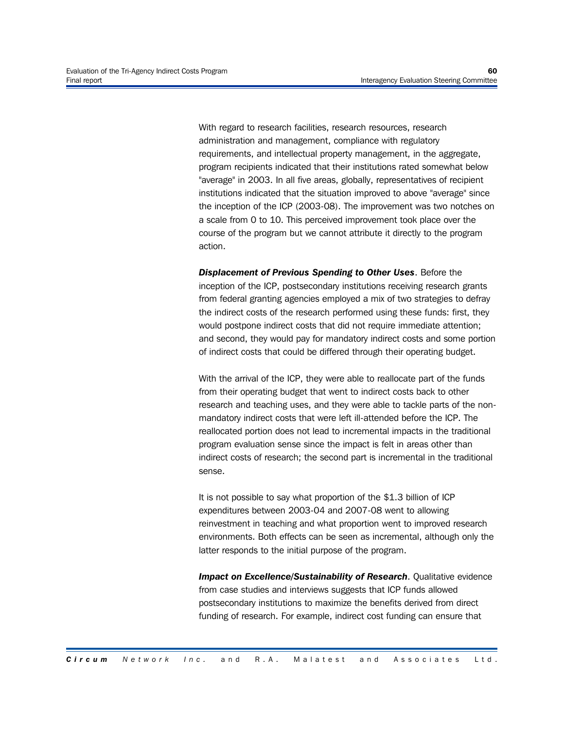With regard to research facilities, research resources, research administration and management, compliance with regulatory requirements, and intellectual property management, in the aggregate, program recipients indicated that their institutions rated somewhat below "average" in 2003. In all five areas, globally, representatives of recipient institutions indicated that the situation improved to above "average" since the inception of the ICP (2003-08). The improvement was two notches on a scale from 0 to 10. This perceived improvement took place over the course of the program but we cannot attribute it directly to the program action.

*Displacement of Previous Spending to Other Uses*. Before the inception of the ICP, postsecondary institutions receiving research grants from federal granting agencies employed a mix of two strategies to defray the indirect costs of the research performed using these funds: first, they would postpone indirect costs that did not require immediate attention; and second, they would pay for mandatory indirect costs and some portion of indirect costs that could be differed through their operating budget.

With the arrival of the ICP, they were able to reallocate part of the funds from their operating budget that went to indirect costs back to other research and teaching uses, and they were able to tackle parts of the nonmandatory indirect costs that were left ill-attended before the ICP. The reallocated portion does not lead to incremental impacts in the traditional program evaluation sense since the impact is felt in areas other than indirect costs of research; the second part is incremental in the traditional sense.

It is not possible to say what proportion of the \$1.3 billion of ICP expenditures between 2003-04 and 2007-08 went to allowing reinvestment in teaching and what proportion went to improved research environments. Both effects can be seen as incremental, although only the latter responds to the initial purpose of the program.

*Impact on Excellence/Sustainability of Research*. Qualitative evidence from case studies and interviews suggests that ICP funds allowed postsecondary institutions to maximize the benefits derived from direct funding of research. For example, indirect cost funding can ensure that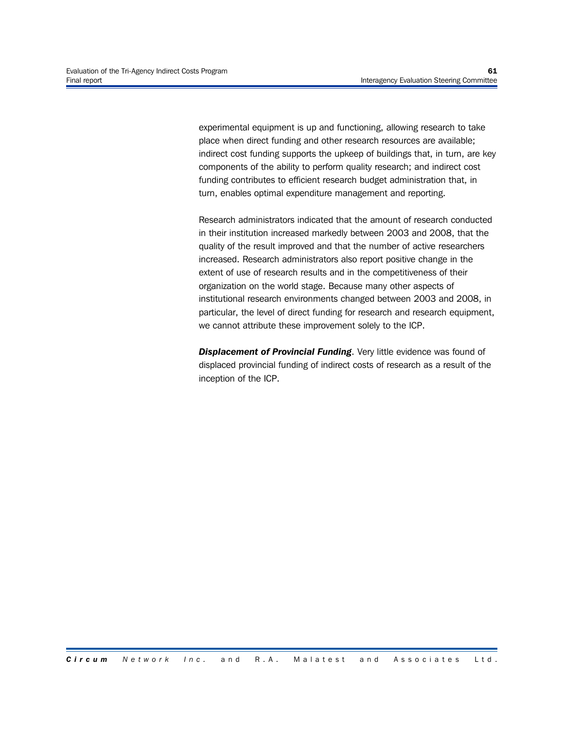experimental equipment is up and functioning, allowing research to take place when direct funding and other research resources are available; indirect cost funding supports the upkeep of buildings that, in turn, are key components of the ability to perform quality research; and indirect cost funding contributes to efficient research budget administration that, in turn, enables optimal expenditure management and reporting.

Research administrators indicated that the amount of research conducted in their institution increased markedly between 2003 and 2008, that the quality of the result improved and that the number of active researchers increased. Research administrators also report positive change in the extent of use of research results and in the competitiveness of their organization on the world stage. Because many other aspects of institutional research environments changed between 2003 and 2008, in particular, the level of direct funding for research and research equipment, we cannot attribute these improvement solely to the ICP.

*Displacement of Provincial Funding*. Very little evidence was found of displaced provincial funding of indirect costs of research as a result of the inception of the ICP.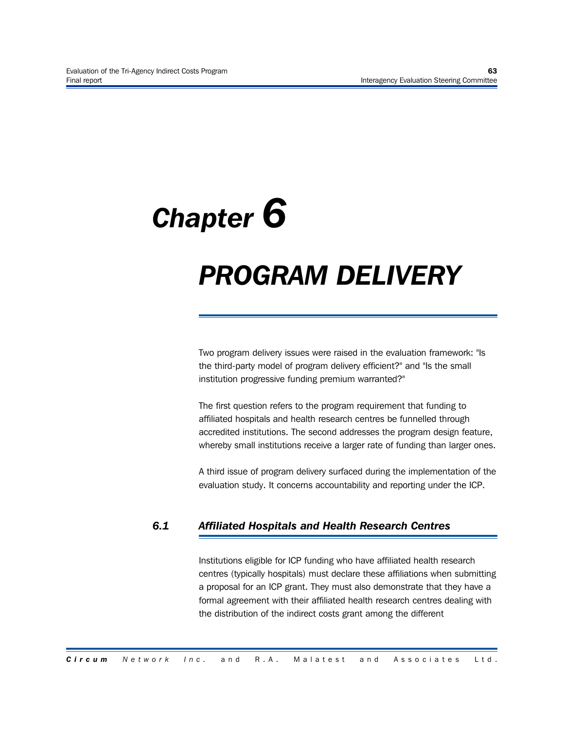# *Chapter 6*

## *PROGRAM DELIVERY*

Two program delivery issues were raised in the evaluation framework: "Is the third-party model of program delivery efficient?" and "Is the small institution progressive funding premium warranted?"

The first question refers to the program requirement that funding to affiliated hospitals and health research centres be funnelled through accredited institutions. The second addresses the program design feature, whereby small institutions receive a larger rate of funding than larger ones.

A third issue of program delivery surfaced during the implementation of the evaluation study. It concerns accountability and reporting under the ICP.

#### *6.1 Affiliated Hospitals and Health Research Centres*

Institutions eligible for ICP funding who have affiliated health research centres (typically hospitals) must declare these affiliations when submitting a proposal for an ICP grant. They must also demonstrate that they have a formal agreement with their affiliated health research centres dealing with the distribution of the indirect costs grant among the different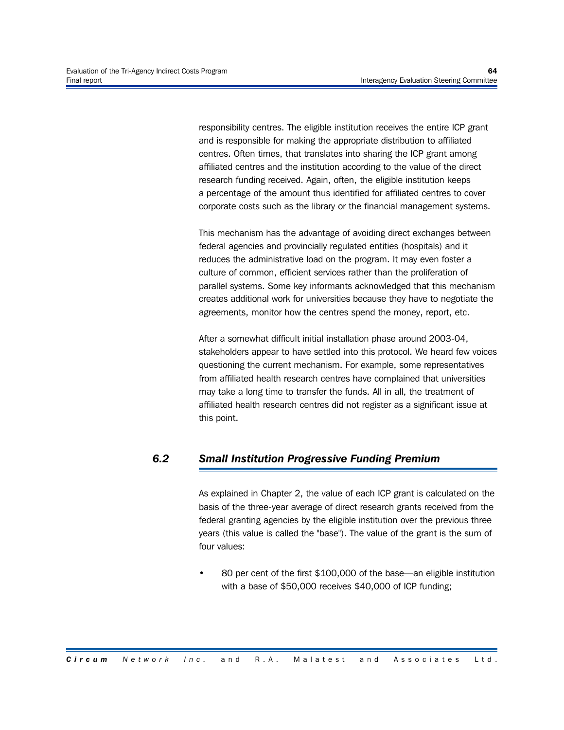responsibility centres. The eligible institution receives the entire ICP grant and is responsible for making the appropriate distribution to affiliated centres. Often times, that translates into sharing the ICP grant among affiliated centres and the institution according to the value of the direct research funding received. Again, often, the eligible institution keeps a percentage of the amount thus identified for affiliated centres to cover corporate costs such as the library or the financial management systems.

This mechanism has the advantage of avoiding direct exchanges between federal agencies and provincially regulated entities (hospitals) and it reduces the administrative load on the program. It may even foster a culture of common, efficient services rather than the proliferation of parallel systems. Some key informants acknowledged that this mechanism creates additional work for universities because they have to negotiate the agreements, monitor how the centres spend the money, report, etc.

After a somewhat difficult initial installation phase around 2003-04, stakeholders appear to have settled into this protocol. We heard few voices questioning the current mechanism. For example, some representatives from affiliated health research centres have complained that universities may take a long time to transfer the funds. All in all, the treatment of affiliated health research centres did not register as a significant issue at this point.

#### *6.2 Small Institution Progressive Funding Premium*

As explained in Chapter 2, the value of each ICP grant is calculated on the basis of the three-year average of direct research grants received from the federal granting agencies by the eligible institution over the previous three years (this value is called the "base"). The value of the grant is the sum of four values:

• 80 per cent of the first \$100,000 of the base—an eligible institution with a base of \$50,000 receives \$40,000 of ICP funding;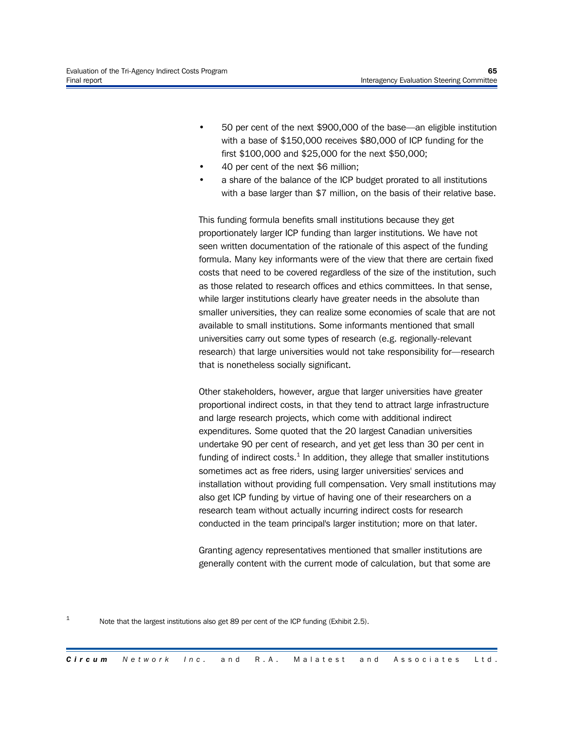- 50 per cent of the next \$900,000 of the base—an eligible institution with a base of \$150,000 receives \$80,000 of ICP funding for the first \$100,000 and \$25,000 for the next \$50,000;
- 40 per cent of the next \$6 million;
- a share of the balance of the ICP budget prorated to all institutions with a base larger than \$7 million, on the basis of their relative base.

This funding formula benefits small institutions because they get proportionately larger ICP funding than larger institutions. We have not seen written documentation of the rationale of this aspect of the funding formula. Many key informants were of the view that there are certain fixed costs that need to be covered regardless of the size of the institution, such as those related to research offices and ethics committees. In that sense, while larger institutions clearly have greater needs in the absolute than smaller universities, they can realize some economies of scale that are not available to small institutions. Some informants mentioned that small universities carry out some types of research (e.g. regionally-relevant research) that large universities would not take responsibility for—research that is nonetheless socially significant.

Other stakeholders, however, argue that larger universities have greater proportional indirect costs, in that they tend to attract large infrastructure and large research projects, which come with additional indirect expenditures. Some quoted that the 20 largest Canadian universities undertake 90 per cent of research, and yet get less than 30 per cent in funding of indirect costs. $^1$  In addition, they allege that smaller institutions sometimes act as free riders, using larger universities' services and installation without providing full compensation. Very small institutions may also get ICP funding by virtue of having one of their researchers on a research team without actually incurring indirect costs for research conducted in the team principal's larger institution; more on that later.

Granting agency representatives mentioned that smaller institutions are generally content with the current mode of calculation, but that some are

1 Note that the largest institutions also get 89 per cent of the ICP funding (Exhibit 2.5).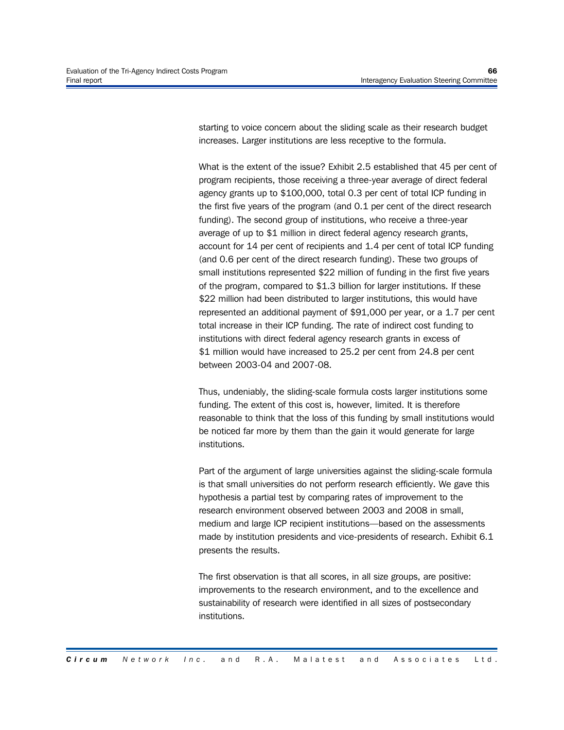starting to voice concern about the sliding scale as their research budget increases. Larger institutions are less receptive to the formula.

What is the extent of the issue? Exhibit 2.5 established that 45 per cent of program recipients, those receiving a three-year average of direct federal agency grants up to \$100,000, total 0.3 per cent of total ICP funding in the first five years of the program (and 0.1 per cent of the direct research funding). The second group of institutions, who receive a three-year average of up to \$1 million in direct federal agency research grants, account for 14 per cent of recipients and 1.4 per cent of total ICP funding (and 0.6 per cent of the direct research funding). These two groups of small institutions represented \$22 million of funding in the first five years of the program, compared to \$1.3 billion for larger institutions. If these \$22 million had been distributed to larger institutions, this would have represented an additional payment of \$91,000 per year, or a 1.7 per cent total increase in their ICP funding. The rate of indirect cost funding to institutions with direct federal agency research grants in excess of \$1 million would have increased to 25.2 per cent from 24.8 per cent between 2003-04 and 2007-08.

Thus, undeniably, the sliding-scale formula costs larger institutions some funding. The extent of this cost is, however, limited. It is therefore reasonable to think that the loss of this funding by small institutions would be noticed far more by them than the gain it would generate for large institutions.

Part of the argument of large universities against the sliding-scale formula is that small universities do not perform research efficiently. We gave this hypothesis a partial test by comparing rates of improvement to the research environment observed between 2003 and 2008 in small, medium and large ICP recipient institutions—based on the assessments made by institution presidents and vice-presidents of research. Exhibit 6.1 presents the results.

The first observation is that all scores, in all size groups, are positive: improvements to the research environment, and to the excellence and sustainability of research were identified in all sizes of postsecondary institutions.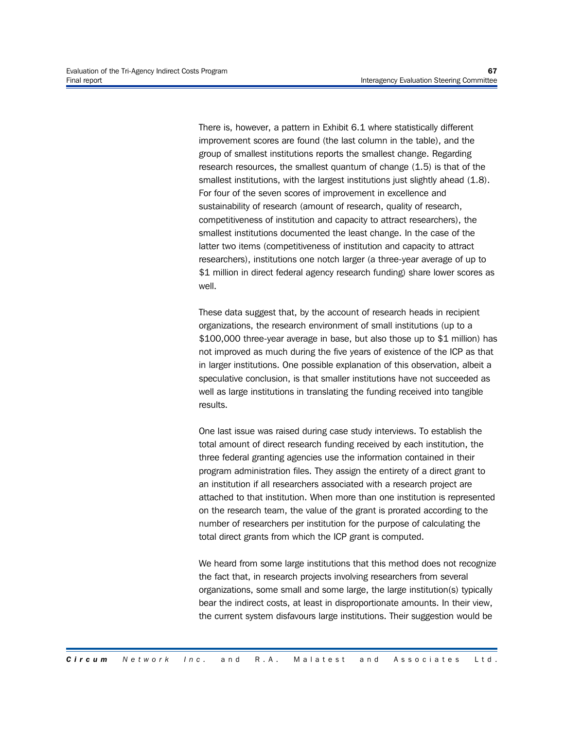There is, however, a pattern in Exhibit 6.1 where statistically different improvement scores are found (the last column in the table), and the group of smallest institutions reports the smallest change. Regarding research resources, the smallest quantum of change (1.5) is that of the smallest institutions, with the largest institutions just slightly ahead (1.8). For four of the seven scores of improvement in excellence and sustainability of research (amount of research, quality of research, competitiveness of institution and capacity to attract researchers), the smallest institutions documented the least change. In the case of the latter two items (competitiveness of institution and capacity to attract researchers), institutions one notch larger (a three-year average of up to \$1 million in direct federal agency research funding) share lower scores as well.

These data suggest that, by the account of research heads in recipient organizations, the research environment of small institutions (up to a \$100,000 three-year average in base, but also those up to \$1 million) has not improved as much during the five years of existence of the ICP as that in larger institutions. One possible explanation of this observation, albeit a speculative conclusion, is that smaller institutions have not succeeded as well as large institutions in translating the funding received into tangible results.

One last issue was raised during case study interviews. To establish the total amount of direct research funding received by each institution, the three federal granting agencies use the information contained in their program administration files. They assign the entirety of a direct grant to an institution if all researchers associated with a research project are attached to that institution. When more than one institution is represented on the research team, the value of the grant is prorated according to the number of researchers per institution for the purpose of calculating the total direct grants from which the ICP grant is computed.

We heard from some large institutions that this method does not recognize the fact that, in research projects involving researchers from several organizations, some small and some large, the large institution(s) typically bear the indirect costs, at least in disproportionate amounts. In their view, the current system disfavours large institutions. Their suggestion would be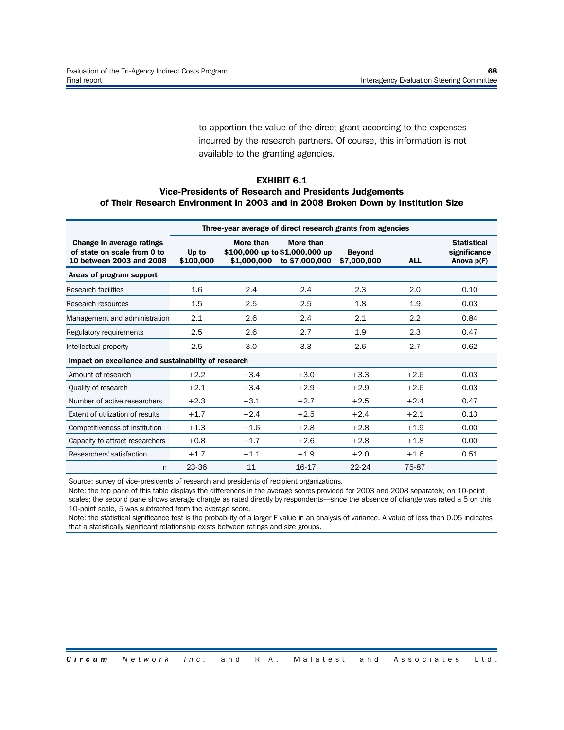to apportion the value of the direct grant according to the expenses incurred by the research partners. Of course, this information is not available to the granting agencies.

#### **EXHIBIT 6.1**

#### **Vice-Presidents of Research and Presidents Judgements of Their Research Environment in 2003 and in 2008 Broken Down by Institution Size**

|                                                                                      | Three-year average of direct research grants from agencies |                          |                                                               |                              |            |                                                    |
|--------------------------------------------------------------------------------------|------------------------------------------------------------|--------------------------|---------------------------------------------------------------|------------------------------|------------|----------------------------------------------------|
| Change in average ratings<br>of state on scale from 0 to<br>10 between 2003 and 2008 | Up to<br>\$100,000                                         | More than<br>\$1,000,000 | More than<br>\$100,000 up to \$1,000,000 up<br>to \$7,000,000 | <b>Beyond</b><br>\$7,000,000 | <b>ALL</b> | <b>Statistical</b><br>significance<br>Anova $p(F)$ |
| Areas of program support                                                             |                                                            |                          |                                                               |                              |            |                                                    |
| Research facilities                                                                  | 1.6                                                        | 2.4                      | 2.4                                                           | 2.3                          | 2.0        | 0.10                                               |
| Research resources                                                                   | 1.5                                                        | 2.5                      | 2.5                                                           | 1.8                          | 1.9        | 0.03                                               |
| Management and administration                                                        | 2.1                                                        | 2.6                      | 2.4                                                           | 2.1                          | 2.2        | 0.84                                               |
| Regulatory requirements                                                              | 2.5                                                        | 2.6                      | 2.7                                                           | 1.9                          | 2.3        | 0.47                                               |
| Intellectual property                                                                | 2.5                                                        | 3.0                      | 3.3                                                           | 2.6                          | 2.7        | 0.62                                               |
| Impact on excellence and sustainability of research                                  |                                                            |                          |                                                               |                              |            |                                                    |
| Amount of research                                                                   | $+2.2$                                                     | $+3.4$                   | $+3.0$                                                        | $+3.3$                       | $+2.6$     | 0.03                                               |
| Quality of research                                                                  | $+2.1$                                                     | $+3.4$                   | $+2.9$                                                        | $+2.9$                       | $+2.6$     | 0.03                                               |
| Number of active researchers                                                         | $+2.3$                                                     | $+3.1$                   | $+2.7$                                                        | $+2.5$                       | $+2.4$     | 0.47                                               |
| Extent of utilization of results                                                     | $+1.7$                                                     | $+2.4$                   | $+2.5$                                                        | $+2.4$                       | $+2.1$     | 0.13                                               |
| Competitiveness of institution                                                       | $+1.3$                                                     | $+1.6$                   | $+2.8$                                                        | $+2.8$                       | $+1.9$     | 0.00                                               |
| Capacity to attract researchers                                                      | $+0.8$                                                     | $+1.7$                   | $+2.6$                                                        | $+2.8$                       | $+1.8$     | 0.00                                               |
| Researchers' satisfaction                                                            | $+1.7$                                                     | $+1.1$                   | $+1.9$                                                        | $+2.0$                       | $+1.6$     | 0.51                                               |
| n                                                                                    | 23-36                                                      | 11                       | 16-17                                                         | $22 - 24$                    | 75-87      |                                                    |

Source: survey of vice-presidents of research and presidents of recipient organizations.

Note: the top pane of this table displays the differences in the average scores provided for 2003 and 2008 separately, on 10-point scales; the second pane shows average change as rated directly by respondents—since the absence of change was rated a 5 on this 10-point scale, 5 was subtracted from the average score.

Note: the statistical significance test is the probability of a larger F value in an analysis of variance. A value of less than 0.05 indicates that a statistically significant relationship exists between ratings and size groups.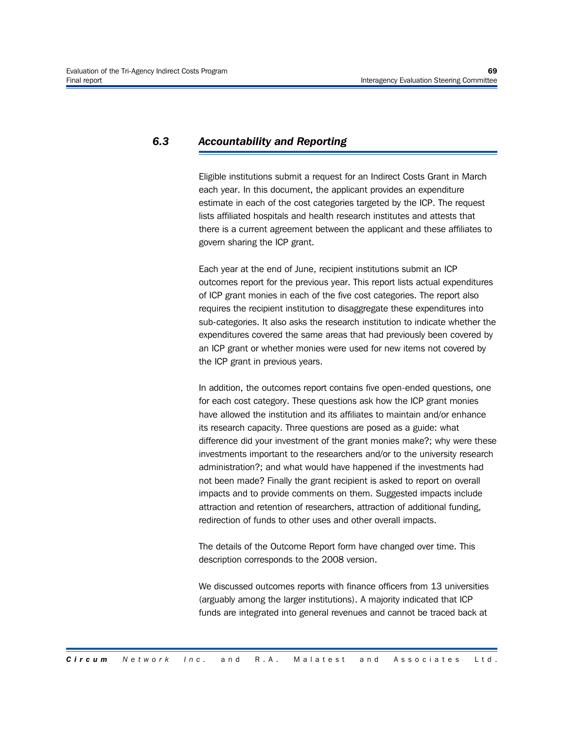#### *6.3 Accountability and Reporting*

Eligible institutions submit a request for an Indirect Costs Grant in March each year. In this document, the applicant provides an expenditure estimate in each of the cost categories targeted by the ICP. The request lists affiliated hospitals and health research institutes and attests that there is a current agreement between the applicant and these affiliates to govern sharing the ICP grant.

Each year at the end of June, recipient institutions submit an ICP outcomes report for the previous year. This report lists actual expenditures of ICP grant monies in each of the five cost categories. The report also requires the recipient institution to disaggregate these expenditures into sub-categories. It also asks the research institution to indicate whether the expenditures covered the same areas that had previously been covered by an ICP grant or whether monies were used for new items not covered by the ICP grant in previous years.

In addition, the outcomes report contains five open-ended questions, one for each cost category. These questions ask how the ICP grant monies have allowed the institution and its affiliates to maintain and/or enhance its research capacity. Three questions are posed as a guide: what difference did your investment of the grant monies make?; why were these investments important to the researchers and/or to the university research administration?; and what would have happened if the investments had not been made? Finally the grant recipient is asked to report on overall impacts and to provide comments on them. Suggested impacts include attraction and retention of researchers, attraction of additional funding, redirection of funds to other uses and other overall impacts.

The details of the Outcome Report form have changed over time. This description corresponds to the 2008 version.

We discussed outcomes reports with finance officers from 13 universities (arguably among the larger institutions). A majority indicated that ICP funds are integrated into general revenues and cannot be traced back at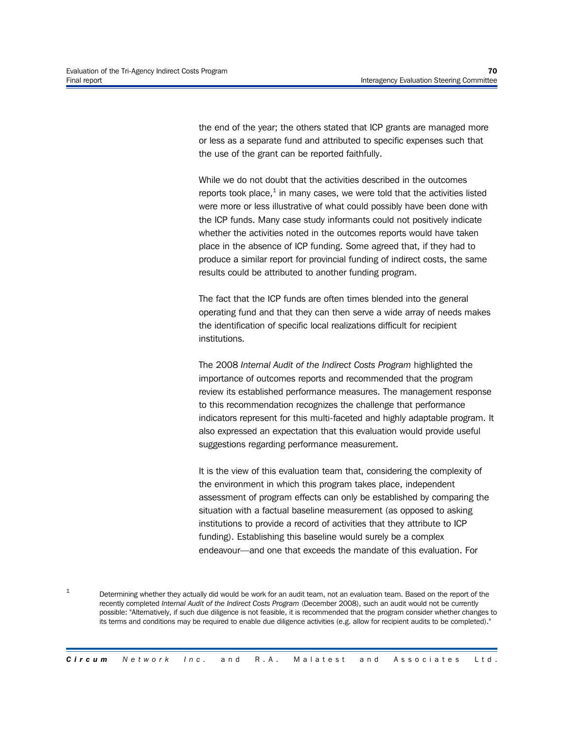1

the end of the year; the others stated that ICP grants are managed more or less as a separate fund and attributed to specific expenses such that the use of the grant can be reported faithfully.

While we do not doubt that the activities described in the outcomes reports took place, $^{\rm 1}$  in many cases, we were told that the activities listed were more or less illustrative of what could possibly have been done with the ICP funds. Many case study informants could not positively indicate whether the activities noted in the outcomes reports would have taken place in the absence of ICP funding. Some agreed that, if they had to produce a similar report for provincial funding of indirect costs, the same results could be attributed to another funding program.

The fact that the ICP funds are often times blended into the general operating fund and that they can then serve a wide array of needs makes the identification of specific local realizations difficult for recipient institutions.

The 2008 *Internal Audit of the Indirect Costs Program* highlighted the importance of outcomes reports and recommended that the program review its established performance measures. The management response to this recommendation recognizes the challenge that performance indicators represent for this multi-faceted and highly adaptable program. It also expressed an expectation that this evaluation would provide useful suggestions regarding performance measurement.

It is the view of this evaluation team that, considering the complexity of the environment in which this program takes place, independent assessment of program effects can only be established by comparing the situation with a factual baseline measurement (as opposed to asking institutions to provide a record of activities that they attribute to ICP funding). Establishing this baseline would surely be a complex endeavour—and one that exceeds the mandate of this evaluation. For

Determining whether they actually did would be work for an audit team, not an evaluation team. Based on the report of the recently completed *Internal Audit of the Indirect Costs Program* (December 2008), such an audit would not be currently possible: "Alternatively, if such due diligence is not feasible, it is recommended that the program consider whether changes to its terms and conditions may be required to enable due diligence activities (e.g. allow for recipient audits to be completed)."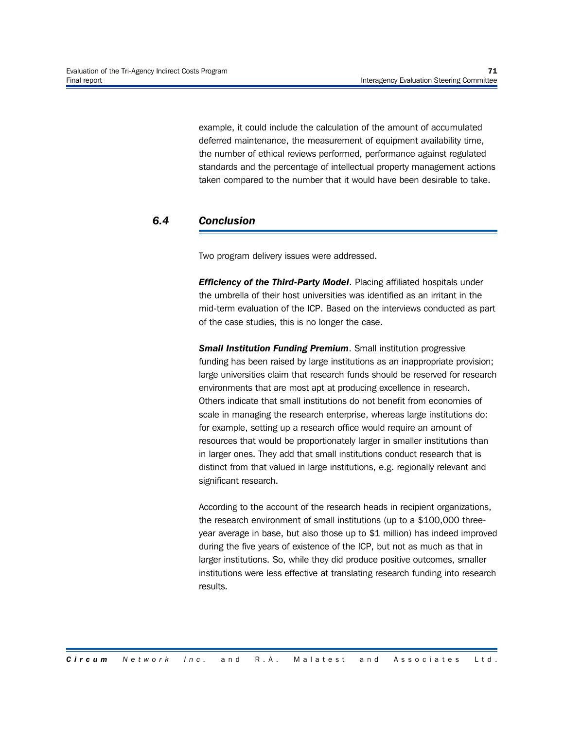example, it could include the calculation of the amount of accumulated deferred maintenance, the measurement of equipment availability time, the number of ethical reviews performed, performance against regulated standards and the percentage of intellectual property management actions taken compared to the number that it would have been desirable to take.

#### *6.4 Conclusion*

Two program delivery issues were addressed.

*Efficiency of the Third-Party Model*. Placing affiliated hospitals under the umbrella of their host universities was identified as an irritant in the mid-term evaluation of the ICP. Based on the interviews conducted as part of the case studies, this is no longer the case.

*Small Institution Funding Premium*. Small institution progressive funding has been raised by large institutions as an inappropriate provision; large universities claim that research funds should be reserved for research environments that are most apt at producing excellence in research. Others indicate that small institutions do not benefit from economies of scale in managing the research enterprise, whereas large institutions do: for example, setting up a research office would require an amount of resources that would be proportionately larger in smaller institutions than in larger ones. They add that small institutions conduct research that is distinct from that valued in large institutions, e.g. regionally relevant and significant research.

According to the account of the research heads in recipient organizations, the research environment of small institutions (up to a \$100,000 threeyear average in base, but also those up to \$1 million) has indeed improved during the five years of existence of the ICP, but not as much as that in larger institutions. So, while they did produce positive outcomes, smaller institutions were less effective at translating research funding into research results.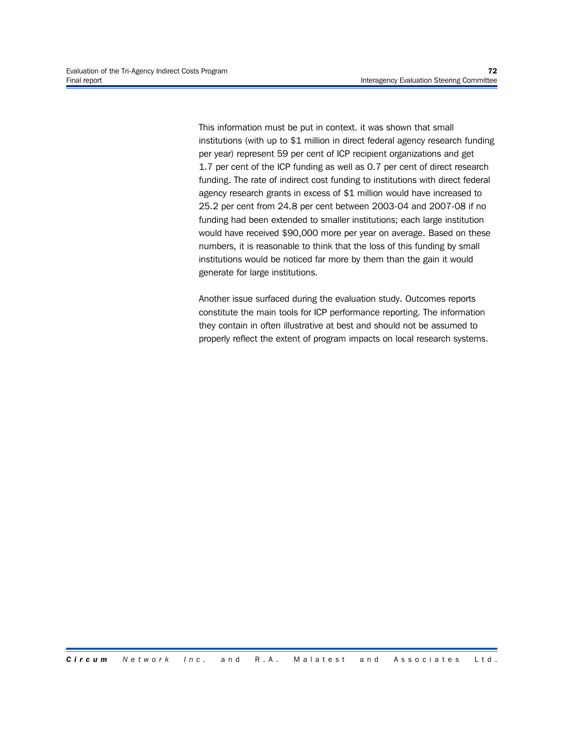This information must be put in context. it was shown that small institutions (with up to \$1 million in direct federal agency research funding per year) represent 59 per cent of ICP recipient organizations and get 1.7 per cent of the ICP funding as well as 0.7 per cent of direct research funding. The rate of indirect cost funding to institutions with direct federal agency research grants in excess of \$1 million would have increased to 25.2 per cent from 24.8 per cent between 2003-04 and 2007-08 if no funding had been extended to smaller institutions; each large institution would have received \$90,000 more per year on average. Based on these numbers, it is reasonable to think that the loss of this funding by small institutions would be noticed far more by them than the gain it would generate for large institutions.

Another issue surfaced during the evaluation study. Outcomes reports constitute the main tools for ICP performance reporting. The information they contain in often illustrative at best and should not be assumed to properly reflect the extent of program impacts on local research systems.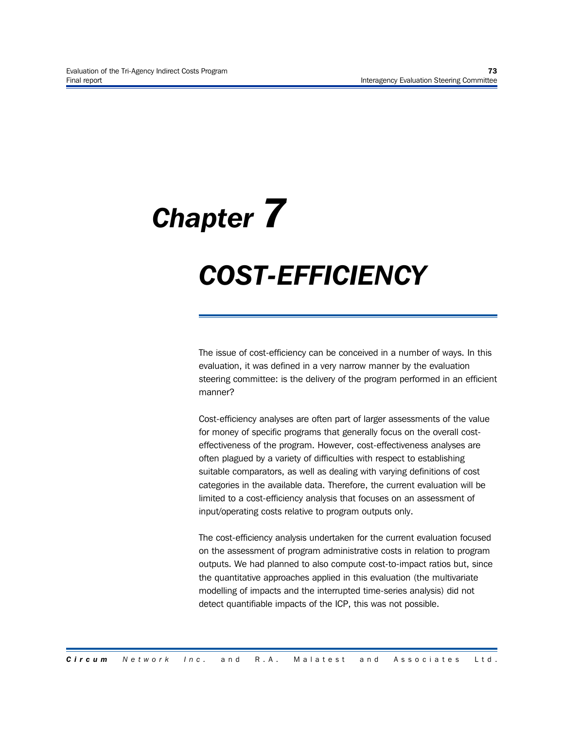# *Chapter 7*

*COST-EFFICIENCY*

The issue of cost-efficiency can be conceived in a number of ways. In this evaluation, it was defined in a very narrow manner by the evaluation steering committee: is the delivery of the program performed in an efficient manner?

Cost-efficiency analyses are often part of larger assessments of the value for money of specific programs that generally focus on the overall costeffectiveness of the program. However, cost-effectiveness analyses are often plagued by a variety of difficulties with respect to establishing suitable comparators, as well as dealing with varying definitions of cost categories in the available data. Therefore, the current evaluation will be limited to a cost-efficiency analysis that focuses on an assessment of input/operating costs relative to program outputs only.

The cost-efficiency analysis undertaken for the current evaluation focused on the assessment of program administrative costs in relation to program outputs. We had planned to also compute cost-to-impact ratios but, since the quantitative approaches applied in this evaluation (the multivariate modelling of impacts and the interrupted time-series analysis) did not detect quantifiable impacts of the ICP, this was not possible.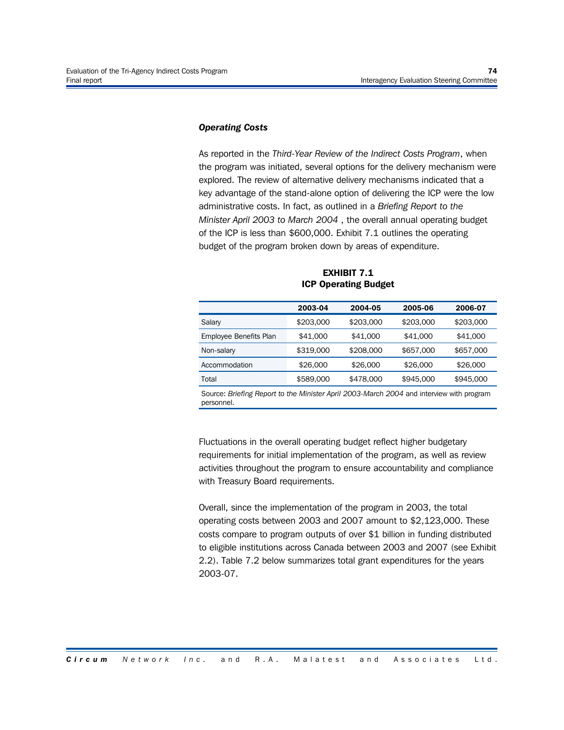#### *Operating Costs*

As reported in the *Third-Year Review of the Indirect Costs Program*, when the program was initiated, several options for the delivery mechanism were explored. The review of alternative delivery mechanisms indicated that a key advantage of the stand-alone option of delivering the ICP were the low administrative costs. In fact, as outlined in a *Briefing Report to the Minister April 2003 to March 2004* , the overall annual operating budget of the ICP is less than \$600,000. Exhibit 7.1 outlines the operating budget of the program broken down by areas of expenditure.

|                        | 2003-04   | 2004-05   | 2005-06   | 2006-07   |
|------------------------|-----------|-----------|-----------|-----------|
| Salary                 | \$203,000 | \$203,000 | \$203,000 | \$203,000 |
| Employee Benefits Plan | \$41,000  | \$41,000  | \$41,000  | \$41,000  |
| Non-salary             | \$319,000 | \$208,000 | \$657,000 | \$657,000 |
| Accommodation          | \$26,000  | \$26,000  | \$26,000  | \$26,000  |
| Total                  | \$589,000 | \$478,000 | \$945,000 | \$945,000 |
|                        |           |           |           |           |

**EXHIBIT 7.1 ICP Operating Budget**

Source: *Briefing Report to the Minister April 2003-March 2004* and interview with program personnel.

Fluctuations in the overall operating budget reflect higher budgetary requirements for initial implementation of the program, as well as review activities throughout the program to ensure accountability and compliance with Treasury Board requirements.

Overall, since the implementation of the program in 2003, the total operating costs between 2003 and 2007 amount to \$2,123,000. These costs compare to program outputs of over \$1 billion in funding distributed to eligible institutions across Canada between 2003 and 2007 (see Exhibit 2.2). Table 7.2 below summarizes total grant expenditures for the years 2003-07.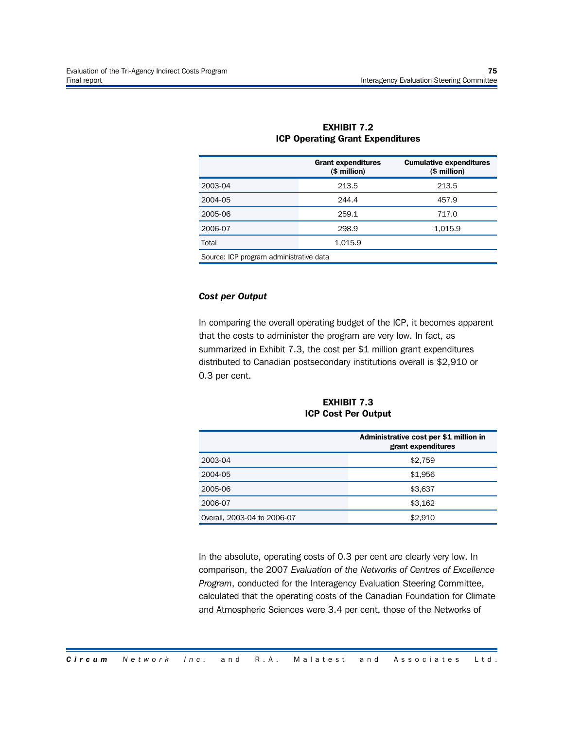|                                         | <b>Grant expenditures</b><br>$($$ million) | <b>Cumulative expenditures</b><br>$$$ million) |  |  |  |
|-----------------------------------------|--------------------------------------------|------------------------------------------------|--|--|--|
| 2003-04                                 | 213.5                                      | 213.5                                          |  |  |  |
| 2004-05                                 | 244.4                                      | 457.9                                          |  |  |  |
| 2005-06                                 | 259.1                                      | 717.0                                          |  |  |  |
| 2006-07                                 | 298.9                                      | 1,015.9                                        |  |  |  |
| Total                                   | 1,015.9                                    |                                                |  |  |  |
| Source: ICP program administrative data |                                            |                                                |  |  |  |

#### **EXHIBIT 7.2 ICP Operating Grant Expenditures**

#### *Cost per Output*

In comparing the overall operating budget of the ICP, it becomes apparent that the costs to administer the program are very low. In fact, as summarized in Exhibit 7.3, the cost per \$1 million grant expenditures distributed to Canadian postsecondary institutions overall is \$2,910 or 0.3 per cent.

**EXHIBIT 7.3 ICP Cost Per Output**

|                             | Administrative cost per \$1 million in<br>grant expenditures |
|-----------------------------|--------------------------------------------------------------|
| 2003-04                     | \$2,759                                                      |
| 2004-05                     | \$1,956                                                      |
| 2005-06                     | \$3,637                                                      |
| 2006-07                     | \$3,162                                                      |
| Overall, 2003-04 to 2006-07 | \$2,910                                                      |

In the absolute, operating costs of 0.3 per cent are clearly very low. In comparison, the 2007 *Evaluation of the Networks of Centres of Excellence Program*, conducted for the Interagency Evaluation Steering Committee, calculated that the operating costs of the Canadian Foundation for Climate and Atmospheric Sciences were 3.4 per cent, those of the Networks of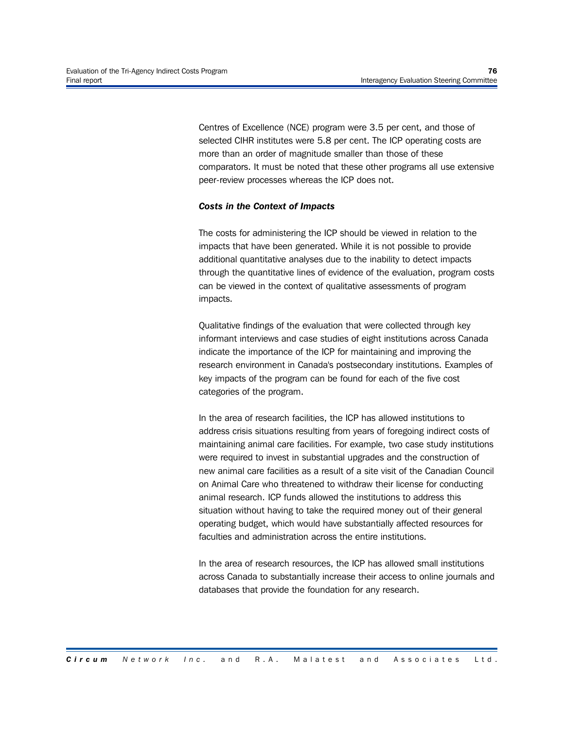Centres of Excellence (NCE) program were 3.5 per cent, and those of selected CIHR institutes were 5.8 per cent. The ICP operating costs are more than an order of magnitude smaller than those of these comparators. It must be noted that these other programs all use extensive peer-review processes whereas the ICP does not.

#### *Costs in the Context of Impacts*

The costs for administering the ICP should be viewed in relation to the impacts that have been generated. While it is not possible to provide additional quantitative analyses due to the inability to detect impacts through the quantitative lines of evidence of the evaluation, program costs can be viewed in the context of qualitative assessments of program impacts.

Qualitative findings of the evaluation that were collected through key informant interviews and case studies of eight institutions across Canada indicate the importance of the ICP for maintaining and improving the research environment in Canada's postsecondary institutions. Examples of key impacts of the program can be found for each of the five cost categories of the program.

In the area of research facilities, the ICP has allowed institutions to address crisis situations resulting from years of foregoing indirect costs of maintaining animal care facilities. For example, two case study institutions were required to invest in substantial upgrades and the construction of new animal care facilities as a result of a site visit of the Canadian Council on Animal Care who threatened to withdraw their license for conducting animal research. ICP funds allowed the institutions to address this situation without having to take the required money out of their general operating budget, which would have substantially affected resources for faculties and administration across the entire institutions.

In the area of research resources, the ICP has allowed small institutions across Canada to substantially increase their access to online journals and databases that provide the foundation for any research.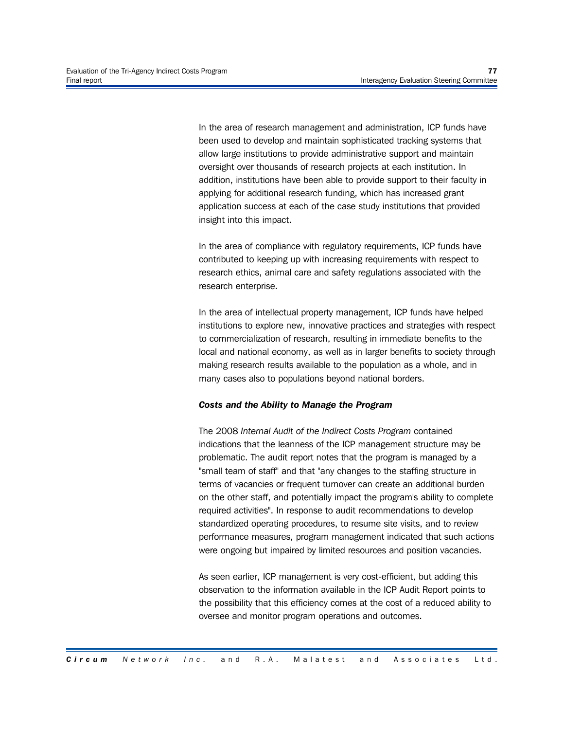In the area of research management and administration, ICP funds have been used to develop and maintain sophisticated tracking systems that allow large institutions to provide administrative support and maintain oversight over thousands of research projects at each institution. In addition, institutions have been able to provide support to their faculty in applying for additional research funding, which has increased grant application success at each of the case study institutions that provided insight into this impact.

In the area of compliance with regulatory requirements, ICP funds have contributed to keeping up with increasing requirements with respect to research ethics, animal care and safety regulations associated with the research enterprise.

In the area of intellectual property management, ICP funds have helped institutions to explore new, innovative practices and strategies with respect to commercialization of research, resulting in immediate benefits to the local and national economy, as well as in larger benefits to society through making research results available to the population as a whole, and in many cases also to populations beyond national borders.

#### *Costs and the Ability to Manage the Program*

The 2008 *Internal Audit of the Indirect Costs Program* contained indications that the leanness of the ICP management structure may be problematic. The audit report notes that the program is managed by a "small team of staff" and that "any changes to the staffing structure in terms of vacancies or frequent turnover can create an additional burden on the other staff, and potentially impact the program's ability to complete required activities". In response to audit recommendations to develop standardized operating procedures, to resume site visits, and to review performance measures, program management indicated that such actions were ongoing but impaired by limited resources and position vacancies.

As seen earlier, ICP management is very cost-efficient, but adding this observation to the information available in the ICP Audit Report points to the possibility that this efficiency comes at the cost of a reduced ability to oversee and monitor program operations and outcomes.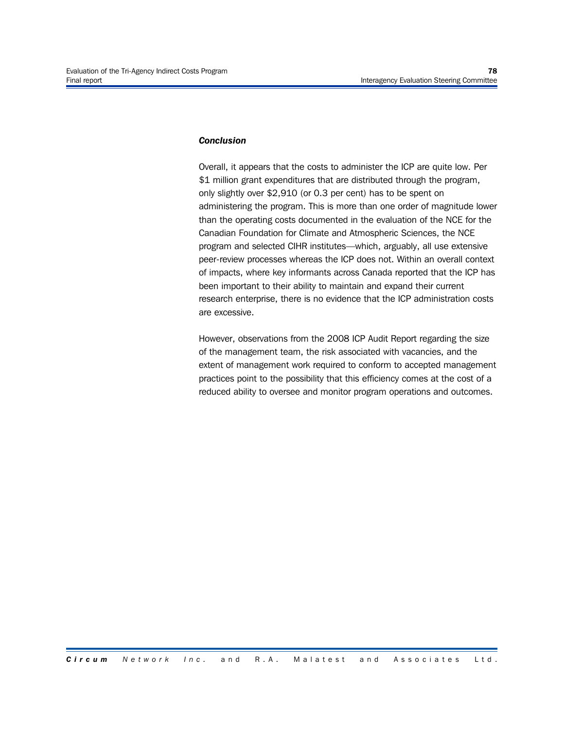#### *Conclusion*

Overall, it appears that the costs to administer the ICP are quite low. Per \$1 million grant expenditures that are distributed through the program, only slightly over \$2,910 (or 0.3 per cent) has to be spent on administering the program. This is more than one order of magnitude lower than the operating costs documented in the evaluation of the NCE for the Canadian Foundation for Climate and Atmospheric Sciences, the NCE program and selected CIHR institutes—which, arguably, all use extensive peer-review processes whereas the ICP does not. Within an overall context of impacts, where key informants across Canada reported that the ICP has been important to their ability to maintain and expand their current research enterprise, there is no evidence that the ICP administration costs are excessive.

However, observations from the 2008 ICP Audit Report regarding the size of the management team, the risk associated with vacancies, and the extent of management work required to conform to accepted management practices point to the possibility that this efficiency comes at the cost of a reduced ability to oversee and monitor program operations and outcomes.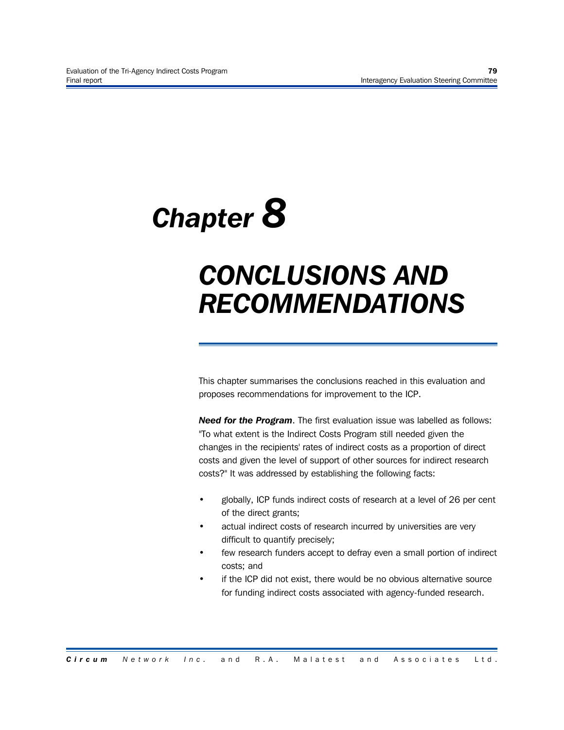# *Chapter 8*

## *CONCLUSIONS AND RECOMMENDATIONS*

This chapter summarises the conclusions reached in this evaluation and proposes recommendations for improvement to the ICP.

*Need for the Program*. The first evaluation issue was labelled as follows: "To what extent is the Indirect Costs Program still needed given the changes in the recipients' rates of indirect costs as a proportion of direct costs and given the level of support of other sources for indirect research costs?" It was addressed by establishing the following facts:

- globally, ICP funds indirect costs of research at a level of 26 per cent of the direct grants;
- actual indirect costs of research incurred by universities are very difficult to quantify precisely;
- few research funders accept to defray even a small portion of indirect costs; and
- if the ICP did not exist, there would be no obvious alternative source for funding indirect costs associated with agency-funded research.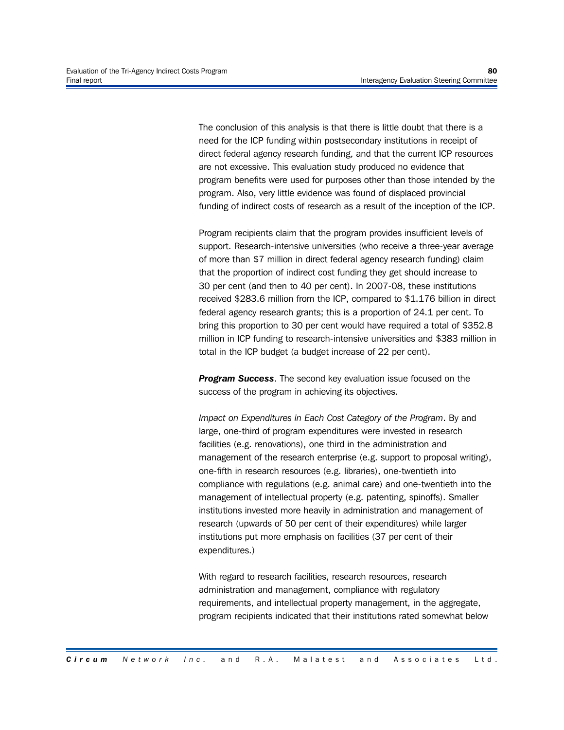The conclusion of this analysis is that there is little doubt that there is a need for the ICP funding within postsecondary institutions in receipt of direct federal agency research funding, and that the current ICP resources are not excessive. This evaluation study produced no evidence that program benefits were used for purposes other than those intended by the program. Also, very little evidence was found of displaced provincial funding of indirect costs of research as a result of the inception of the ICP.

Program recipients claim that the program provides insufficient levels of support. Research-intensive universities (who receive a three-year average of more than \$7 million in direct federal agency research funding) claim that the proportion of indirect cost funding they get should increase to 30 per cent (and then to 40 per cent). In 2007-08, these institutions received \$283.6 million from the ICP, compared to \$1.176 billion in direct federal agency research grants; this is a proportion of 24.1 per cent. To bring this proportion to 30 per cent would have required a total of \$352.8 million in ICP funding to research-intensive universities and \$383 million in total in the ICP budget (a budget increase of 22 per cent).

**Program Success.** The second key evaluation issue focused on the success of the program in achieving its objectives.

*Impact on Expenditures in Each Cost Category of the Program*. By and large, one-third of program expenditures were invested in research facilities (e.g. renovations), one third in the administration and management of the research enterprise (e.g. support to proposal writing), one-fifth in research resources (e.g. libraries), one-twentieth into compliance with regulations (e.g. animal care) and one-twentieth into the management of intellectual property (e.g. patenting, spinoffs). Smaller institutions invested more heavily in administration and management of research (upwards of 50 per cent of their expenditures) while larger institutions put more emphasis on facilities (37 per cent of their expenditures.)

With regard to research facilities, research resources, research administration and management, compliance with regulatory requirements, and intellectual property management, in the aggregate, program recipients indicated that their institutions rated somewhat below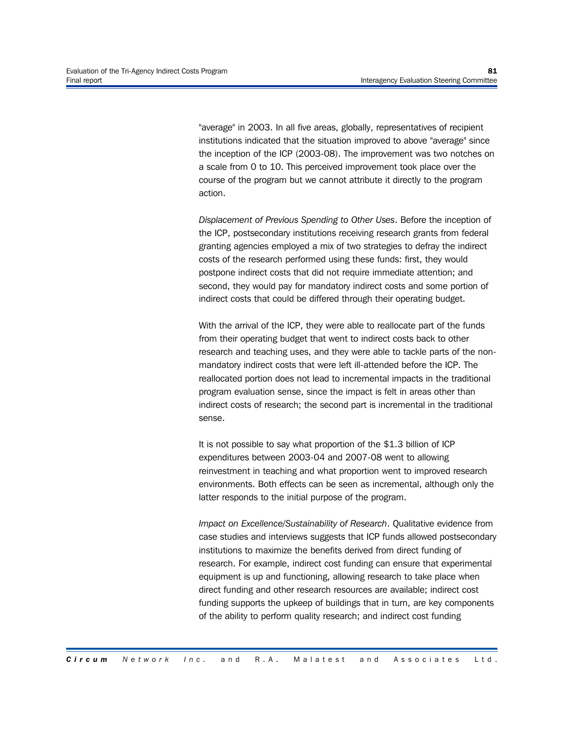"average" in 2003. In all five areas, globally, representatives of recipient institutions indicated that the situation improved to above "average" since the inception of the ICP (2003-08). The improvement was two notches on a scale from 0 to 10. This perceived improvement took place over the course of the program but we cannot attribute it directly to the program action.

*Displacement of Previous Spending to Other Uses*. Before the inception of the ICP, postsecondary institutions receiving research grants from federal granting agencies employed a mix of two strategies to defray the indirect costs of the research performed using these funds: first, they would postpone indirect costs that did not require immediate attention; and second, they would pay for mandatory indirect costs and some portion of indirect costs that could be differed through their operating budget.

With the arrival of the ICP, they were able to reallocate part of the funds from their operating budget that went to indirect costs back to other research and teaching uses, and they were able to tackle parts of the nonmandatory indirect costs that were left ill-attended before the ICP. The reallocated portion does not lead to incremental impacts in the traditional program evaluation sense, since the impact is felt in areas other than indirect costs of research; the second part is incremental in the traditional sense.

It is not possible to say what proportion of the \$1.3 billion of ICP expenditures between 2003-04 and 2007-08 went to allowing reinvestment in teaching and what proportion went to improved research environments. Both effects can be seen as incremental, although only the latter responds to the initial purpose of the program.

*Impact on Excellence/Sustainability of Research*. Qualitative evidence from case studies and interviews suggests that ICP funds allowed postsecondary institutions to maximize the benefits derived from direct funding of research. For example, indirect cost funding can ensure that experimental equipment is up and functioning, allowing research to take place when direct funding and other research resources are available; indirect cost funding supports the upkeep of buildings that in turn, are key components of the ability to perform quality research; and indirect cost funding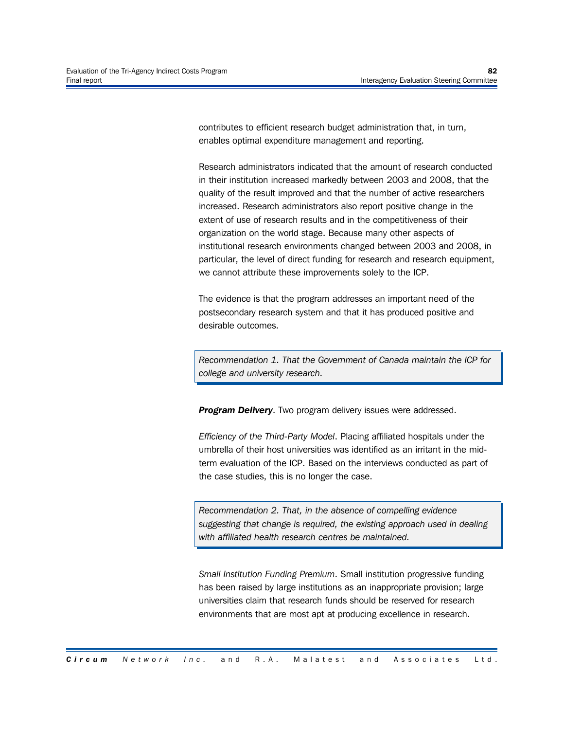contributes to efficient research budget administration that, in turn, enables optimal expenditure management and reporting.

Research administrators indicated that the amount of research conducted in their institution increased markedly between 2003 and 2008, that the quality of the result improved and that the number of active researchers increased. Research administrators also report positive change in the extent of use of research results and in the competitiveness of their organization on the world stage. Because many other aspects of institutional research environments changed between 2003 and 2008, in particular, the level of direct funding for research and research equipment, we cannot attribute these improvements solely to the ICP.

The evidence is that the program addresses an important need of the postsecondary research system and that it has produced positive and desirable outcomes.

*Recommendation 1. That the Government of Canada maintain the ICP for college and university research.*

**Program Delivery.** Two program delivery issues were addressed.

*Efficiency of the Third-Party Model*. Placing affiliated hospitals under the umbrella of their host universities was identified as an irritant in the midterm evaluation of the ICP. Based on the interviews conducted as part of the case studies, this is no longer the case.

*Recommendation 2. That, in the absence of compelling evidence suggesting that change is required, the existing approach used in dealing with affiliated health research centres be maintained.*

*Small Institution Funding Premium*. Small institution progressive funding has been raised by large institutions as an inappropriate provision; large universities claim that research funds should be reserved for research environments that are most apt at producing excellence in research.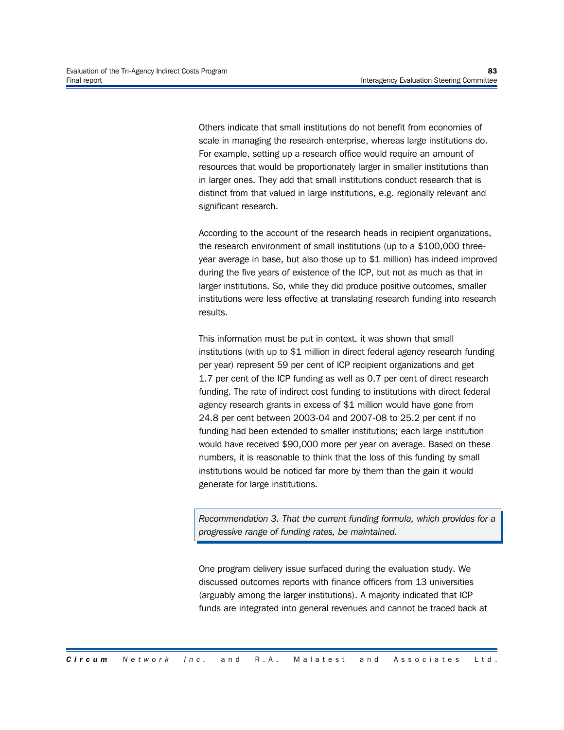Others indicate that small institutions do not benefit from economies of scale in managing the research enterprise, whereas large institutions do. For example, setting up a research office would require an amount of resources that would be proportionately larger in smaller institutions than in larger ones. They add that small institutions conduct research that is distinct from that valued in large institutions, e.g. regionally relevant and significant research.

According to the account of the research heads in recipient organizations, the research environment of small institutions (up to a \$100,000 threeyear average in base, but also those up to \$1 million) has indeed improved during the five years of existence of the ICP, but not as much as that in larger institutions. So, while they did produce positive outcomes, smaller institutions were less effective at translating research funding into research results.

This information must be put in context. it was shown that small institutions (with up to \$1 million in direct federal agency research funding per year) represent 59 per cent of ICP recipient organizations and get 1.7 per cent of the ICP funding as well as 0.7 per cent of direct research funding. The rate of indirect cost funding to institutions with direct federal agency research grants in excess of \$1 million would have gone from 24.8 per cent between 2003-04 and 2007-08 to 25.2 per cent if no funding had been extended to smaller institutions; each large institution would have received \$90,000 more per year on average. Based on these numbers, it is reasonable to think that the loss of this funding by small institutions would be noticed far more by them than the gain it would generate for large institutions.

*Recommendation 3. That the current funding formula, which provides for a progressive range of funding rates, be maintained.*

One program delivery issue surfaced during the evaluation study. We discussed outcomes reports with finance officers from 13 universities (arguably among the larger institutions). A majority indicated that ICP funds are integrated into general revenues and cannot be traced back at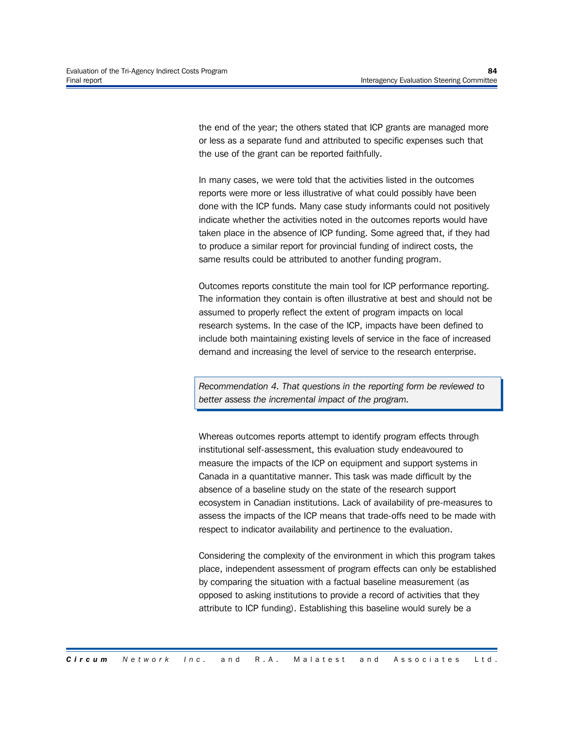the end of the year; the others stated that ICP grants are managed more or less as a separate fund and attributed to specific expenses such that the use of the grant can be reported faithfully.

In many cases, we were told that the activities listed in the outcomes reports were more or less illustrative of what could possibly have been done with the ICP funds. Many case study informants could not positively indicate whether the activities noted in the outcomes reports would have taken place in the absence of ICP funding. Some agreed that, if they had to produce a similar report for provincial funding of indirect costs, the same results could be attributed to another funding program.

Outcomes reports constitute the main tool for ICP performance reporting. The information they contain is often illustrative at best and should not be assumed to properly reflect the extent of program impacts on local research systems. In the case of the ICP, impacts have been defined to include both maintaining existing levels of service in the face of increased demand and increasing the level of service to the research enterprise.

*Recommendation 4. That questions in the reporting form be reviewed to better assess the incremental impact of the program.*

Whereas outcomes reports attempt to identify program effects through institutional self-assessment, this evaluation study endeavoured to measure the impacts of the ICP on equipment and support systems in Canada in a quantitative manner. This task was made difficult by the absence of a baseline study on the state of the research support ecosystem in Canadian institutions. Lack of availability of pre-measures to assess the impacts of the ICP means that trade-offs need to be made with respect to indicator availability and pertinence to the evaluation.

Considering the complexity of the environment in which this program takes place, independent assessment of program effects can only be established by comparing the situation with a factual baseline measurement (as opposed to asking institutions to provide a record of activities that they attribute to ICP funding). Establishing this baseline would surely be a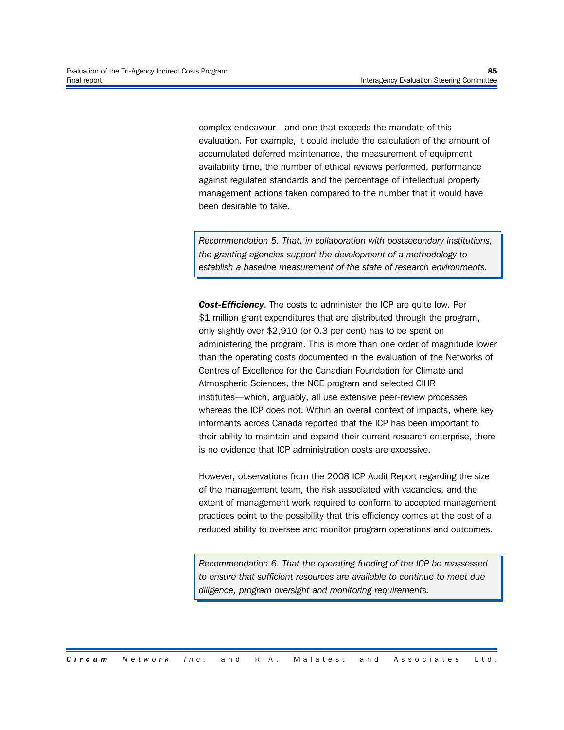complex endeavour—and one that exceeds the mandate of this evaluation. For example, it could include the calculation of the amount of accumulated deferred maintenance, the measurement of equipment availability time, the number of ethical reviews performed, performance against regulated standards and the percentage of intellectual property management actions taken compared to the number that it would have been desirable to take.

*Recommendation 5. That, in collaboration with postsecondary institutions, the granting agencies support the development of a methodology to establish a baseline measurement of the state of research environments.*

*Cost-Efficiency*. The costs to administer the ICP are quite low. Per \$1 million grant expenditures that are distributed through the program, only slightly over \$2,910 (or 0.3 per cent) has to be spent on administering the program. This is more than one order of magnitude lower than the operating costs documented in the evaluation of the Networks of Centres of Excellence for the Canadian Foundation for Climate and Atmospheric Sciences, the NCE program and selected CIHR institutes—which, arguably, all use extensive peer-review processes whereas the ICP does not. Within an overall context of impacts, where key informants across Canada reported that the ICP has been important to their ability to maintain and expand their current research enterprise, there is no evidence that ICP administration costs are excessive.

However, observations from the 2008 ICP Audit Report regarding the size of the management team, the risk associated with vacancies, and the extent of management work required to conform to accepted management practices point to the possibility that this efficiency comes at the cost of a reduced ability to oversee and monitor program operations and outcomes.

*Recommendation 6. That the operating funding of the ICP be reassessed to ensure that sufficient resources are available to continue to meet due diligence, program oversight and monitoring requirements.*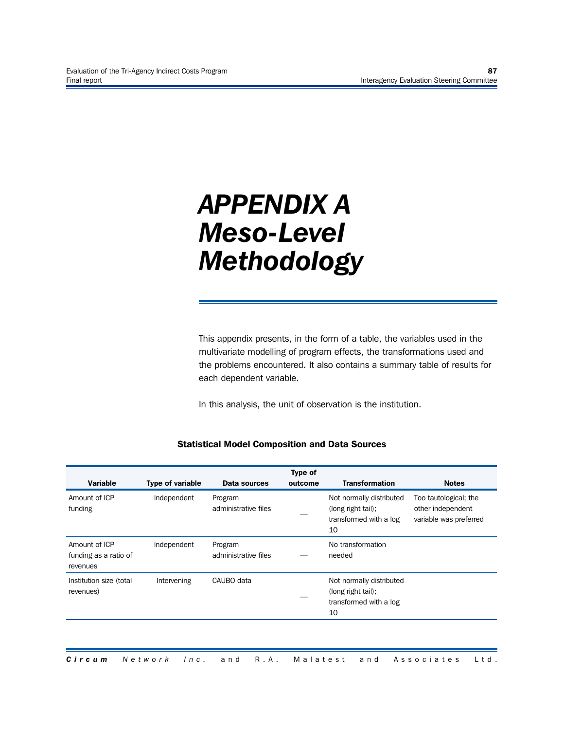### *APPENDIX A Meso-Level Methodology*

This appendix presents, in the form of a table, the variables used in the multivariate modelling of program effects, the transformations used and the problems encountered. It also contains a summary table of results for each dependent variable.

In this analysis, the unit of observation is the institution.

#### **Statistical Model Composition and Data Sources**

| <b>Variable</b>                                    | <b>Type of variable</b> | Data sources                    | <b>Type of</b><br>outcome | <b>Transformation</b>                                                          | <b>Notes</b>                                                         |
|----------------------------------------------------|-------------------------|---------------------------------|---------------------------|--------------------------------------------------------------------------------|----------------------------------------------------------------------|
| Amount of ICP<br>funding                           | Independent             | Program<br>administrative files |                           | Not normally distributed<br>(long right tail);<br>transformed with a log<br>10 | Too tautological; the<br>other independent<br>variable was preferred |
| Amount of ICP<br>funding as a ratio of<br>revenues | Independent             | Program<br>administrative files |                           | No transformation<br>needed                                                    |                                                                      |
| Institution size (total<br>revenues)               | Intervening             | CAUBO data                      |                           | Not normally distributed<br>(long right tail);<br>transformed with a log<br>10 |                                                                      |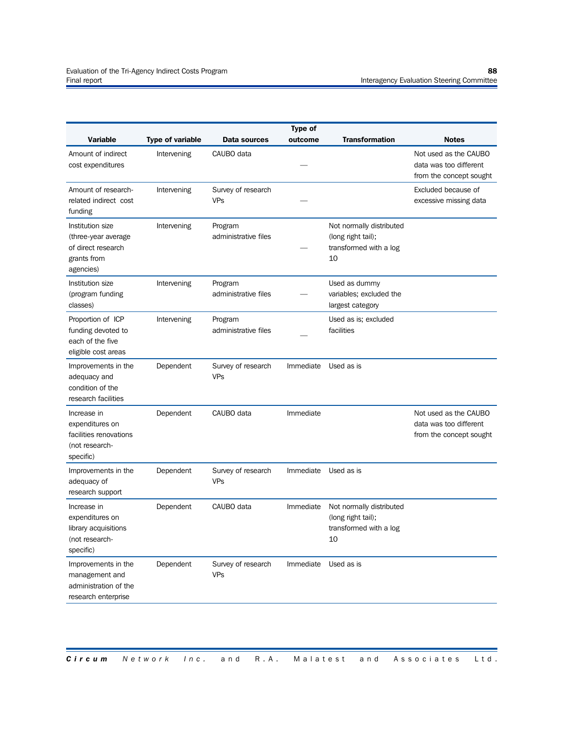| <b>Variable</b>                                                                           | <b>Type of variable</b> | <b>Data sources</b>              | <b>Type of</b><br>outcome | <b>Transformation</b>                                                          | <b>Notes</b>                                                               |
|-------------------------------------------------------------------------------------------|-------------------------|----------------------------------|---------------------------|--------------------------------------------------------------------------------|----------------------------------------------------------------------------|
| Amount of indirect<br>cost expenditures                                                   | Intervening             | CAUBO data                       |                           |                                                                                | Not used as the CAUBO<br>data was too different<br>from the concept sought |
| Amount of research-<br>related indirect cost<br>funding                                   | Intervening             | Survey of research<br><b>VPs</b> |                           |                                                                                | Excluded because of<br>excessive missing data                              |
| Institution size<br>(three-year average<br>of direct research<br>grants from<br>agencies) | Intervening             | Program<br>administrative files  |                           | Not normally distributed<br>(long right tail);<br>transformed with a log<br>10 |                                                                            |
| Institution size<br>(program funding<br>classes)                                          | Intervening             | Program<br>administrative files  |                           | Used as dummy<br>variables; excluded the<br>largest category                   |                                                                            |
| Proportion of ICP<br>funding devoted to<br>each of the five<br>eligible cost areas        | Intervening             | Program<br>administrative files  |                           | Used as is; excluded<br>facilities                                             |                                                                            |
| Improvements in the<br>adequacy and<br>condition of the<br>research facilities            | Dependent               | Survey of research<br><b>VPs</b> | Immediate                 | Used as is                                                                     |                                                                            |
| Increase in<br>expenditures on<br>facilities renovations<br>(not research-<br>specific)   | Dependent               | CAUBO data                       | Immediate                 |                                                                                | Not used as the CAUBO<br>data was too different<br>from the concept sought |
| Improvements in the<br>adequacy of<br>research support                                    | Dependent               | Survey of research<br><b>VPs</b> | Immediate                 | Used as is                                                                     |                                                                            |
| Increase in<br>expenditures on<br>library acquisitions<br>(not research-<br>specific)     | Dependent               | CAUBO data                       | Immediate                 | Not normally distributed<br>(long right tail);<br>transformed with a log<br>10 |                                                                            |
| Improvements in the<br>management and<br>administration of the<br>research enterprise     | Dependent               | Survey of research<br><b>VPs</b> | Immediate                 | Used as is                                                                     |                                                                            |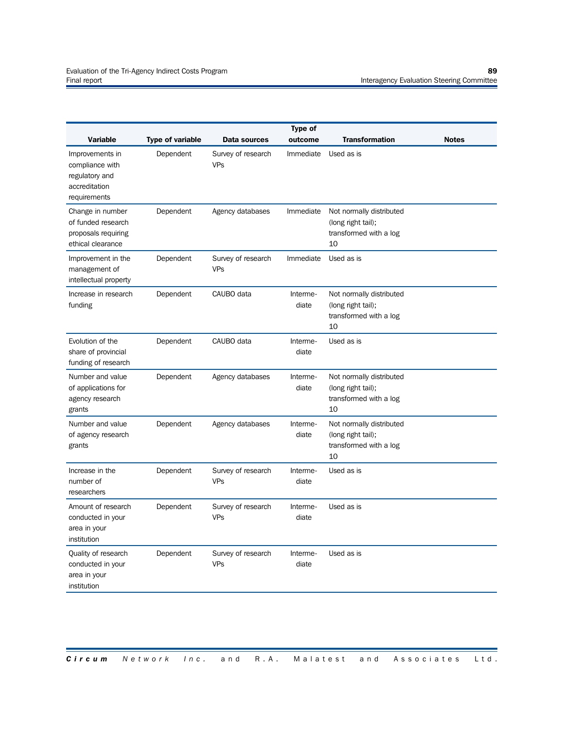|                                                                                                          |                                      |                                                  | <b>Type of</b>       |                                                                                |              |
|----------------------------------------------------------------------------------------------------------|--------------------------------------|--------------------------------------------------|----------------------|--------------------------------------------------------------------------------|--------------|
| <b>Variable</b><br>Improvements in<br>compliance with<br>regulatory and<br>accreditation<br>requirements | <b>Type of variable</b><br>Dependent | Data sources<br>Survey of research<br><b>VPs</b> | outcome<br>Immediate | <b>Transformation</b><br>Used as is                                            | <b>Notes</b> |
| Change in number<br>of funded research<br>proposals requiring<br>ethical clearance                       | Dependent                            | Agency databases                                 | Immediate            | Not normally distributed<br>(long right tail);<br>transformed with a log<br>10 |              |
| Improvement in the<br>management of<br>intellectual property                                             | Dependent                            | Survey of research<br><b>VPs</b>                 | Immediate            | Used as is                                                                     |              |
| Increase in research<br>funding                                                                          | Dependent                            | CAUBO data                                       | Interme-<br>diate    | Not normally distributed<br>(long right tail);<br>transformed with a log<br>10 |              |
| Evolution of the<br>share of provincial<br>funding of research                                           | Dependent                            | CAUBO data                                       | Interme-<br>diate    | Used as is                                                                     |              |
| Number and value<br>of applications for<br>agency research<br>grants                                     | Dependent                            | Agency databases                                 | Interme-<br>diate    | Not normally distributed<br>(long right tail);<br>transformed with a log<br>10 |              |
| Number and value<br>of agency research<br>grants                                                         | Dependent                            | Agency databases                                 | Interme-<br>diate    | Not normally distributed<br>(long right tail);<br>transformed with a log<br>10 |              |
| Increase in the<br>number of<br>researchers                                                              | Dependent                            | Survey of research<br><b>VPs</b>                 | Interme-<br>diate    | Used as is                                                                     |              |
| Amount of research<br>conducted in your<br>area in your<br>institution                                   | Dependent                            | Survey of research<br><b>VPs</b>                 | Interme-<br>diate    | Used as is                                                                     |              |
| Quality of research<br>conducted in your<br>area in your<br>institution                                  | Dependent                            | Survey of research<br><b>VPs</b>                 | Interme-<br>diate    | Used as is                                                                     |              |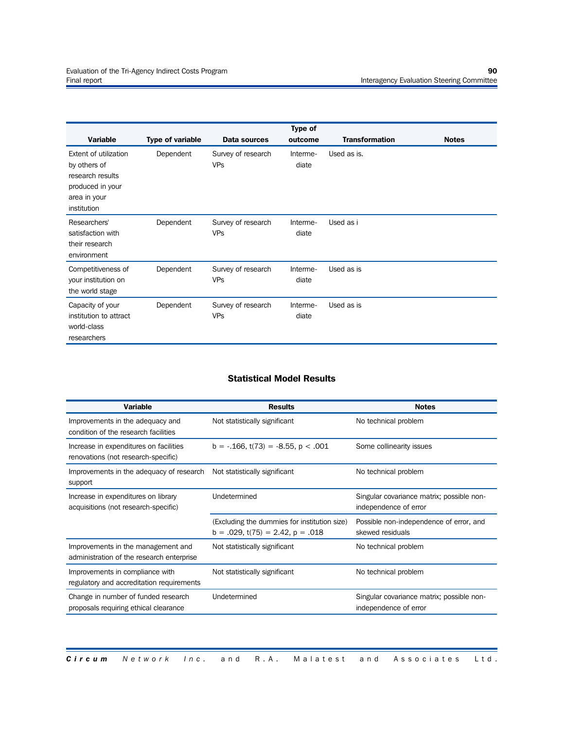|                        |                         |                    | Type of  | <b>Transformation</b> |              |
|------------------------|-------------------------|--------------------|----------|-----------------------|--------------|
| <b>Variable</b>        | <b>Type of variable</b> | Data sources       | outcome  |                       | <b>Notes</b> |
| Extent of utilization  | Dependent               | Survey of research | Interme- | Used as is.           |              |
| by others of           |                         | <b>VPs</b>         | diate    |                       |              |
| research results       |                         |                    |          |                       |              |
| produced in your       |                         |                    |          |                       |              |
| area in your           |                         |                    |          |                       |              |
| institution            |                         |                    |          |                       |              |
| Researchers'           | Dependent               | Survey of research | Interme- | Used as i             |              |
| satisfaction with      |                         | <b>VPs</b>         | diate    |                       |              |
| their research         |                         |                    |          |                       |              |
| environment            |                         |                    |          |                       |              |
|                        |                         |                    |          |                       |              |
| Competitiveness of     | Dependent               | Survey of research | Interme- | Used as is            |              |
| your institution on    |                         | <b>VPs</b>         | diate    |                       |              |
| the world stage        |                         |                    |          |                       |              |
| Capacity of your       | Dependent               | Survey of research | Interme- | Used as is            |              |
| institution to attract |                         | <b>VPs</b>         | diate    |                       |              |
| world-class            |                         |                    |          |                       |              |
| researchers            |                         |                    |          |                       |              |

#### **Statistical Model Results**

| <b>Variable</b>                                                                 | <b>Results</b>                                                                        | <b>Notes</b>                                                       |
|---------------------------------------------------------------------------------|---------------------------------------------------------------------------------------|--------------------------------------------------------------------|
| Improvements in the adequacy and<br>condition of the research facilities        | Not statistically significant                                                         | No technical problem                                               |
| Increase in expenditures on facilities<br>renovations (not research-specific)   | $b = -0.166$ , t(73) = $-8.55$ , p < .001                                             | Some collinearity issues                                           |
| Improvements in the adequacy of research<br>support                             | Not statistically significant                                                         | No technical problem                                               |
| Increase in expenditures on library<br>acquisitions (not research-specific)     | Undetermined                                                                          | Singular covariance matrix; possible non-<br>independence of error |
|                                                                                 | (Excluding the dummies for institution size)<br>$b = .029$ , t(75) = 2.42, $p = .018$ | Possible non-independence of error, and<br>skewed residuals        |
| Improvements in the management and<br>administration of the research enterprise | Not statistically significant                                                         | No technical problem                                               |
| Improvements in compliance with<br>regulatory and accreditation requirements    | Not statistically significant                                                         | No technical problem                                               |
| Change in number of funded research<br>proposals requiring ethical clearance    | Undetermined                                                                          | Singular covariance matrix; possible non-<br>independence of error |

#### *Circum* Network Inc. and R.A. Malatest and Associates Ltd.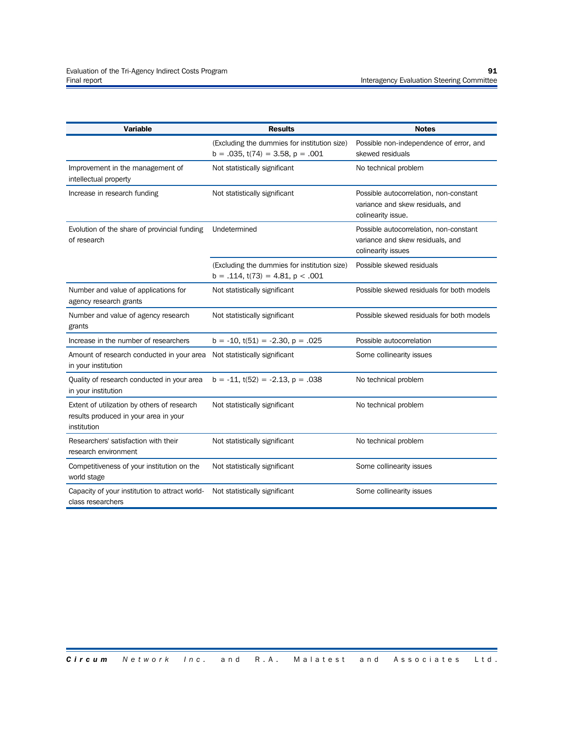| <b>Variable</b>                                                                                     | <b>Results</b>                                                                        | <b>Notes</b>                                                                                     |
|-----------------------------------------------------------------------------------------------------|---------------------------------------------------------------------------------------|--------------------------------------------------------------------------------------------------|
|                                                                                                     | (Excluding the dummies for institution size)<br>$b = .035$ , t(74) = 3.58, $p = .001$ | Possible non-independence of error, and<br>skewed residuals                                      |
| Improvement in the management of<br>intellectual property                                           | Not statistically significant                                                         | No technical problem                                                                             |
| Increase in research funding                                                                        | Not statistically significant                                                         | Possible autocorrelation, non-constant<br>variance and skew residuals, and<br>colinearity issue. |
| Evolution of the share of provincial funding<br>of research                                         | Undetermined                                                                          | Possible autocorrelation, non-constant<br>variance and skew residuals, and<br>colinearity issues |
|                                                                                                     | (Excluding the dummies for institution size)<br>$b = .114$ , t(73) = 4.81, $p < .001$ | Possible skewed residuals                                                                        |
| Number and value of applications for<br>agency research grants                                      | Not statistically significant                                                         | Possible skewed residuals for both models                                                        |
| Number and value of agency research<br>grants                                                       | Not statistically significant                                                         | Possible skewed residuals for both models                                                        |
| Increase in the number of researchers                                                               | $b = -10$ , $t(51) = -2.30$ , $p = .025$                                              | Possible autocorrelation                                                                         |
| Amount of research conducted in your area<br>in your institution                                    | Not statistically significant                                                         | Some collinearity issues                                                                         |
| Quality of research conducted in your area<br>in your institution                                   | $b = -11$ , $t(52) = -2.13$ , $p = .038$                                              | No technical problem                                                                             |
| Extent of utilization by others of research<br>results produced in your area in your<br>institution | Not statistically significant                                                         | No technical problem                                                                             |
| Researchers' satisfaction with their<br>research environment                                        | Not statistically significant                                                         | No technical problem                                                                             |
| Competitiveness of your institution on the<br>world stage                                           | Not statistically significant                                                         | Some collinearity issues                                                                         |
| Capacity of your institution to attract world-<br>class researchers                                 | Not statistically significant                                                         | Some collinearity issues                                                                         |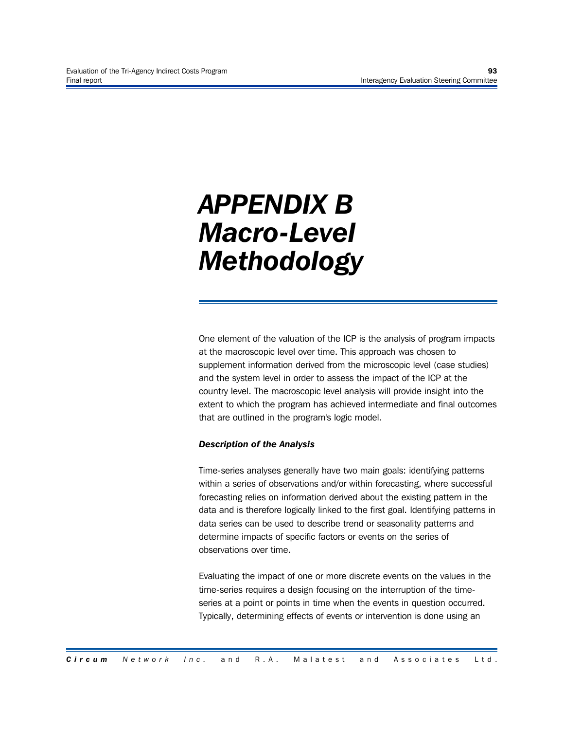# *APPENDIX B Macro-Level Methodology*

One element of the valuation of the ICP is the analysis of program impacts at the macroscopic level over time. This approach was chosen to supplement information derived from the microscopic level (case studies) and the system level in order to assess the impact of the ICP at the country level. The macroscopic level analysis will provide insight into the extent to which the program has achieved intermediate and final outcomes that are outlined in the program's logic model.

## *Description of the Analysis*

Time-series analyses generally have two main goals: identifying patterns within a series of observations and/or within forecasting, where successful forecasting relies on information derived about the existing pattern in the data and is therefore logically linked to the first goal. Identifying patterns in data series can be used to describe trend or seasonality patterns and determine impacts of specific factors or events on the series of observations over time.

Evaluating the impact of one or more discrete events on the values in the time-series requires a design focusing on the interruption of the timeseries at a point or points in time when the events in question occurred. Typically, determining effects of events or intervention is done using an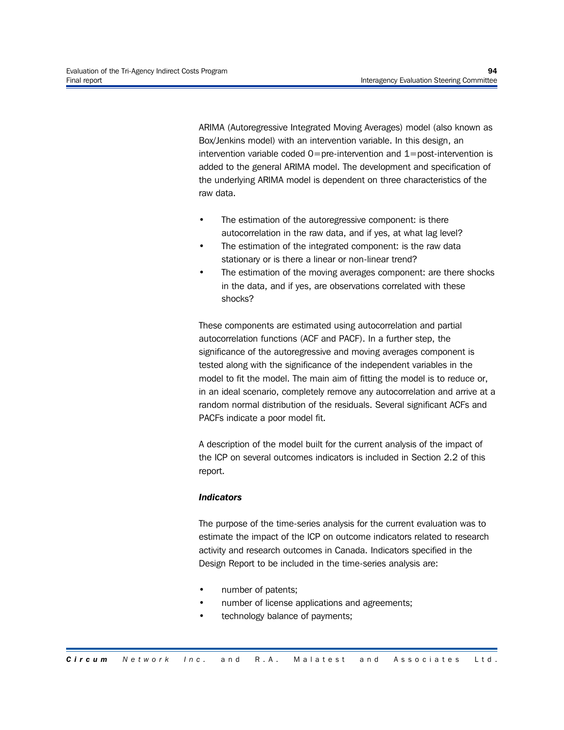ARIMA (Autoregressive Integrated Moving Averages) model (also known as Box/Jenkins model) with an intervention variable. In this design, an intervention variable coded  $0=$  pre-intervention and  $1=$  post-intervention is added to the general ARIMA model. The development and specification of the underlying ARIMA model is dependent on three characteristics of the raw data.

- The estimation of the autoregressive component: is there autocorrelation in the raw data, and if yes, at what lag level?
- The estimation of the integrated component: is the raw data stationary or is there a linear or non-linear trend?
- The estimation of the moving averages component: are there shocks in the data, and if yes, are observations correlated with these shocks?

These components are estimated using autocorrelation and partial autocorrelation functions (ACF and PACF). In a further step, the significance of the autoregressive and moving averages component is tested along with the significance of the independent variables in the model to fit the model. The main aim of fitting the model is to reduce or, in an ideal scenario, completely remove any autocorrelation and arrive at a random normal distribution of the residuals. Several significant ACFs and PACFs indicate a poor model fit.

A description of the model built for the current analysis of the impact of the ICP on several outcomes indicators is included in Section 2.2 of this report.

## *Indicators*

The purpose of the time-series analysis for the current evaluation was to estimate the impact of the ICP on outcome indicators related to research activity and research outcomes in Canada. Indicators specified in the Design Report to be included in the time-series analysis are:

- number of patents;
- number of license applications and agreements;
- technology balance of payments;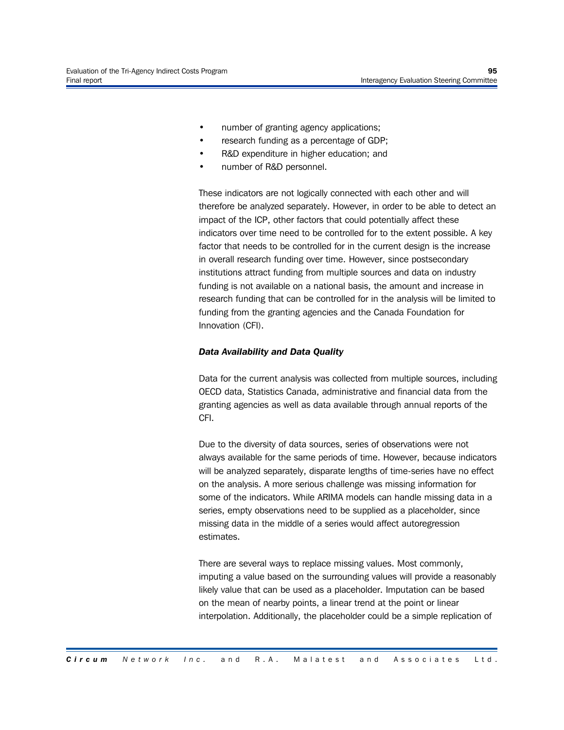- number of granting agency applications;
- research funding as a percentage of GDP;
- R&D expenditure in higher education; and
- number of R&D personnel.

These indicators are not logically connected with each other and will therefore be analyzed separately. However, in order to be able to detect an impact of the ICP, other factors that could potentially affect these indicators over time need to be controlled for to the extent possible. A key factor that needs to be controlled for in the current design is the increase in overall research funding over time. However, since postsecondary institutions attract funding from multiple sources and data on industry funding is not available on a national basis, the amount and increase in research funding that can be controlled for in the analysis will be limited to funding from the granting agencies and the Canada Foundation for Innovation (CFI).

### *Data Availability and Data Quality*

Data for the current analysis was collected from multiple sources, including OECD data, Statistics Canada, administrative and financial data from the granting agencies as well as data available through annual reports of the CFI.

Due to the diversity of data sources, series of observations were not always available for the same periods of time. However, because indicators will be analyzed separately, disparate lengths of time-series have no effect on the analysis. A more serious challenge was missing information for some of the indicators. While ARIMA models can handle missing data in a series, empty observations need to be supplied as a placeholder, since missing data in the middle of a series would affect autoregression estimates.

There are several ways to replace missing values. Most commonly, imputing a value based on the surrounding values will provide a reasonably likely value that can be used as a placeholder. Imputation can be based on the mean of nearby points, a linear trend at the point or linear interpolation. Additionally, the placeholder could be a simple replication of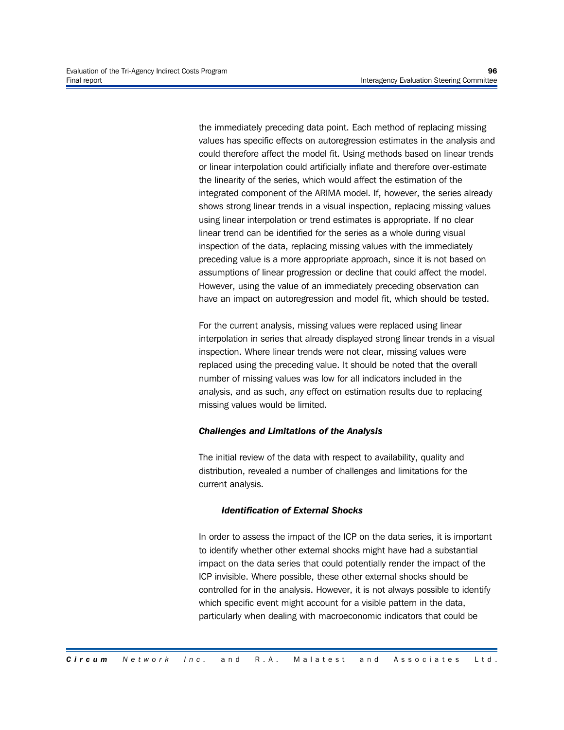the immediately preceding data point. Each method of replacing missing values has specific effects on autoregression estimates in the analysis and could therefore affect the model fit. Using methods based on linear trends or linear interpolation could artificially inflate and therefore over-estimate the linearity of the series, which would affect the estimation of the integrated component of the ARIMA model. If, however, the series already shows strong linear trends in a visual inspection, replacing missing values using linear interpolation or trend estimates is appropriate. If no clear linear trend can be identified for the series as a whole during visual inspection of the data, replacing missing values with the immediately preceding value is a more appropriate approach, since it is not based on assumptions of linear progression or decline that could affect the model. However, using the value of an immediately preceding observation can have an impact on autoregression and model fit, which should be tested.

For the current analysis, missing values were replaced using linear interpolation in series that already displayed strong linear trends in a visual inspection. Where linear trends were not clear, missing values were replaced using the preceding value. It should be noted that the overall number of missing values was low for all indicators included in the analysis, and as such, any effect on estimation results due to replacing missing values would be limited.

#### *Challenges and Limitations of the Analysis*

The initial review of the data with respect to availability, quality and distribution, revealed a number of challenges and limitations for the current analysis.

#### *Identification of External Shocks*

In order to assess the impact of the ICP on the data series, it is important to identify whether other external shocks might have had a substantial impact on the data series that could potentially render the impact of the ICP invisible. Where possible, these other external shocks should be controlled for in the analysis. However, it is not always possible to identify which specific event might account for a visible pattern in the data, particularly when dealing with macroeconomic indicators that could be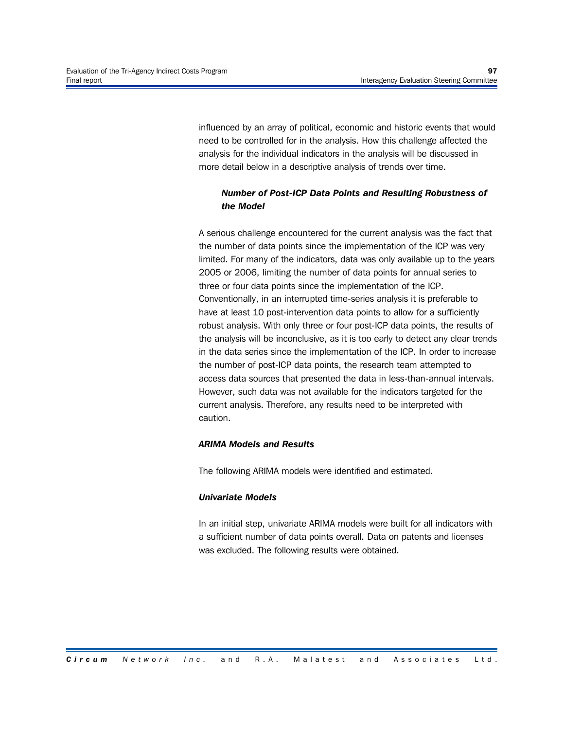influenced by an array of political, economic and historic events that would need to be controlled for in the analysis. How this challenge affected the analysis for the individual indicators in the analysis will be discussed in more detail below in a descriptive analysis of trends over time.

# *Number of Post-ICP Data Points and Resulting Robustness of the Model*

A serious challenge encountered for the current analysis was the fact that the number of data points since the implementation of the ICP was very limited. For many of the indicators, data was only available up to the years 2005 or 2006, limiting the number of data points for annual series to three or four data points since the implementation of the ICP. Conventionally, in an interrupted time-series analysis it is preferable to have at least 10 post-intervention data points to allow for a sufficiently robust analysis. With only three or four post-ICP data points, the results of the analysis will be inconclusive, as it is too early to detect any clear trends in the data series since the implementation of the ICP. In order to increase the number of post-ICP data points, the research team attempted to access data sources that presented the data in less-than-annual intervals. However, such data was not available for the indicators targeted for the current analysis. Therefore, any results need to be interpreted with caution.

## *ARIMA Models and Results*

The following ARIMA models were identified and estimated.

## *Univariate Models*

In an initial step, univariate ARIMA models were built for all indicators with a sufficient number of data points overall. Data on patents and licenses was excluded. The following results were obtained.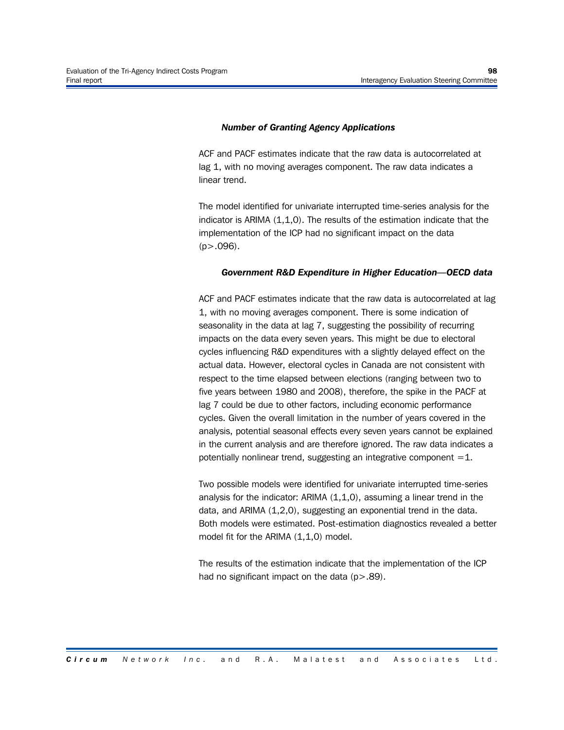#### *Number of Granting Agency Applications*

ACF and PACF estimates indicate that the raw data is autocorrelated at lag 1, with no moving averages component. The raw data indicates a linear trend.

The model identified for univariate interrupted time-series analysis for the indicator is ARIMA (1,1,0). The results of the estimation indicate that the implementation of the ICP had no significant impact on the data  $(p > .096)$ .

#### *Government R&D Expenditure in Higher Education—OECD data*

ACF and PACF estimates indicate that the raw data is autocorrelated at lag 1, with no moving averages component. There is some indication of seasonality in the data at lag 7, suggesting the possibility of recurring impacts on the data every seven years. This might be due to electoral cycles influencing R&D expenditures with a slightly delayed effect on the actual data. However, electoral cycles in Canada are not consistent with respect to the time elapsed between elections (ranging between two to five years between 1980 and 2008), therefore, the spike in the PACF at lag 7 could be due to other factors, including economic performance cycles. Given the overall limitation in the number of years covered in the analysis, potential seasonal effects every seven years cannot be explained in the current analysis and are therefore ignored. The raw data indicates a potentially nonlinear trend, suggesting an integrative component  $=1$ .

Two possible models were identified for univariate interrupted time-series analysis for the indicator: ARIMA  $(1,1,0)$ , assuming a linear trend in the data, and ARIMA (1,2,0), suggesting an exponential trend in the data. Both models were estimated. Post-estimation diagnostics revealed a better model fit for the ARIMA (1,1,0) model.

The results of the estimation indicate that the implementation of the ICP had no significant impact on the data  $(p > .89)$ .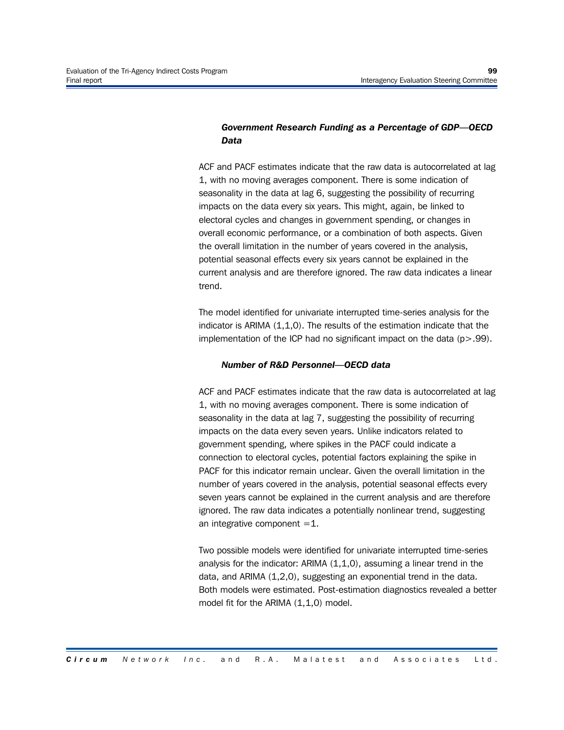# *Government Research Funding as a Percentage of GDP—OECD Data*

ACF and PACF estimates indicate that the raw data is autocorrelated at lag 1, with no moving averages component. There is some indication of seasonality in the data at lag 6, suggesting the possibility of recurring impacts on the data every six years. This might, again, be linked to electoral cycles and changes in government spending, or changes in overall economic performance, or a combination of both aspects. Given the overall limitation in the number of years covered in the analysis, potential seasonal effects every six years cannot be explained in the current analysis and are therefore ignored. The raw data indicates a linear trend.

The model identified for univariate interrupted time-series analysis for the indicator is ARIMA (1,1,0). The results of the estimation indicate that the implementation of the ICP had no significant impact on the data  $(p > .99)$ .

## *Number of R&D Personnel—OECD data*

ACF and PACF estimates indicate that the raw data is autocorrelated at lag 1, with no moving averages component. There is some indication of seasonality in the data at lag 7, suggesting the possibility of recurring impacts on the data every seven years. Unlike indicators related to government spending, where spikes in the PACF could indicate a connection to electoral cycles, potential factors explaining the spike in PACF for this indicator remain unclear. Given the overall limitation in the number of years covered in the analysis, potential seasonal effects every seven years cannot be explained in the current analysis and are therefore ignored. The raw data indicates a potentially nonlinear trend, suggesting an integrative component  $=1$ .

Two possible models were identified for univariate interrupted time-series analysis for the indicator: ARIMA  $(1,1,0)$ , assuming a linear trend in the data, and ARIMA (1,2,0), suggesting an exponential trend in the data. Both models were estimated. Post-estimation diagnostics revealed a better model fit for the ARIMA (1,1,0) model.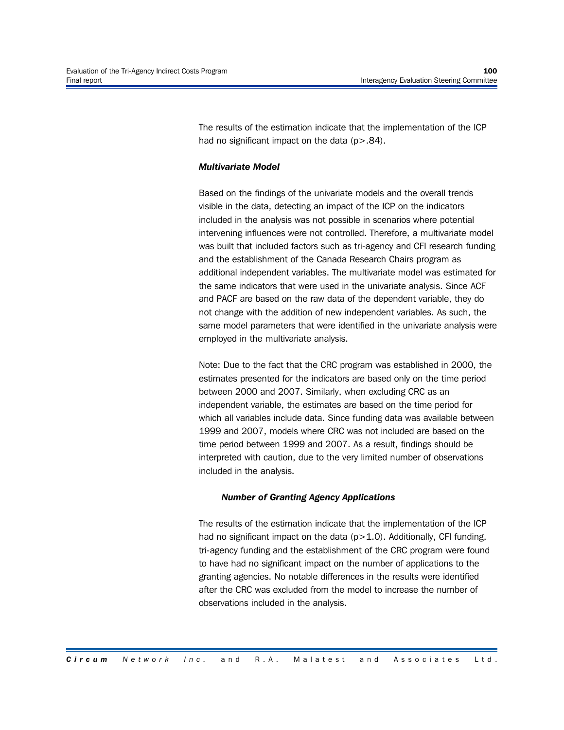The results of the estimation indicate that the implementation of the ICP had no significant impact on the data  $(p > .84)$ .

## *Multivariate Model*

Based on the findings of the univariate models and the overall trends visible in the data, detecting an impact of the ICP on the indicators included in the analysis was not possible in scenarios where potential intervening influences were not controlled. Therefore, a multivariate model was built that included factors such as tri-agency and CFI research funding and the establishment of the Canada Research Chairs program as additional independent variables. The multivariate model was estimated for the same indicators that were used in the univariate analysis. Since ACF and PACF are based on the raw data of the dependent variable, they do not change with the addition of new independent variables. As such, the same model parameters that were identified in the univariate analysis were employed in the multivariate analysis.

Note: Due to the fact that the CRC program was established in 2000, the estimates presented for the indicators are based only on the time period between 2000 and 2007. Similarly, when excluding CRC as an independent variable, the estimates are based on the time period for which all variables include data. Since funding data was available between 1999 and 2007, models where CRC was not included are based on the time period between 1999 and 2007. As a result, findings should be interpreted with caution, due to the very limited number of observations included in the analysis.

### *Number of Granting Agency Applications*

The results of the estimation indicate that the implementation of the ICP had no significant impact on the data (p>1.0). Additionally, CFI funding, tri-agency funding and the establishment of the CRC program were found to have had no significant impact on the number of applications to the granting agencies. No notable differences in the results were identified after the CRC was excluded from the model to increase the number of observations included in the analysis.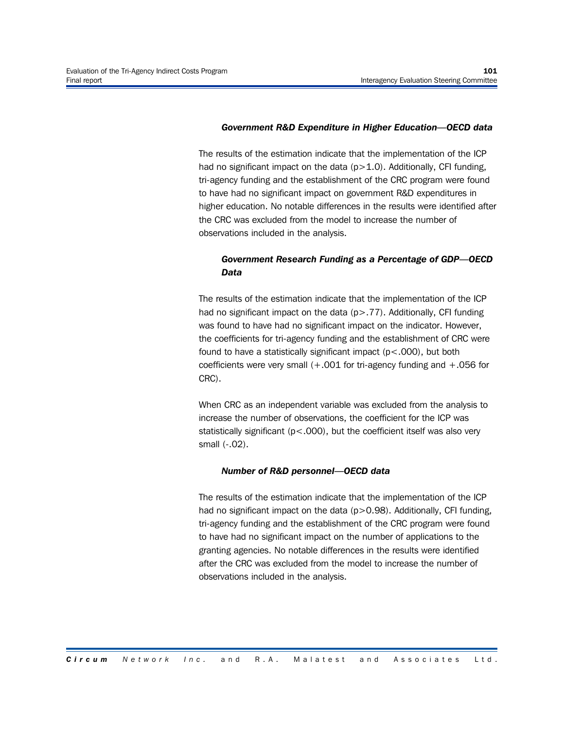#### *Government R&D Expenditure in Higher Education—OECD data*

The results of the estimation indicate that the implementation of the ICP had no significant impact on the data (p>1.0). Additionally, CFI funding, tri-agency funding and the establishment of the CRC program were found to have had no significant impact on government R&D expenditures in higher education. No notable differences in the results were identified after the CRC was excluded from the model to increase the number of observations included in the analysis.

# *Government Research Funding as a Percentage of GDP—OECD Data*

The results of the estimation indicate that the implementation of the ICP had no significant impact on the data (p>.77). Additionally, CFI funding was found to have had no significant impact on the indicator. However, the coefficients for tri-agency funding and the establishment of CRC were found to have a statistically significant impact  $(p < .000)$ , but both coefficients were very small  $(+.001$  for tri-agency funding and  $+.056$  for CRC).

When CRC as an independent variable was excluded from the analysis to increase the number of observations, the coefficient for the ICP was statistically significant (p<.000), but the coefficient itself was also very small (-.02).

#### *Number of R&D personnel—OECD data*

The results of the estimation indicate that the implementation of the ICP had no significant impact on the data  $(p>0.98)$ . Additionally, CFI funding, tri-agency funding and the establishment of the CRC program were found to have had no significant impact on the number of applications to the granting agencies. No notable differences in the results were identified after the CRC was excluded from the model to increase the number of observations included in the analysis.